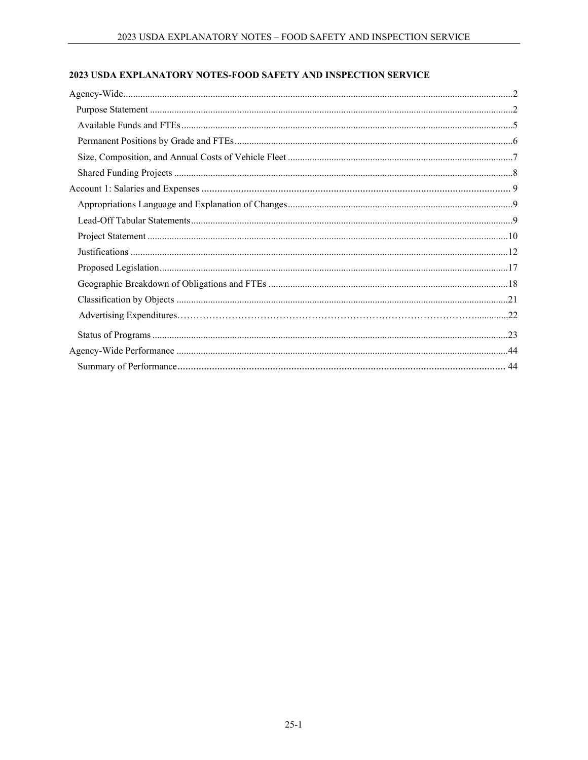# 2023 USDA EXPLANATORY NOTES-FOOD SAFETY AND INSPECTION SERVICE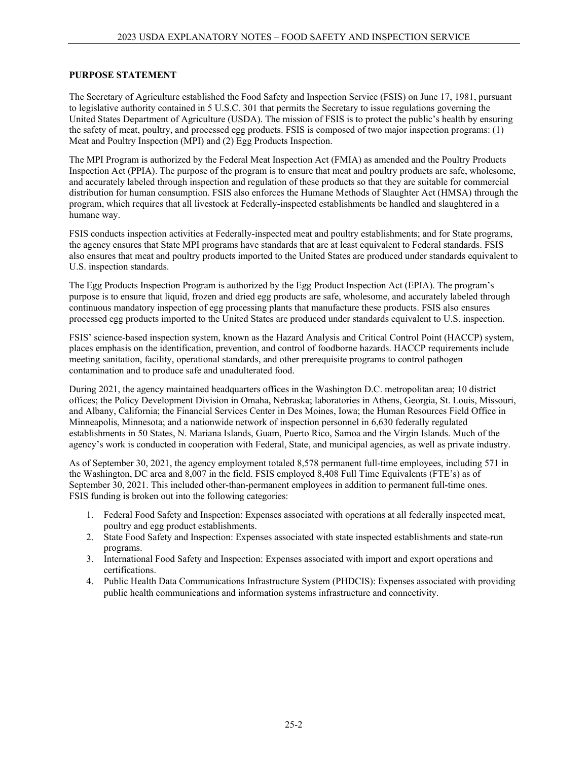#### **PURPOSE STATEMENT**

The Secretary of Agriculture established the Food Safety and Inspection Service (FSIS) on June 17, 1981, pursuant to legislative authority contained in 5 U.S.C. 301 that permits the Secretary to issue regulations governing the United States Department of Agriculture (USDA). The mission of FSIS is to protect the public's health by ensuring the safety of meat, poultry, and processed egg products. FSIS is composed of two major inspection programs: (1) Meat and Poultry Inspection (MPI) and (2) Egg Products Inspection.

The MPI Program is authorized by the Federal Meat Inspection Act (FMIA) as amended and the Poultry Products Inspection Act (PPIA). The purpose of the program is to ensure that meat and poultry products are safe, wholesome, and accurately labeled through inspection and regulation of these products so that they are suitable for commercial distribution for human consumption. FSIS also enforces the Humane Methods of Slaughter Act (HMSA) through the program, which requires that all livestock at Federally-inspected establishments be handled and slaughtered in a humane way.

FSIS conducts inspection activities at Federally-inspected meat and poultry establishments; and for State programs, the agency ensures that State MPI programs have standards that are at least equivalent to Federal standards. FSIS also ensures that meat and poultry products imported to the United States are produced under standards equivalent to U.S. inspection standards.

The Egg Products Inspection Program is authorized by the Egg Product Inspection Act (EPIA). The program's purpose is to ensure that liquid, frozen and dried egg products are safe, wholesome, and accurately labeled through continuous mandatory inspection of egg processing plants that manufacture these products. FSIS also ensures processed egg products imported to the United States are produced under standards equivalent to U.S. inspection.

FSIS' science-based inspection system, known as the Hazard Analysis and Critical Control Point (HACCP) system, places emphasis on the identification, prevention, and control of foodborne hazards. HACCP requirements include meeting sanitation, facility, operational standards, and other prerequisite programs to control pathogen contamination and to produce safe and unadulterated food.

During 2021, the agency maintained headquarters offices in the Washington D.C. metropolitan area; 10 district offices; the Policy Development Division in Omaha, Nebraska; laboratories in Athens, Georgia, St. Louis, Missouri, and Albany, California; the Financial Services Center in Des Moines, Iowa; the Human Resources Field Office in Minneapolis, Minnesota; and a nationwide network of inspection personnel in 6,630 federally regulated establishments in 50 States, N. Mariana Islands, Guam, Puerto Rico, Samoa and the Virgin Islands. Much of the agency's work is conducted in cooperation with Federal, State, and municipal agencies, as well as private industry.

As of September 30, 2021, the agency employment totaled 8,578 permanent full-time employees, including 571 in the Washington, DC area and 8,007 in the field. FSIS employed 8,408 Full Time Equivalents (FTE's) as of September 30, 2021. This included other-than-permanent employees in addition to permanent full-time ones. FSIS funding is broken out into the following categories:

- 1. Federal Food Safety and Inspection: Expenses associated with operations at all federally inspected meat, poultry and egg product establishments.
- 2. State Food Safety and Inspection: Expenses associated with state inspected establishments and state-run programs.
- 3. International Food Safety and Inspection: Expenses associated with import and export operations and certifications.
- 4. Public Health Data Communications Infrastructure System (PHDCIS): Expenses associated with providing public health communications and information systems infrastructure and connectivity.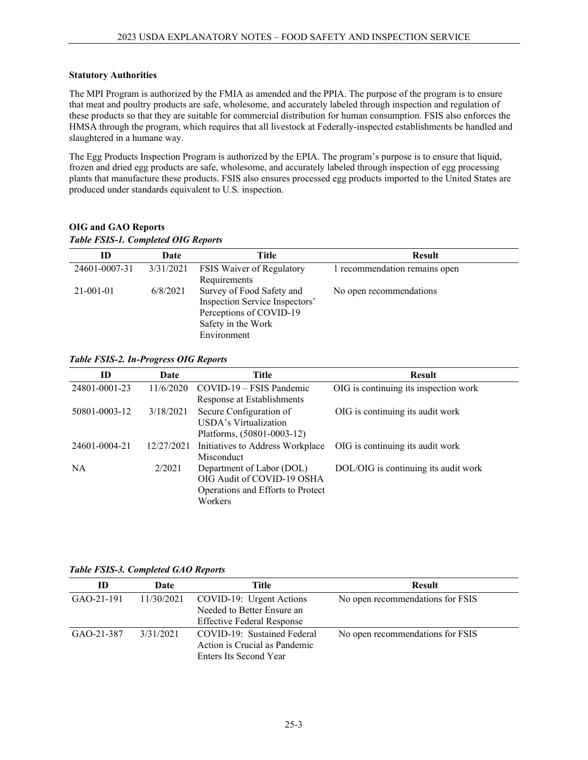#### **Statutory Authorities**

The MPI Program is authorized by the FMIA as amended and the PPIA. The purpose of the program is to ensure that meat and poultry products are safe, wholesome, and accurately labeled through inspection and regulation of these products so that they are suitable for commercial distribution for human consumption. FSIS also enforces the HMSA through the program, which requires that all livestock at Federally-inspected establishments be handled and slaughtered in a humane way.

The Egg Products Inspection Program is authorized by the EPIA. The program's purpose is to ensure that liquid, frozen and dried egg products are safe, wholesome, and accurately labeled through inspection of egg processing plants that manufacture these products. FSIS also ensures processed egg products imported to the United States are produced under standards equivalent to U.S. inspection.

| ID              | Date      | Title                          | <b>Result</b>                 |
|-----------------|-----------|--------------------------------|-------------------------------|
| 24601-0007-31   | 3/31/2021 | FSIS Waiver of Regulatory      | 1 recommendation remains open |
|                 |           | Requirements                   |                               |
| $21 - 001 - 01$ | 6/8/2021  | Survey of Food Safety and      | No open recommendations       |
|                 |           | Inspection Service Inspectors' |                               |
|                 |           | Perceptions of COVID-19        |                               |
|                 |           | Safety in the Work             |                               |
|                 |           | Environment                    |                               |

## **OIG and GAO Reports** *Table FSIS-1. Completed OIG Reports*

## *Table FSIS-2. In-Progress OIG Reports*

| ID            | Date       | Title                                                                                                   | <b>Result</b>                         |
|---------------|------------|---------------------------------------------------------------------------------------------------------|---------------------------------------|
| 24801-0001-23 | 11/6/2020  | COVID-19 – FSIS Pandemic<br>Response at Establishments                                                  | OIG is continuing its inspection work |
| 50801-0003-12 | 3/18/2021  | Secure Configuration of<br>USDA's Virtualization<br>Platforms, (50801-0003-12)                          | OIG is continuing its audit work      |
| 24601-0004-21 | 12/27/2021 | Initiatives to Address Workplace<br>Misconduct                                                          | OIG is continuing its audit work      |
| <b>NA</b>     | 2/2021     | Department of Labor (DOL)<br>OIG Audit of COVID-19 OSHA<br>Operations and Efforts to Protect<br>Workers | DOL/OIG is continuing its audit work  |

*Table FSIS-3. Completed GAO Reports*

| m          | Date       | Title                                                                                       | <b>Result</b>                    |
|------------|------------|---------------------------------------------------------------------------------------------|----------------------------------|
| GAO-21-191 | 11/30/2021 | COVID-19: Urgent Actions<br>Needed to Better Ensure an<br><b>Effective Federal Response</b> | No open recommendations for FSIS |
| GAO-21-387 | 3/31/2021  | COVID-19: Sustained Federal<br>Action is Crucial as Pandemic<br>Enters Its Second Year      | No open recommendations for FSIS |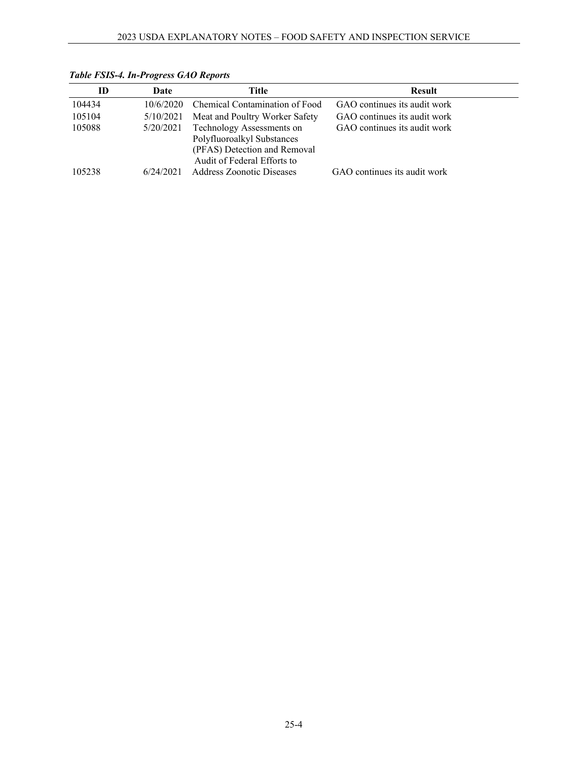| ID     | Date      | Title                                                                                                                  | <b>Result</b>                |
|--------|-----------|------------------------------------------------------------------------------------------------------------------------|------------------------------|
| 104434 | 10/6/2020 | Chemical Contamination of Food                                                                                         | GAO continues its audit work |
| 105104 | 5/10/2021 | Meat and Poultry Worker Safety                                                                                         | GAO continues its audit work |
| 105088 | 5/20/2021 | Technology Assessments on<br>Polyfluoroalkyl Substances<br>(PFAS) Detection and Removal<br>Audit of Federal Efforts to | GAO continues its audit work |
| 105238 | 6/24/2021 | <b>Address Zoonotic Diseases</b>                                                                                       | GAO continues its audit work |

*Table FSIS-4. In-Progress GAO Reports*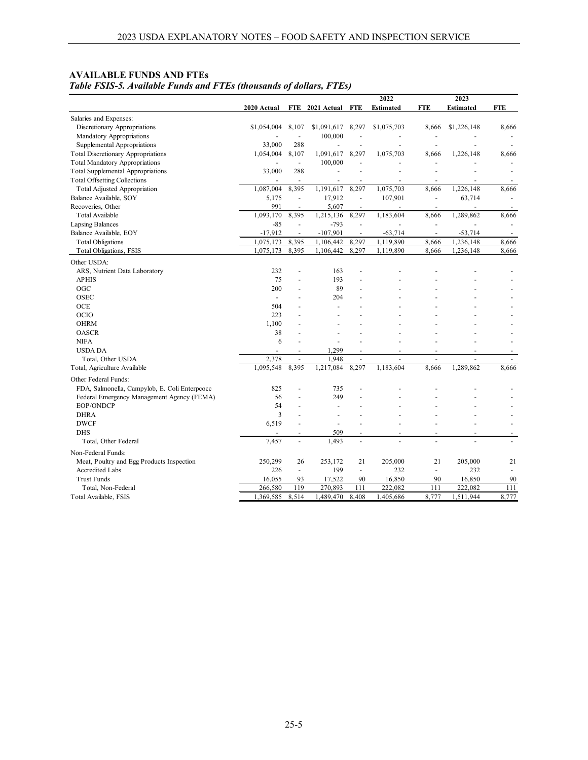| <b>AVAILABLE FUNDS AND FTES</b>                                     |
|---------------------------------------------------------------------|
| Table FSIS-5. Available Funds and FTEs (thousands of dollars, FTEs) |

|                                                                     |                          |                                |                          |                          | 2022             |                          | 2023             |                          |
|---------------------------------------------------------------------|--------------------------|--------------------------------|--------------------------|--------------------------|------------------|--------------------------|------------------|--------------------------|
|                                                                     | 2020 Actual              | <b>FTE</b>                     | 2021 Actual              | FTE                      | <b>Estimated</b> | <b>FTE</b>               | <b>Estimated</b> | <b>FTE</b>               |
| Salaries and Expenses:                                              |                          |                                |                          |                          |                  |                          |                  |                          |
| Discretionary Appropriations                                        | \$1,054,004              | 8,107                          | \$1,091,617              | 8,297                    | \$1,075,703      | 8,666                    | \$1,226,148      | 8,666                    |
| Mandatory Appropriations                                            |                          | $\overline{\phantom{a}}$       | 100,000                  | L,                       |                  | ÷                        |                  |                          |
| Supplemental Appropriations                                         | 33,000                   | 288                            |                          |                          |                  | ÷,                       |                  |                          |
| <b>Total Discretionary Appropriations</b>                           | 1,054,004                | 8,107                          | 1,091,617                | 8,297                    | 1,075,703        | 8,666                    | 1,226,148        | 8,666                    |
| <b>Total Mandatory Appropriations</b>                               |                          | $\blacksquare$                 | 100,000                  |                          |                  |                          |                  |                          |
| <b>Total Supplemental Appropriations</b>                            | 33,000                   | 288                            | ÷,                       |                          |                  |                          |                  |                          |
| <b>Total Offsetting Collections</b>                                 |                          | $\blacksquare$                 | ÷,                       |                          |                  |                          | ÷,               |                          |
| <b>Total Adjusted Appropriation</b>                                 | 1,087,004                | 8,395                          | 1,191,617                | 8,297                    | 1,075,703        | 8,666                    | 1,226,148        | 8,666                    |
| Balance Available, SOY                                              | 5,175                    | $\overline{\phantom{a}}$       | 17,912                   | $\overline{\phantom{a}}$ | 107,901          | $\overline{\phantom{a}}$ | 63,714           |                          |
| Recoveries, Other                                                   | 991                      | $\sim$                         | 5,607                    | $\overline{\phantom{a}}$ |                  | $\overline{a}$           |                  | $\overline{\phantom{a}}$ |
| Total Available                                                     | 1,093,170                | 8,395                          | 1,215,136                | 8,297                    | 1,183,604        | 8,666                    | 1,289,862        | 8,666                    |
| <b>Lapsing Balances</b>                                             | $-85$                    | ÷,                             | $-793$                   | $\overline{a}$           |                  | ÷.                       |                  |                          |
| Balance Available, EOY                                              | $-17,912$                | $\blacksquare$                 | $-107,901$               | $\overline{\phantom{a}}$ | $-63,714$        | $\blacksquare$           | $-53,714$        |                          |
| <b>Total Obligations</b>                                            | 1,075,173                | 8,395                          | 1,106,442                | 8,297                    | 1,119,890        | 8,666                    | 1,236,148        | 8,666                    |
| Total Obligations, FSIS                                             | 1,075,173                | 8,395                          | 1,106,442                | 8,297                    | 1,119,890        | 8,666                    | 1,236,148        | 8,666                    |
| Other USDA:                                                         |                          |                                |                          |                          |                  |                          |                  |                          |
| ARS, Nutrient Data Laboratory                                       | 232                      | $\overline{a}$                 | 163                      |                          |                  |                          |                  |                          |
| <b>APHIS</b>                                                        | 75                       |                                | 193                      |                          |                  |                          |                  |                          |
| OGC                                                                 | 200                      |                                | 89                       |                          |                  |                          |                  |                          |
| <b>OSEC</b>                                                         | $\overline{\phantom{a}}$ |                                | 204                      |                          |                  |                          |                  |                          |
| OCE                                                                 | 504                      | ٠                              |                          |                          |                  |                          |                  |                          |
| <b>OCIO</b>                                                         | 223                      |                                |                          |                          |                  |                          |                  |                          |
| <b>OHRM</b>                                                         | 1,100                    | ÷                              |                          |                          |                  |                          |                  |                          |
| <b>OASCR</b>                                                        | 38                       |                                |                          |                          |                  |                          |                  |                          |
| <b>NIFA</b>                                                         | 6                        |                                |                          |                          |                  |                          |                  |                          |
| <b>USDA DA</b>                                                      |                          | $\overline{\phantom{a}}$       | 1,299                    | $\overline{a}$           |                  |                          |                  |                          |
| Total, Other USDA                                                   | 2,378                    | ÷,                             | 1.948                    | $\overline{a}$           |                  |                          |                  | $\overline{\phantom{a}}$ |
| Total, Agriculture Available                                        | 1,095,548                | 8,395                          | 1,217,084                | 8,297                    | 1,183,604        | 8,666                    | 1,289,862        | 8,666                    |
| Other Federal Funds:                                                |                          |                                |                          |                          |                  |                          |                  |                          |
| FDA, Salmonella, Campylob, E. Coli Enterpcocc                       | 825                      |                                | 735                      |                          |                  |                          |                  |                          |
| Federal Emergency Management Agency (FEMA)                          | 56                       |                                | 249                      |                          |                  |                          |                  |                          |
| EOP/ONDCP                                                           | 54                       | $\overline{a}$                 | ÷,                       |                          |                  |                          |                  |                          |
| <b>DHRA</b>                                                         | 3                        |                                |                          |                          |                  |                          |                  |                          |
| <b>DWCF</b>                                                         | 6,519                    | $\overline{a}$                 | $\overline{\phantom{a}}$ |                          |                  |                          |                  |                          |
| <b>DHS</b>                                                          |                          | $\overline{\phantom{m}}$       | 509                      |                          |                  |                          |                  |                          |
| Total, Other Federal                                                | 7,457                    | $\overline{\phantom{a}}$       | 1,493                    | $\overline{a}$           |                  | L,                       |                  |                          |
| Non-Federal Funds:                                                  |                          |                                |                          |                          |                  |                          |                  |                          |
|                                                                     |                          |                                | 253,172                  | 21                       | 205,000          | 21                       | 205,000          |                          |
| Meat, Poultry and Egg Products Inspection<br><b>Accredited Labs</b> | 250,299<br>226           | 26<br>$\overline{\phantom{a}}$ | 199                      | $\overline{\phantom{a}}$ | 232              | $\blacksquare$           | 232              | 21                       |
| <b>Trust Funds</b>                                                  | 16,055                   | 93                             | 17,522                   | 90                       | 16,850           | 90                       | 16,850           | 90                       |
| Total, Non-Federal                                                  | 266,580                  | 119                            | 270,893                  | 111                      | 222,082          | 111                      | 222,082          | 111                      |
| Total Available, FSIS                                               | 1,369,585                | 8,514                          | 1,489,470                | 8,408                    | 1,405,686        | 8,777                    | 1,511,944        | 8,777                    |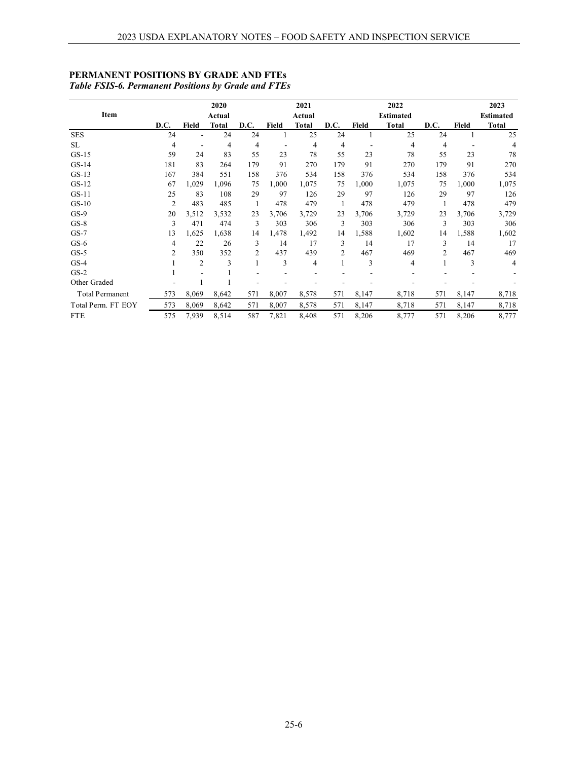| Item                   |                |                | 2020<br>Actual |      |              | 2021<br>Actual |      |       | 2022<br><b>Estimated</b> |                |              | 2023<br><b>Estimated</b> |
|------------------------|----------------|----------------|----------------|------|--------------|----------------|------|-------|--------------------------|----------------|--------------|--------------------------|
|                        | D.C.           | <b>Field</b>   | <b>Total</b>   | D.C. | <b>Field</b> | <b>Total</b>   | D.C. | Field | <b>Total</b>             | D.C.           | <b>Field</b> | <b>Total</b>             |
| <b>SES</b>             | 24             |                | 24             | 24   |              | 25             | 24   |       | 25                       | 24             |              | 25                       |
| SL                     | 4              |                | 4              | 4    |              | 4              | 4    |       | 4                        | 4              |              | 4                        |
| $GS-15$                | 59             | 24             | 83             | 55   | 23           | 78             | 55   | 23    | 78                       | 55             | 23           | 78                       |
| $GS-14$                | 181            | 83             | 264            | 179  | 91           | 270            | 179  | 91    | 270                      | 179            | 91           | 270                      |
| $GS-13$                | 167            | 384            | 551            | 158  | 376          | 534            | 158  | 376   | 534                      | 158            | 376          | 534                      |
| $GS-12$                | 67             | 1,029          | 1,096          | 75   | 1,000        | 1,075          | 75   | 1,000 | 1,075                    | 75             | 1,000        | 1,075                    |
| $GS-11$                | 25             | 83             | 108            | 29   | 97           | 126            | 29   | 97    | 126                      | 29             | 97           | 126                      |
| $GS-10$                | $\overline{2}$ | 483            | 485            |      | 478          | 479            |      | 478   | 479                      |                | 478          | 479                      |
| $GS-9$                 | 20             | 3,512          | 3,532          | 23   | 3,706        | 3,729          | 23   | 3,706 | 3,729                    | 23             | 3,706        | 3,729                    |
| $GS-8$                 | 3              | 471            | 474            | 3    | 303          | 306            | 3    | 303   | 306                      | 3              | 303          | 306                      |
| $GS-7$                 | 13             | 1,625          | 1,638          | 14   | 1,478        | 1,492          | 14   | 1,588 | 1,602                    | 14             | 1,588        | 1,602                    |
| $GS-6$                 | 4              | 22             | 26             | 3    | 14           | 17             | 3    | 14    | 17                       | 3              | 14           | 17                       |
| $GS-5$                 | 2              | 350            | 352            | 2    | 437          | 439            | 2    | 467   | 469                      | $\overline{2}$ | 467          | 469                      |
| $GS-4$                 |                | $\overline{2}$ | 3              |      | 3            | 4              |      | 3     | 4                        |                | 3            | 4                        |
| $GS-2$                 |                |                |                |      |              |                |      |       |                          |                |              |                          |
| Other Graded           |                |                |                |      |              |                |      |       |                          |                |              |                          |
| <b>Total Permanent</b> | 573            | 8,069          | 8,642          | 571  | 8,007        | 8,578          | 571  | 8,147 | 8,718                    | 571            | 8,147        | 8,718                    |
| Total Perm. FT EOY     | 573            | 8,069          | 8,642          | 571  | 8,007        | 8,578          | 571  | 8,147 | 8,718                    | 571            | 8,147        | 8,718                    |
| <b>FTE</b>             | 575            | 7,939          | 8,514          | 587  | 7,821        | 8,408          | 571  | 8,206 | 8,777                    | 571            | 8,206        | 8,777                    |

# **PERMANENT POSITIONS BY GRADE AND FTEs** *Table FSIS-6. Permanent Positions by Grade and FTEs*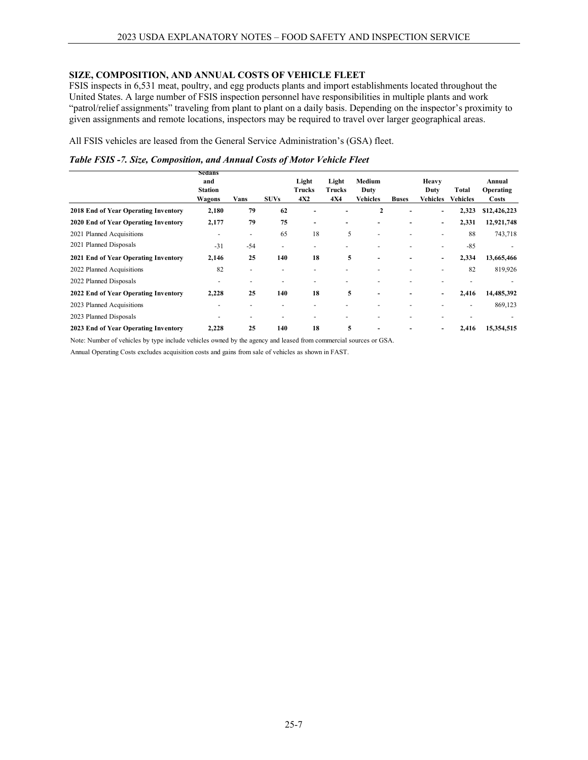## **SIZE, COMPOSITION, AND ANNUAL COSTS OF VEHICLE FLEET**

FSIS inspects in 6,531 meat, poultry, and egg products plants and import establishments located throughout the United States. A large number of FSIS inspection personnel have responsibilities in multiple plants and work "patrol/relief assignments" traveling from plant to plant on a daily basis. Depending on the inspector's proximity to given assignments and remote locations, inspectors may be required to travel over larger geographical areas.

All FSIS vehicles are leased from the General Service Administration's (GSA) fleet.

|  |  | Table FSIS -7. Size, Composition, and Annual Costs of Motor Vehicle Fleet |  |
|--|--|---------------------------------------------------------------------------|--|
|--|--|---------------------------------------------------------------------------|--|

|                                      | Sedans<br>and<br><b>Station</b><br>Wagons | Vans                     | <b>SUVs</b> | Light<br>Trucks<br>4X2   | Light<br><b>Trucks</b><br><b>4X4</b> | Medium<br>Duty<br>Vehicles | <b>Buses</b> | Heavy<br>Duty<br>Vehicles | Total<br>Vehicles | Annual<br><b>Operating</b><br>Costs |
|--------------------------------------|-------------------------------------------|--------------------------|-------------|--------------------------|--------------------------------------|----------------------------|--------------|---------------------------|-------------------|-------------------------------------|
| 2018 End of Year Operating Inventory | 2,180                                     | 79                       | 62          |                          |                                      | 2                          |              | -                         | 2,323             | \$12,426,223                        |
| 2020 End of Year Operating Inventory | 2,177                                     | 79                       | 75          | $\overline{\phantom{0}}$ |                                      |                            |              | -                         | 2,331             | 12,921,748                          |
| 2021 Planned Acquisitions            | $\overline{\phantom{0}}$                  | ۰                        | 65          | 18                       | 5                                    |                            | ٠            | $\overline{\phantom{0}}$  | 88                | 743,718                             |
| 2021 Planned Disposals               | $-31$                                     | $-54$                    | ٠           |                          |                                      |                            |              | $\overline{\phantom{0}}$  | $-85$             |                                     |
| 2021 End of Year Operating Inventory | 2,146                                     | 25                       | 140         | 18                       | 5                                    | $\blacksquare$             | ۰            | -                         | 2,334             | 13,665,466                          |
| 2022 Planned Acquisitions            | 82                                        | $\overline{\phantom{a}}$ |             |                          |                                      |                            |              |                           | 82                | 819,926                             |
| 2022 Planned Disposals               | $\overline{\phantom{0}}$                  | $\overline{\phantom{0}}$ | ٠           |                          |                                      |                            |              |                           |                   |                                     |
| 2022 End of Year Operating Inventory | 2,228                                     | 25                       | 140         | 18                       | 5                                    | $\overline{\phantom{0}}$   | -            | -                         | 2,416             | 14,485,392                          |
| 2023 Planned Acquisitions            |                                           |                          |             |                          |                                      |                            |              |                           |                   | 869,123                             |
| 2023 Planned Disposals               |                                           | -                        |             |                          |                                      |                            |              |                           |                   |                                     |
| 2023 End of Year Operating Inventory | 2,228                                     | 25                       | 140         | 18                       | 5                                    | ۰                          |              |                           | 2,416             | 15,354,515                          |

Note: Number of vehicles by type include vehicles owned by the agency and leased from commercial sources or GSA.

Annual Operating Costs excludes acquisition costs and gains from sale of vehicles as shown in FAST.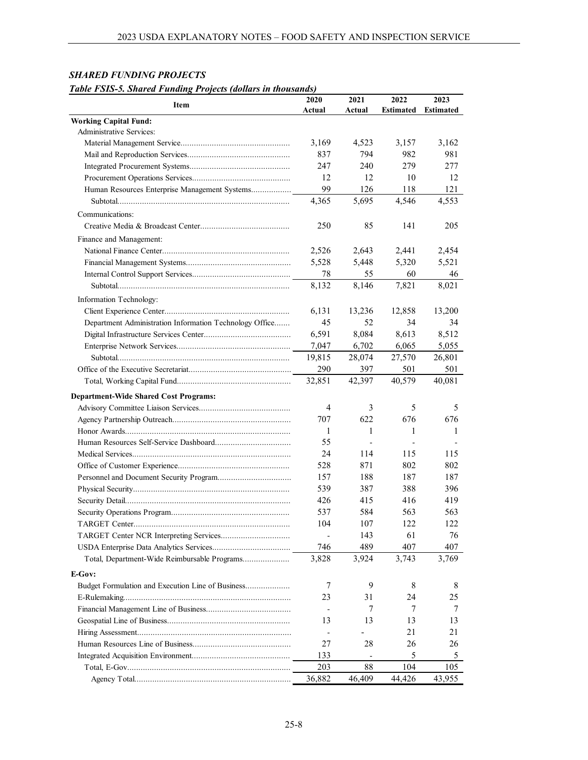| Table FSIS-5. Sharea Funaing Projects (abuars in thousanas) | 2020   | 2021                     | 2022             | 2023             |
|-------------------------------------------------------------|--------|--------------------------|------------------|------------------|
| <b>Item</b>                                                 | Actual | Actual                   | <b>Estimated</b> | <b>Estimated</b> |
| <b>Working Capital Fund:</b>                                |        |                          |                  |                  |
| Administrative Services:                                    |        |                          |                  |                  |
|                                                             | 3,169  | 4.523                    | 3,157            | 3,162            |
|                                                             | 837    | 794                      | 982              | 981              |
|                                                             | 247    | 240                      | 279              | 277              |
|                                                             | 12     | 12                       | 10               | 12               |
| Human Resources Enterprise Management Systems               | 99     | 126                      | 118              | 121              |
|                                                             | 4,365  | 5,695                    | 4,546            | 4,553            |
| Communications:                                             |        |                          |                  |                  |
|                                                             | 250    | 85                       | 141              | 205              |
|                                                             |        |                          |                  |                  |
| Finance and Management:                                     |        |                          |                  |                  |
|                                                             | 2,526  | 2,643                    | 2,441            | 2,454            |
|                                                             | 5,528  | 5,448                    | 5,320            | 5,521            |
|                                                             | 78     | 55                       | 60               | 46               |
|                                                             | 8,132  | 8.146                    | 7,821            | 8,021            |
| Information Technology:                                     |        |                          |                  |                  |
|                                                             | 6,131  | 13,236                   | 12,858           | 13,200           |
| Department Administration Information Technology Office     | 45     | 52                       | 34               | 34               |
|                                                             | 6,591  | 8,084                    | 8,613            | 8,512            |
|                                                             | 7,047  | 6,702                    | 6,065            | 5,055            |
|                                                             | 19,815 | 28,074                   | 27,570           | 26,801           |
|                                                             | 290    | 397                      | 501              | 501              |
|                                                             | 32,851 | 42,397                   | 40,579           | 40,081           |
| <b>Department-Wide Shared Cost Programs:</b>                |        |                          |                  |                  |
|                                                             | 4      | 3                        | 5                | 5                |
|                                                             | 707    | 622                      | 676              | 676              |
|                                                             | 1      | 1                        | 1                | 1                |
|                                                             | 55     | $\overline{\phantom{a}}$ |                  |                  |
|                                                             | 24     | 114                      | 115              | 115              |
|                                                             | 528    | 871                      | 802              | 802              |
|                                                             | 157    | 188                      | 187              | 187              |
|                                                             | 539    | 387                      | 388              | 396              |
|                                                             | 426    | 415                      | 416              | 419              |
|                                                             | 537    | 584                      | 563              | 563              |
|                                                             | 104    | 107                      | 122              | 122              |
|                                                             |        | 143                      | 61               | 76               |
|                                                             | 746    | 489                      | 407              | 407              |
|                                                             |        | 3,924                    | 3,743            | 3,769            |
| Total, Department-Wide Reimbursable Programs                | 3,828  |                          |                  |                  |
| E-Gov:                                                      |        |                          |                  |                  |
|                                                             | 7      | 9                        | 8                | 8                |
|                                                             | 23     | 31                       | 24               | 25               |
|                                                             |        | 7                        | 7                | 7                |
|                                                             | 13     | 13                       | 13               | 13               |
|                                                             |        |                          | 21               | 21               |
|                                                             | 27     | 28                       | 26               | 26               |
|                                                             | 133    | $\blacksquare$           | 5                | 5                |
|                                                             | 203    | 88                       | 104              | 105              |
|                                                             | 36,882 | 46,409                   | 44,426           | 43,955           |

# *SHARED FUNDING PROJECTS*

*Table FSIS-5. Shared Funding Projects (dollars in thousands)*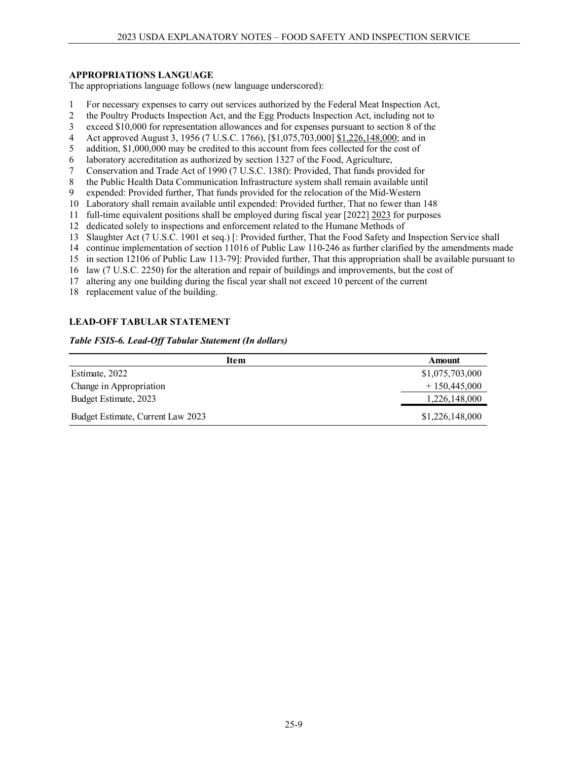## **APPROPRIATIONS LANGUAGE**

The appropriations language follows (new language underscored):

- 1 For necessary expenses to carry out services authorized by the Federal Meat Inspection Act,
- 2 the Poultry Products Inspection Act, and the Egg Products Inspection Act, including not to<br>3 exceed \$10,000 for representation allowances and for expenses pursuant to section 8 of the
- exceed \$10,000 for representation allowances and for expenses pursuant to section 8 of the
- 4 Act approved August 3, 1956 (7 U.S.C. 1766), [\$1,075,703,000] \$1,226,148,000; and in
- 5 addition, \$1,000,000 may be credited to this account from fees collected for the cost of
- 6 laboratory accreditation as authorized by section 1327 of the Food, Agriculture,
- 7 Conservation and Trade Act of 1990 (7 U.S.C. 138f): Provided, That funds provided for
- 8 the Public Health Data Communication Infrastructure system shall remain available until
- 9 expended: Provided further, That funds provided for the relocation of the Mid-Western
- 10 Laboratory shall remain available until expended: Provided further, That no fewer than 148
- 11 full-time equivalent positions shall be employed during fiscal year [2022] 2023 for purposes
- 12 dedicated solely to inspections and enforcement related to the Humane Methods of
- 13 Slaughter Act (7 U.S.C. 1901 et seq.) [: Provided further, That the Food Safety and Inspection Service shall
- 14 continue implementation of section 11016 of Public Law 110-246 as further clarified by the amendments made
- 15 in section 12106 of Public Law 113-79]: Provided further, That this appropriation shall be available pursuant to
- 16 law (7 U.S.C. 2250) for the alteration and repair of buildings and improvements, but the cost of
- 17 altering any one building during the fiscal year shall not exceed 10 percent of the current
- 18 replacement value of the building.

## **LEAD-OFF TABULAR STATEMENT**

#### *Table FSIS-6. Lead-Off Tabular Statement (In dollars)*

| <b>Item</b>                       | Amount          |
|-----------------------------------|-----------------|
| Estimate, 2022                    | \$1,075,703,000 |
| Change in Appropriation           | $+150,445,000$  |
| Budget Estimate, 2023             | 1,226,148,000   |
| Budget Estimate, Current Law 2023 | \$1,226,148,000 |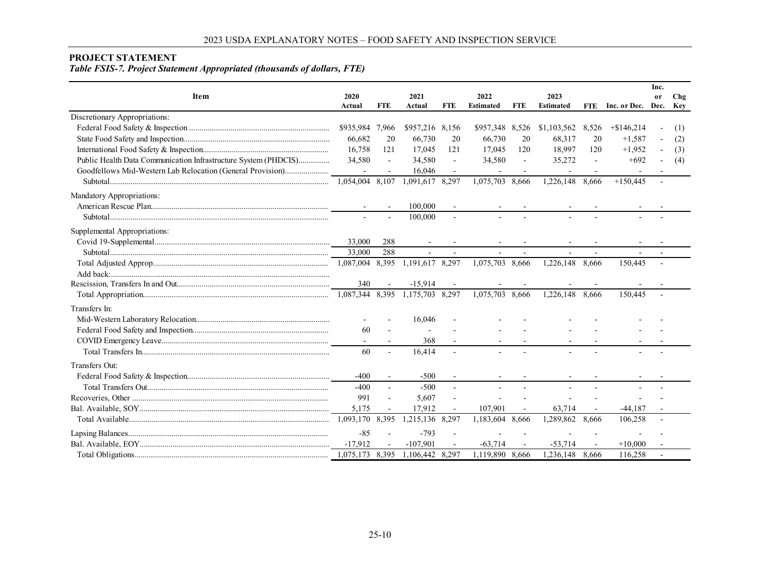#### **PROJECT STATEMENT**

*Table FSIS-7. Project Statement Appropriated (thousands of dollars, FTE)*

|                                                                 |                 |                          |                 |                          |                  |            |                  |            |                   | Inc.          |            |
|-----------------------------------------------------------------|-----------------|--------------------------|-----------------|--------------------------|------------------|------------|------------------|------------|-------------------|---------------|------------|
| <b>Item</b>                                                     | 2020            |                          | 2021            |                          | 2022             |            | 2023             |            |                   | <sub>or</sub> | Chg        |
|                                                                 | Actual          | <b>FTE</b>               | Actual          | FTE                      | <b>Estimated</b> | <b>FTE</b> | <b>Estimated</b> | <b>FTE</b> | Inc. or Dec. Dec. |               | <b>Key</b> |
| Discretionary Appropriations:                                   |                 |                          |                 |                          |                  |            |                  |            |                   |               |            |
|                                                                 | \$935,984       | 7,966                    | \$957,216 8,156 |                          | \$957,348 8,526  |            | \$1,103,562      | 8,526      | $+$ \$146,214     |               | (1)        |
|                                                                 | 66,682          | 20                       | 66,730          | 20                       | 66,730           | 20         | 68,317           | 20         | $+1,587$          |               | (2)        |
|                                                                 | 16,758          | 121                      | 17,045          | 121                      | 17,045           | 120        | 18,997           | 120        | $+1,952$          |               | (3)        |
| Public Health Data Communication Infrastructure System (PHDCIS) | 34,580          | $\blacksquare$           | 34,580          | $\blacksquare$           | 34,580           | $\sim$     | 35,272           |            | $+692$            |               | (4)        |
| Goodfellows Mid-Western Lab Relocation (General Provision)      |                 |                          | 16,046          |                          |                  |            |                  |            |                   |               |            |
|                                                                 | 1.054.004 8.107 |                          | 1,091,617       | 8,297                    | 1,075,703 8,666  |            | 1,226,148        | 8.666      | $+150.445$        |               |            |
| Mandatory Appropriations:                                       |                 |                          |                 |                          |                  |            |                  |            |                   |               |            |
|                                                                 |                 |                          | 100,000         |                          |                  |            |                  |            |                   |               |            |
|                                                                 |                 |                          | 100,000         |                          |                  |            |                  |            |                   |               |            |
| Supplemental Appropriations:                                    |                 |                          |                 |                          |                  |            |                  |            |                   |               |            |
|                                                                 | 33,000          | 288                      |                 |                          |                  |            |                  |            |                   |               |            |
|                                                                 | 33,000          | 288                      |                 |                          |                  |            |                  |            |                   |               |            |
|                                                                 |                 |                          | 1,191,617 8,297 |                          | 1,075,703 8,666  |            | 1,226,148 8,666  |            | 150,445           |               |            |
|                                                                 |                 |                          |                 |                          |                  |            |                  |            |                   |               |            |
|                                                                 | 340             |                          | $-15,914$       |                          |                  |            |                  |            |                   |               |            |
|                                                                 | 1,087,344 8,395 |                          | 1,175,703 8,297 |                          | 1,075,703 8,666  |            | 1,226,148        | 8.666      | 150,445           |               |            |
| Transfers In:                                                   |                 |                          |                 |                          |                  |            |                  |            |                   |               |            |
|                                                                 |                 |                          | 16,046          |                          |                  |            |                  |            |                   |               |            |
|                                                                 | 60              |                          |                 |                          |                  |            |                  |            |                   |               |            |
|                                                                 |                 |                          | 368             |                          |                  |            |                  |            |                   |               |            |
|                                                                 | 60              |                          | 16,414          | $\sim$                   |                  |            |                  |            |                   |               |            |
| Transfers Out:                                                  |                 |                          |                 |                          |                  |            |                  |            |                   |               |            |
|                                                                 | $-400$          | $\overline{\phantom{a}}$ | $-500$          | $\blacksquare$           |                  |            |                  |            |                   |               |            |
|                                                                 | $-400$          | $\overline{\phantom{a}}$ | $-500$          | $\overline{\phantom{a}}$ |                  |            |                  |            |                   |               |            |
|                                                                 | 991             | ÷,                       | 5,607           | $\blacksquare$           |                  |            |                  |            |                   |               |            |
|                                                                 | 5,175           | $\blacksquare$           | 17,912          | $\blacksquare$           | 107,901          |            | 63,714           |            | $-44,187$         |               |            |
|                                                                 | 1,093,170       | 8,395                    | 1,215,136       | 8,297                    | 1,183,604        | 8,666      | 1,289,862        | 8.666      | 106,258           |               |            |
|                                                                 | $-85$           |                          | $-793$          |                          |                  |            |                  |            |                   |               |            |
|                                                                 | $-17.912$       |                          | $-107.901$      |                          | $-63.714$        |            | $-53,714$        |            | $+10,000$         |               |            |
|                                                                 | 1,075,173       | 8,395                    | 1.106.442       | 8.297                    | 1,119,890 8,666  |            | 1.236.148        | 8.666      | 116.258           |               |            |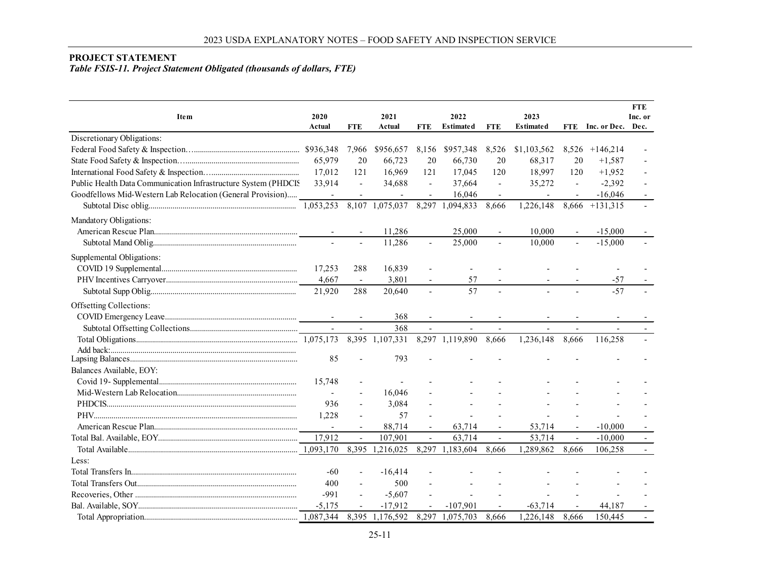# **PROJECT STATEMENT**

# *Table FSIS-11. Project Statement Obligated (thousands of dollars, FTE)*

| Ite m                                                          | 2020<br>Actual           | <b>FTE</b>               | 2021<br>Actual           | <b>FTE</b>               | 2022<br><b>Estimated</b> | <b>FTE</b>               | 2023<br><b>Estimated</b> | <b>FTE</b>     | Inc. or Dec.             | <b>FTE</b><br>Inc. or<br>Dec. |
|----------------------------------------------------------------|--------------------------|--------------------------|--------------------------|--------------------------|--------------------------|--------------------------|--------------------------|----------------|--------------------------|-------------------------------|
| Discretionary Obligations:                                     |                          |                          |                          |                          |                          |                          |                          |                |                          |                               |
|                                                                |                          | 7,966                    | \$956,657                | 8,156                    | \$957,348                | 8,526                    | \$1,103,562              | 8,526          | $+146,214$               |                               |
|                                                                | 65,979                   | 20                       | 66,723                   | 20                       | 66,730                   | 20                       | 68,317                   | 20             | $+1.587$                 |                               |
|                                                                | 17,012                   | 121                      | 16,969                   | 121                      | 17,045                   | 120                      | 18,997                   | 120            | $+1,952$                 |                               |
| Public Health Data Communication Infrastructure System (PHDCIS | 33,914                   | $\sim$                   | 34,688                   | $\blacksquare$           | 37,664                   | $\sim$                   | 35,272                   | $\sim$         | $-2,392$                 |                               |
| Goodfellows Mid-Western Lab Relocation (General Provision)     | $\overline{\phantom{a}}$ |                          | $\overline{\phantom{a}}$ |                          | 16,046                   |                          |                          |                | $-16,046$                |                               |
|                                                                |                          |                          | 8,107 1,075,037          | 8,297                    | 1,094,833                | 8.666                    | 1.226.148                | 8,666          | $+131,315$               |                               |
| Mandatory Obligations:                                         |                          |                          |                          |                          |                          |                          |                          |                |                          |                               |
|                                                                | $\overline{\phantom{a}}$ |                          | 11,286                   |                          | 25,000                   |                          | 10.000                   |                | $-15,000$                |                               |
|                                                                | $\sim$                   |                          | 11,286                   | $\blacksquare$           | 25,000                   | $\equiv$                 | 10,000                   | $\mathbf{r}$   | $-15,000$                |                               |
| Supplemental Obligations:                                      |                          |                          |                          |                          |                          |                          |                          |                |                          |                               |
|                                                                | 17,253                   | 288                      | 16,839                   |                          |                          |                          |                          |                |                          |                               |
|                                                                | 4,667                    | $\overline{\phantom{a}}$ | 3,801                    |                          | 57                       |                          |                          |                | $-57$                    |                               |
|                                                                | 21,920                   | 288                      | 20,640                   | $\overline{\phantom{a}}$ | 57                       |                          |                          |                | $-57$                    |                               |
| Offsetting Collections:                                        |                          |                          |                          |                          |                          |                          |                          |                |                          |                               |
|                                                                | $\overline{\phantom{a}}$ |                          | 368                      |                          |                          |                          |                          |                |                          |                               |
|                                                                | $\overline{\phantom{a}}$ | $\blacksquare$           | 368                      | $\overline{\phantom{a}}$ | $\overline{\phantom{a}}$ | $\overline{\phantom{a}}$ |                          |                | $\overline{\phantom{a}}$ |                               |
|                                                                |                          | 8,395                    | 1,107,331                |                          | 8,297 1,119,890          | 8,666                    | 1,236,148                | 8,666          | 116,258                  |                               |
| Add back:                                                      |                          |                          |                          |                          |                          |                          |                          |                |                          |                               |
|                                                                | 85                       |                          | 793                      |                          |                          |                          |                          |                |                          |                               |
| Balances Available, EOY:                                       |                          |                          |                          |                          |                          |                          |                          |                |                          |                               |
|                                                                | 15,748                   |                          |                          |                          |                          |                          |                          |                |                          |                               |
|                                                                | $\sim$                   |                          | 16,046                   |                          |                          |                          |                          |                |                          |                               |
|                                                                | 936                      |                          | 3,084                    |                          |                          |                          |                          |                |                          |                               |
|                                                                | 1,228                    |                          | 57                       |                          |                          |                          |                          |                |                          |                               |
|                                                                | $\overline{a}$           |                          | 88,714                   |                          | 63,714                   |                          | 53,714                   |                | $-10,000$                |                               |
|                                                                | 17,912                   | $\overline{a}$           | 107,901                  | $\overline{\phantom{a}}$ | 63,714                   | $\blacksquare$           | 53,714                   | $\blacksquare$ | $-10,000$                |                               |
|                                                                |                          | 8,395                    | 1,216,025                | 8,297                    | 1,183,604                | 8,666                    | 1,289,862                | 8,666          | 106,258                  |                               |
| Less:                                                          |                          |                          |                          |                          |                          |                          |                          |                |                          |                               |
|                                                                | $-60$                    |                          | $-16,414$                |                          |                          |                          |                          |                |                          |                               |
|                                                                | 400                      |                          | 500                      |                          |                          |                          |                          |                |                          |                               |
|                                                                | $-991$                   | $\blacksquare$           | $-5,607$                 |                          |                          |                          |                          |                |                          |                               |
|                                                                | $-5,175$                 |                          | $-17,912$                |                          | $-107.901$               |                          | $-63,714$                |                | 44,187                   |                               |
|                                                                |                          | 8,395                    | 1,176,592                | 8,297                    | 1,075,703                | 8,666                    | 1,226,148                | 8,666          | 150,445                  |                               |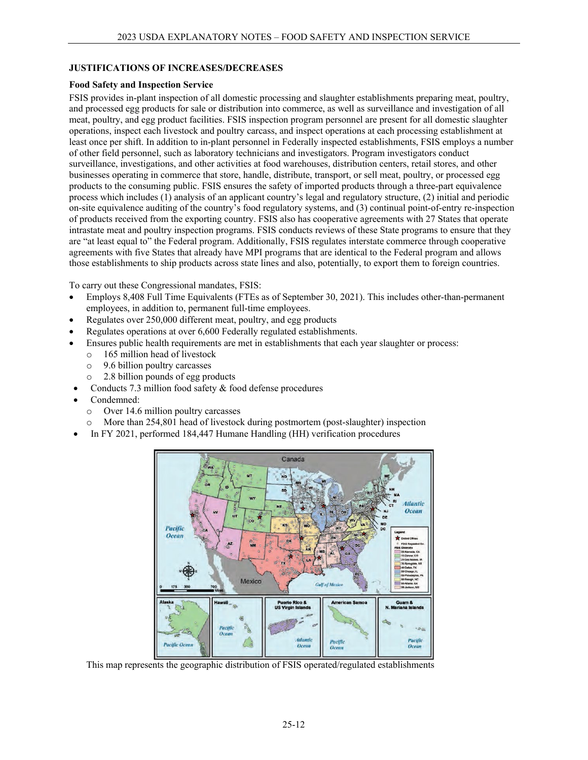#### **JUSTIFICATIONS OF INCREASES/DECREASES**

#### **Food Safety and Inspection Service**

FSIS provides in-plant inspection of all domestic processing and slaughter establishments preparing meat, poultry, and processed egg products for sale or distribution into commerce, as well as surveillance and investigation of all meat, poultry, and egg product facilities. FSIS inspection program personnel are present for all domestic slaughter operations, inspect each livestock and poultry carcass, and inspect operations at each processing establishment at least once per shift. In addition to in-plant personnel in Federally inspected establishments, FSIS employs a number of other field personnel, such as laboratory technicians and investigators. Program investigators conduct surveillance, investigations, and other activities at food warehouses, distribution centers, retail stores, and other businesses operating in commerce that store, handle, distribute, transport, or sell meat, poultry, or processed egg products to the consuming public. FSIS ensures the safety of imported products through a three-part equivalence process which includes (1) analysis of an applicant country's legal and regulatory structure, (2) initial and periodic on-site equivalence auditing of the country's food regulatory systems, and (3) continual point-of-entry re-inspection of products received from the exporting country. FSIS also has cooperative agreements with 27 States that operate intrastate meat and poultry inspection programs. FSIS conducts reviews of these State programs to ensure that they are "at least equal to" the Federal program. Additionally, FSIS regulates interstate commerce through cooperative agreements with five States that already have MPI programs that are identical to the Federal program and allows those establishments to ship products across state lines and also, potentially, to export them to foreign countries.

To carry out these Congressional mandates, FSIS:

- Employs 8,408 Full Time Equivalents (FTEs as of September 30, 2021). This includes other-than-permanent employees, in addition to, permanent full-time employees.
- Regulates over 250,000 different meat, poultry, and egg products
- Regulates operations at over 6,600 Federally regulated establishments.
- Ensures public health requirements are met in establishments that each year slaughter or process:
	- $\circ$  165 million head of livestock<br> $\circ$  9.6 billion poultry carcasses
	- 9.6 billion poultry carcasses
	- o 2.8 billion pounds of egg products
- Conducts 7.3 million food safety & food defense procedures
- Condemned:
	- o Over 14.6 million poultry carcasses
	- More than 254,801 head of livestock during postmortem (post-slaughter) inspection
- In FY 2021, performed 184,447 Humane Handling (HH) verification procedures



This map represents the geographic distribution of FSIS operated/regulated establishments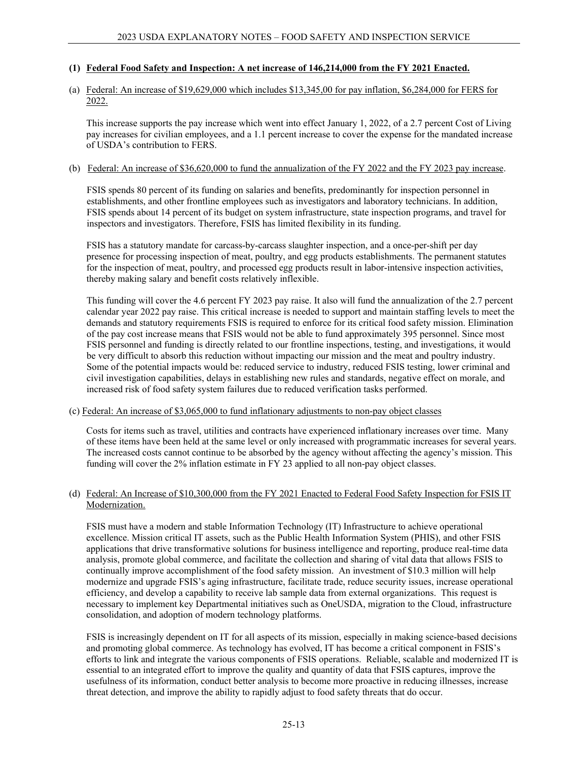## **(1) Federal Food Safety and Inspection: A net increase of 146,214,000 from the FY 2021 Enacted.**

#### (a) Federal: An increase of \$19,629,000 which includes \$13,345,00 for pay inflation, \$6,284,000 for FERS for 2022.

This increase supports the pay increase which went into effect January 1, 2022, of a 2.7 percent Cost of Living pay increases for civilian employees, and a 1.1 percent increase to cover the expense for the mandated increase of USDA's contribution to FERS.

#### (b) Federal: An increase of \$36,620,000 to fund the annualization of the FY 2022 and the FY 2023 pay increase.

FSIS spends 80 percent of its funding on salaries and benefits, predominantly for inspection personnel in establishments, and other frontline employees such as investigators and laboratory technicians. In addition, FSIS spends about 14 percent of its budget on system infrastructure, state inspection programs, and travel for inspectors and investigators. Therefore, FSIS has limited flexibility in its funding.

FSIS has a statutory mandate for carcass-by-carcass slaughter inspection, and a once-per-shift per day presence for processing inspection of meat, poultry, and egg products establishments. The permanent statutes for the inspection of meat, poultry, and processed egg products result in labor-intensive inspection activities, thereby making salary and benefit costs relatively inflexible.

This funding will cover the 4.6 percent FY 2023 pay raise. It also will fund the annualization of the 2.7 percent calendar year 2022 pay raise. This critical increase is needed to support and maintain staffing levels to meet the demands and statutory requirements FSIS is required to enforce for its critical food safety mission. Elimination of the pay cost increase means that FSIS would not be able to fund approximately 395 personnel. Since most FSIS personnel and funding is directly related to our frontline inspections, testing, and investigations, it would be very difficult to absorb this reduction without impacting our mission and the meat and poultry industry. Some of the potential impacts would be: reduced service to industry, reduced FSIS testing, lower criminal and civil investigation capabilities, delays in establishing new rules and standards, negative effect on morale, and increased risk of food safety system failures due to reduced verification tasks performed.

#### (c) Federal: An increase of \$3,065,000 to fund inflationary adjustments to non-pay object classes

Costs for items such as travel, utilities and contracts have experienced inflationary increases over time. Many of these items have been held at the same level or only increased with programmatic increases for several years. The increased costs cannot continue to be absorbed by the agency without affecting the agency's mission. This funding will cover the 2% inflation estimate in FY 23 applied to all non-pay object classes.

#### (d) Federal: An Increase of \$10,300,000 from the FY 2021 Enacted to Federal Food Safety Inspection for FSIS IT Modernization.

FSIS must have a modern and stable Information Technology (IT) Infrastructure to achieve operational excellence. Mission critical IT assets, such as the Public Health Information System (PHIS), and other FSIS applications that drive transformative solutions for business intelligence and reporting, produce real-time data analysis, promote global commerce, and facilitate the collection and sharing of vital data that allows FSIS to continually improve accomplishment of the food safety mission. An investment of \$10.3 million will help modernize and upgrade FSIS's aging infrastructure, facilitate trade, reduce security issues, increase operational efficiency, and develop a capability to receive lab sample data from external organizations. This request is necessary to implement key Departmental initiatives such as OneUSDA, migration to the Cloud, infrastructure consolidation, and adoption of modern technology platforms.

FSIS is increasingly dependent on IT for all aspects of its mission, especially in making science-based decisions and promoting global commerce. As technology has evolved, IT has become a critical component in FSIS's efforts to link and integrate the various components of FSIS operations. Reliable, scalable and modernized IT is essential to an integrated effort to improve the quality and quantity of data that FSIS captures, improve the usefulness of its information, conduct better analysis to become more proactive in reducing illnesses, increase threat detection, and improve the ability to rapidly adjust to food safety threats that do occur.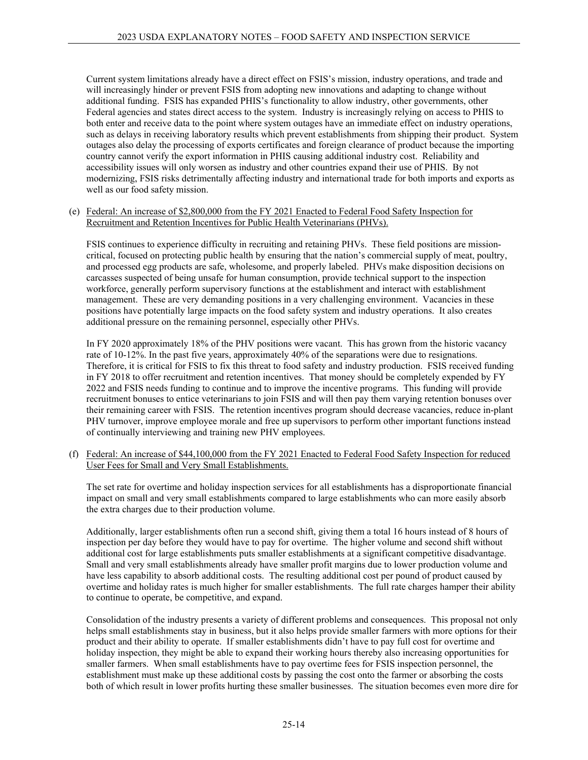Current system limitations already have a direct effect on FSIS's mission, industry operations, and trade and will increasingly hinder or prevent FSIS from adopting new innovations and adapting to change without additional funding. FSIS has expanded PHIS's functionality to allow industry, other governments, other Federal agencies and states direct access to the system. Industry is increasingly relying on access to PHIS to both enter and receive data to the point where system outages have an immediate effect on industry operations, such as delays in receiving laboratory results which prevent establishments from shipping their product. System outages also delay the processing of exports certificates and foreign clearance of product because the importing country cannot verify the export information in PHIS causing additional industry cost. Reliability and accessibility issues will only worsen as industry and other countries expand their use of PHIS. By not modernizing, FSIS risks detrimentally affecting industry and international trade for both imports and exports as well as our food safety mission.

(e) Federal: An increase of \$2,800,000 from the FY 2021 Enacted to Federal Food Safety Inspection for Recruitment and Retention Incentives for Public Health Veterinarians (PHVs).

FSIS continues to experience difficulty in recruiting and retaining PHVs. These field positions are missioncritical, focused on protecting public health by ensuring that the nation's commercial supply of meat, poultry, and processed egg products are safe, wholesome, and properly labeled. PHVs make disposition decisions on carcasses suspected of being unsafe for human consumption, provide technical support to the inspection workforce, generally perform supervisory functions at the establishment and interact with establishment management. These are very demanding positions in a very challenging environment. Vacancies in these positions have potentially large impacts on the food safety system and industry operations. It also creates additional pressure on the remaining personnel, especially other PHVs.

In FY 2020 approximately 18% of the PHV positions were vacant. This has grown from the historic vacancy rate of 10-12%. In the past five years, approximately 40% of the separations were due to resignations. Therefore, it is critical for FSIS to fix this threat to food safety and industry production. FSIS received funding in FY 2018 to offer recruitment and retention incentives. That money should be completely expended by FY 2022 and FSIS needs funding to continue and to improve the incentive programs. This funding will provide recruitment bonuses to entice veterinarians to join FSIS and will then pay them varying retention bonuses over their remaining career with FSIS. The retention incentives program should decrease vacancies, reduce in-plant PHV turnover, improve employee morale and free up supervisors to perform other important functions instead of continually interviewing and training new PHV employees.

(f) Federal: An increase of \$44,100,000 from the FY 2021 Enacted to Federal Food Safety Inspection for reduced User Fees for Small and Very Small Establishments.

The set rate for overtime and holiday inspection services for all establishments has a disproportionate financial impact on small and very small establishments compared to large establishments who can more easily absorb the extra charges due to their production volume.

Additionally, larger establishments often run a second shift, giving them a total 16 hours instead of 8 hours of inspection per day before they would have to pay for overtime. The higher volume and second shift without additional cost for large establishments puts smaller establishments at a significant competitive disadvantage. Small and very small establishments already have smaller profit margins due to lower production volume and have less capability to absorb additional costs. The resulting additional cost per pound of product caused by overtime and holiday rates is much higher for smaller establishments. The full rate charges hamper their ability to continue to operate, be competitive, and expand.

Consolidation of the industry presents a variety of different problems and consequences. This proposal not only helps small establishments stay in business, but it also helps provide smaller farmers with more options for their product and their ability to operate. If smaller establishments didn't have to pay full cost for overtime and holiday inspection, they might be able to expand their working hours thereby also increasing opportunities for smaller farmers. When small establishments have to pay overtime fees for FSIS inspection personnel, the establishment must make up these additional costs by passing the cost onto the farmer or absorbing the costs both of which result in lower profits hurting these smaller businesses. The situation becomes even more dire for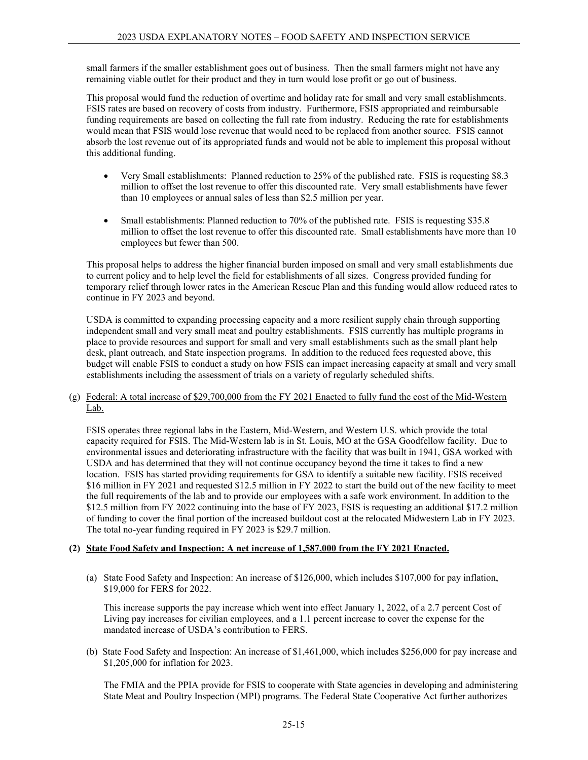small farmers if the smaller establishment goes out of business. Then the small farmers might not have any remaining viable outlet for their product and they in turn would lose profit or go out of business.

This proposal would fund the reduction of overtime and holiday rate for small and very small establishments. FSIS rates are based on recovery of costs from industry. Furthermore, FSIS appropriated and reimbursable funding requirements are based on collecting the full rate from industry. Reducing the rate for establishments would mean that FSIS would lose revenue that would need to be replaced from another source. FSIS cannot absorb the lost revenue out of its appropriated funds and would not be able to implement this proposal without this additional funding.

- Very Small establishments: Planned reduction to 25% of the published rate. FSIS is requesting \$8.3 million to offset the lost revenue to offer this discounted rate. Very small establishments have fewer than 10 employees or annual sales of less than \$2.5 million per year.
- Small establishments: Planned reduction to 70% of the published rate. FSIS is requesting \$35.8 million to offset the lost revenue to offer this discounted rate. Small establishments have more than 10 employees but fewer than 500.

This proposal helps to address the higher financial burden imposed on small and very small establishments due to current policy and to help level the field for establishments of all sizes. Congress provided funding for temporary relief through lower rates in the American Rescue Plan and this funding would allow reduced rates to continue in FY 2023 and beyond.

USDA is committed to expanding processing capacity and a more resilient supply chain through supporting independent small and very small meat and poultry establishments. FSIS currently has multiple programs in place to provide resources and support for small and very small establishments such as the small plant help desk, plant outreach, and State inspection programs. In addition to the reduced fees requested above, this budget will enable FSIS to conduct a study on how FSIS can impact increasing capacity at small and very small establishments including the assessment of trials on a variety of regularly scheduled shifts.

(g) Federal: A total increase of \$29,700,000 from the FY 2021 Enacted to fully fund the cost of the Mid-Western Lab.

FSIS operates three regional labs in the Eastern, Mid-Western, and Western U.S. which provide the total capacity required for FSIS. The Mid-Western lab is in St. Louis, MO at the GSA Goodfellow facility. Due to environmental issues and deteriorating infrastructure with the facility that was built in 1941, GSA worked with USDA and has determined that they will not continue occupancy beyond the time it takes to find a new location. FSIS has started providing requirements for GSA to identify a suitable new facility. FSIS received \$16 million in FY 2021 and requested \$12.5 million in FY 2022 to start the build out of the new facility to meet the full requirements of the lab and to provide our employees with a safe work environment. In addition to the \$12.5 million from FY 2022 continuing into the base of FY 2023, FSIS is requesting an additional \$17.2 million of funding to cover the final portion of the increased buildout cost at the relocated Midwestern Lab in FY 2023. The total no-year funding required in FY 2023 is \$29.7 million.

## **(2) State Food Safety and Inspection: A net increase of 1,587,000 from the FY 2021 Enacted.**

(a) State Food Safety and Inspection: An increase of \$126,000, which includes \$107,000 for pay inflation, \$19,000 for FERS for 2022.

This increase supports the pay increase which went into effect January 1, 2022, of a 2.7 percent Cost of Living pay increases for civilian employees, and a 1.1 percent increase to cover the expense for the mandated increase of USDA's contribution to FERS.

(b) State Food Safety and Inspection: An increase of \$1,461,000, which includes \$256,000 for pay increase and \$1,205,000 for inflation for 2023.

The FMIA and the PPIA provide for FSIS to cooperate with State agencies in developing and administering State Meat and Poultry Inspection (MPI) programs. The Federal State Cooperative Act further authorizes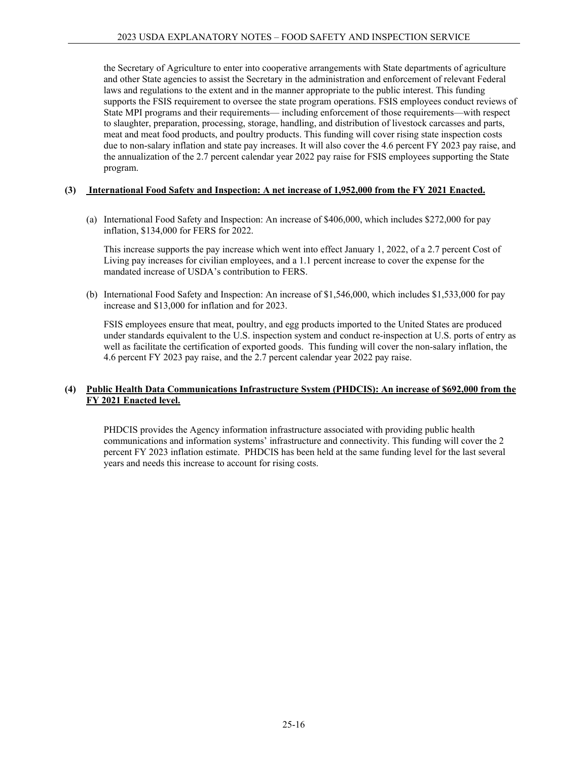the Secretary of Agriculture to enter into cooperative arrangements with State departments of agriculture and other State agencies to assist the Secretary in the administration and enforcement of relevant Federal laws and regulations to the extent and in the manner appropriate to the public interest. This funding supports the FSIS requirement to oversee the state program operations. FSIS employees conduct reviews of State MPI programs and their requirements— including enforcement of those requirements—with respect to slaughter, preparation, processing, storage, handling, and distribution of livestock carcasses and parts, meat and meat food products, and poultry products. This funding will cover rising state inspection costs due to non-salary inflation and state pay increases. It will also cover the 4.6 percent FY 2023 pay raise, and the annualization of the 2.7 percent calendar year 2022 pay raise for FSIS employees supporting the State program.

## **(3) International Food Safety and Inspection: A net increase of 1,952,000 from the FY 2021 Enacted.**

(a) International Food Safety and Inspection: An increase of \$406,000, which includes \$272,000 for pay inflation, \$134,000 for FERS for 2022.

This increase supports the pay increase which went into effect January 1, 2022, of a 2.7 percent Cost of Living pay increases for civilian employees, and a 1.1 percent increase to cover the expense for the mandated increase of USDA's contribution to FERS.

(b) International Food Safety and Inspection: An increase of \$1,546,000, which includes \$1,533,000 for pay increase and \$13,000 for inflation and for 2023.

FSIS employees ensure that meat, poultry, and egg products imported to the United States are produced under standards equivalent to the U.S. inspection system and conduct re-inspection at U.S. ports of entry as well as facilitate the certification of exported goods. This funding will cover the non-salary inflation, the 4.6 percent FY 2023 pay raise, and the 2.7 percent calendar year 2022 pay raise.

## **(4) Public Health Data Communications Infrastructure System (PHDCIS): An increase of \$692,000 from the FY 2021 Enacted level.**

PHDCIS provides the Agency information infrastructure associated with providing public health communications and information systems' infrastructure and connectivity. This funding will cover the 2 percent FY 2023 inflation estimate. PHDCIS has been held at the same funding level for the last several years and needs this increase to account for rising costs.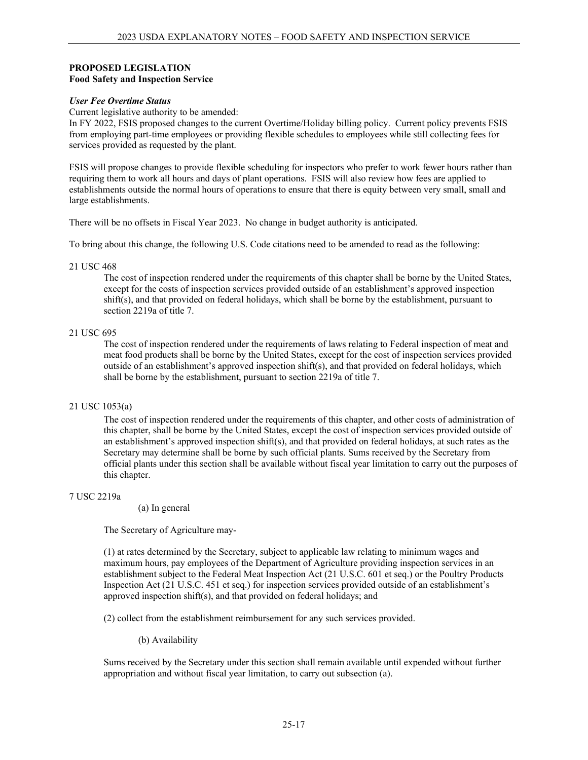#### **PROPOSED LEGISLATION Food Safety and Inspection Service**

#### *User Fee Overtime Status*

Current legislative authority to be amended:

In FY 2022, FSIS proposed changes to the current Overtime/Holiday billing policy. Current policy prevents FSIS from employing part-time employees or providing flexible schedules to employees while still collecting fees for services provided as requested by the plant.

FSIS will propose changes to provide flexible scheduling for inspectors who prefer to work fewer hours rather than requiring them to work all hours and days of plant operations. FSIS will also review how fees are applied to establishments outside the normal hours of operations to ensure that there is equity between very small, small and large establishments.

There will be no offsets in Fiscal Year 2023. No change in budget authority is anticipated.

To bring about this change, the following U.S. Code citations need to be amended to read as the following:

#### 21 USC 468

The cost of inspection rendered under the requirements of this chapter shall be borne by the United States, except for the costs of inspection services provided outside of an establishment's approved inspection shift(s), and that provided on federal holidays, which shall be borne by the establishment, pursuant to section 2219a of title 7.

#### 21 USC 695

The cost of inspection rendered under the requirements of laws relating to Federal inspection of meat and meat food products shall be borne by the United States, except for the cost of inspection services provided outside of an establishment's approved inspection shift(s), and that provided on federal holidays, which shall be borne by the establishment, pursuant to section 2219a of title 7.

## 21 USC 1053(a)

The cost of inspection rendered under the requirements of this chapter, and other costs of administration of this chapter, shall be borne by the United States, except the cost of inspection services provided outside of an establishment's approved inspection shift(s), and that provided on federal holidays, at such rates as the Secretary may determine shall be borne by such official plants. Sums received by the Secretary from official plants under this section shall be available without fiscal year limitation to carry out the purposes of this chapter.

#### 7 USC 2219a

(a) In general

The Secretary of Agriculture may-

(1) at rates determined by the Secretary, subject to applicable law relating to minimum wages and maximum hours, pay employees of the Department of Agriculture providing inspection services in an establishment subject to the Federal Meat Inspection Act (21 U.S.C. 601 et seq.) or the Poultry Products Inspection Act (21 U.S.C. 451 et seq.) for inspection services provided outside of an establishment's approved inspection shift(s), and that provided on federal holidays; and

(2) collect from the establishment reimbursement for any such services provided.

(b) Availability

Sums received by the Secretary under this section shall remain available until expended without further appropriation and without fiscal year limitation, to carry out subsection (a).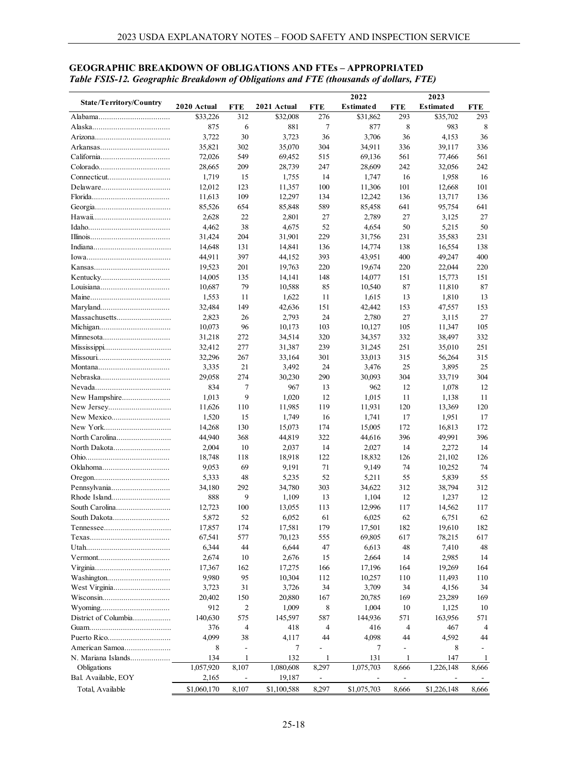#### **State/Territory/Country 2020 Actual FTE 2021 Actual FTE 2022 Estimated FTE 2023 Estimated FTE** Alabama.................................. \$33,226 312 \$32,008 276 \$31,862 293 \$35,702 293 Alaska..................................... 875 6 881 7 877 8 983 8 Arizona.................................... 3,722 30 3,723 36 3,706 36 4,153 36 Arkansas................................. 35,821 302 35,070 304 34,911 336 39,117 336 California................................. 72,026 549 69,452 515 69,136 561 77,466 561 Colorado.................................. 28,665 209 28,739 247 28,609 242 32,056 242 Connecticut.............................. 1,719 15 1,755 14 1,747 16 1,958 16 Delaware................................. 12,012 123 11,357 100 11,306 101 12,668 101 Florida..................................... 11,613 109 12,297 134 12,242 136 13,717 136 Georgia.................................... 85,526 654 85,848 589 85,458 641 95,754 641 Hawaii..................................... 2,628 22 2,801 27 2,789 27 3,125 27 Idaho....................................... 4,462 38 4,675 52 4,654 50 5,215 50 Illinois...................................... 31,424 204 31,901 229 31,756 231 35,583 231 Indiana..................................... 14,648 131 14,841 136 14,774 138 16,554 138 Iowa........................................ 44,911 397 44,152 393 43,951 400 49,247 400 Kansas.................................... 19,523 201 19,763 220 19,674 220 22,044 220 Kentucky................................. 14,005 135 14,141 148 14,077 151 15,773 151 Louisiana................................. 10,687 79 10,588 85 10,540 87 11,810 87 Maine...................................... 1,553 11 1,622 11 1,615 13 1,810 13 Maryland................................. 32,484 149 42,636 151 42,442 153 47,557 153 Massachusetts.......................... 2,823 26 2,793 24 2,780 27 3,115 27 Michigan.................................. 10,073 96 10,173 103 10,127 105 11,347 105 Minnesota................................ 31,218 272 34,514 320 34,357 332 38,497 332 Mississippi................................ 32,412 277 31,387 239 31,245 251 35,010 251 Missouri................................... 32,296 267 33,164 301 33,013 315 56,264 315 Montana.................................. 3,335 21 3,492 24 3,476 25 3,895 25 Nebraska................................. 29,058 274 30,230 290 30,093 304 33,719 304 Nevada.................................... 834 7 967 13 962 12 1,078 12 New Hampshire....................... 1,013 9 1,020 12 1,015 11 1,138 11 New Jersey.............................. 11,626 110 11,985 119 11,931 120 13,369 120 New Mexico............................ 1,520 15 1,749 16 1,741 17 1,951 17 New York................................ 14,268 130 15,073 174 15,005 172 16,813 172 North Carolina.......................... 44,940 368 44,819 322 44,616 396 49,991 396 North Dakota........................... 2,004 10 2,037 14 2,027 14 2,272 14 Ohio........................................ 18,748 118 18,918 122 18,832 126 21,102 126 Oklahoma................................ 9,053 69 9,191 71 9,149 74 10,252 74 Oregon.................................... 5,333 48 5,235 52 5,211 55 5,839 55 Pennsylvania............................ 34,180 292 34,780 303 34,622 312 38,794 312 Rhode Island............................ 888 9 1,109 13 1,104 12 1,237 12 South Carolina.......................... 12,723 100 13,055 113 12,996 117 14,562 117 South Dakota........................... 5,872 52 6,052 61 6,025 62 6,751 62 Tennessee................................ 17,857 174 17,581 179 17,501 182 19,610 182 Texas...................................... 67,541 577 70,123 555 69,805 617 78,215 617 Utah........................................ 6,344 44 6,644 47 6,613 48 7,410 48 Vermont.................................. 2,674 10 2,676 15 2,664 14 2,985 14 Virginia.................................... 17,367 162 17,275 166 17,196 164 19,269 164 Washington.............................. 9,980 95 10,304 112 10,257 110 11,493 110 West Virginia........................... 3,723 31 3,726 34 3,709 34 4,156 34 Wisconsin................................ 20,402 150 20,880 167 20,785 169 23,289 169 Wyoming................................. 912 2 1,009 8 1,004 10 1,125 10 District of Columbia.................. 140,630 575 145,597 587 144,936 571 163,956 571 Guam....................................... 376 4 418 4 416 4 467 4 Puerto Rico.............................. 4,099 38 4,117 44 4,098 44 4,592 44 American Samoa...................... 8 - 7 - 7 - 8 - N. Mariana Islands................... 134 1 132 1 131 1 147 1 Obligations 1,057,920 8,107 1,080,608 8,297 1,075,703 8,666 1,226,148 8,666 Bal. Available, EOY 2,165 - 19,187

#### **GEOGRAPHIC BREAKDOWN OF OBLIGATIONS AND FTEs – APPROPRIATED** *Table FSIS-12. Geographic Breakdown of Obligations and FTE (thousands of dollars, FTE)*

Total, Available \$1,060,170 8,107 \$1,100,588 8,297 \$1,075,703 8,666 \$1,226,148 8,666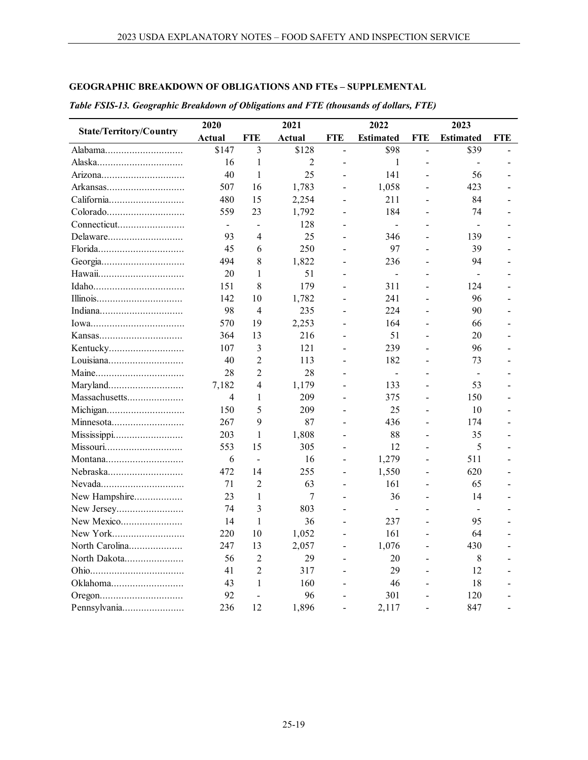# **GEOGRAPHIC BREAKDOWN OF OBLIGATIONS AND FTEs – SUPPLEMENTAL**

|                                | 2020                     |                | 2021   |                | 2022             |                | 2023             |     |
|--------------------------------|--------------------------|----------------|--------|----------------|------------------|----------------|------------------|-----|
| <b>State/Territory/Country</b> | Actual                   | FTE            | Actual | FTE            | <b>Estimated</b> | FTE            | <b>Estimated</b> | FTE |
| Alabama                        | \$147                    | 3              | \$128  | $\overline{a}$ | \$98             | $\overline{a}$ | \$39             |     |
|                                | 16                       | 1              | 2      |                | $\mathbf{1}$     |                |                  |     |
| Arizona                        | 40                       | $\mathbf{1}$   | 25     |                | 141              |                | 56               |     |
| Arkansas                       | 507                      | 16             | 1,783  |                | 1,058            |                | 423              |     |
| California                     | 480                      | 15             | 2,254  |                | 211              |                | 84               |     |
|                                | 559                      | 23             | 1,792  | $\overline{a}$ | 184              |                | 74               |     |
|                                | $\overline{\phantom{0}}$ |                | 128    |                |                  |                |                  |     |
| Delaware                       | 93                       | 4              | 25     |                | 346              |                | 139              |     |
| Florida                        | 45                       | 6              | 250    |                | 97               |                | 39               |     |
|                                | 494                      | 8              | 1,822  |                | 236              |                | 94               |     |
|                                | 20                       | 1              | 51     |                | $\overline{a}$   |                |                  |     |
|                                | 151                      | 8              | 179    |                | 311              |                | 124              |     |
|                                | 142                      | 10             | 1,782  | $\overline{a}$ | 241              |                | 96               |     |
|                                | 98                       | $\overline{4}$ | 235    |                | 224              |                | 90               |     |
|                                | 570                      | 19             | 2,253  |                | 164              |                | 66               |     |
|                                | 364                      | 13             | 216    |                | 51               |                | 20               |     |
| Kentucky                       | 107                      | 3              | 121    |                | 239              |                | 96               |     |
| Louisiana                      | 40                       | $\overline{2}$ | 113    |                | 182              |                | 73               |     |
|                                | 28                       | $\overline{2}$ | 28     |                | $\overline{a}$   |                |                  |     |
| Maryland                       | 7,182                    | 4              | 1,179  |                | 133              |                | 53               |     |
| Massachusetts                  | 4                        | 1              | 209    | $\overline{a}$ | 375              | $\overline{a}$ | 150              |     |
| Michigan                       | 150                      | 5              | 209    |                | 25               |                | 10               |     |
| Minnesota                      | 267                      | 9              | 87     |                | 436              |                | 174              |     |
| Mississippi                    | 203                      | $\mathbf{1}$   | 1,808  | $\overline{a}$ | 88               |                | 35               |     |
| Missouri                       | 553                      | 15             | 305    |                | 12               |                | 5                |     |
| Montana                        | 6                        | $\blacksquare$ | 16     |                | 1,279            |                | 511              |     |
| Nebraska                       | 472                      | 14             | 255    |                | 1,550            |                | 620              |     |
| Nevada                         | 71                       | $\overline{c}$ | 63     | $\overline{a}$ | 161              | $\overline{a}$ | 65               |     |
| New Hampshire                  | 23                       | 1              | 7      |                | 36               |                | 14               |     |
|                                | 74                       | 3              | 803    |                |                  |                |                  |     |
| New Mexico                     | 14                       | 1              | 36     |                | 237              |                | 95               |     |
| New York                       | 220                      | 10             | 1,052  |                | 161              |                | 64               |     |
| North Carolina                 | 247                      | 13             | 2,057  |                | 1,076            |                | 430              |     |
| North Dakota                   | 56                       | 2              | 29     |                | 20               |                | 8                |     |
|                                | 41                       | $\overline{2}$ | 317    |                | 29               |                | 12               |     |
| Oklahoma                       | 43                       | 1              | 160    |                | 46               |                | 18               |     |
|                                | 92                       |                | 96     |                | 301              |                | 120              |     |
| Pennsylvania                   | 236                      | 12             | 1,896  |                | 2,117            |                | 847              |     |

## *Table FSIS-13. Geographic Breakdown of Obligations and FTE (thousands of dollars, FTE)*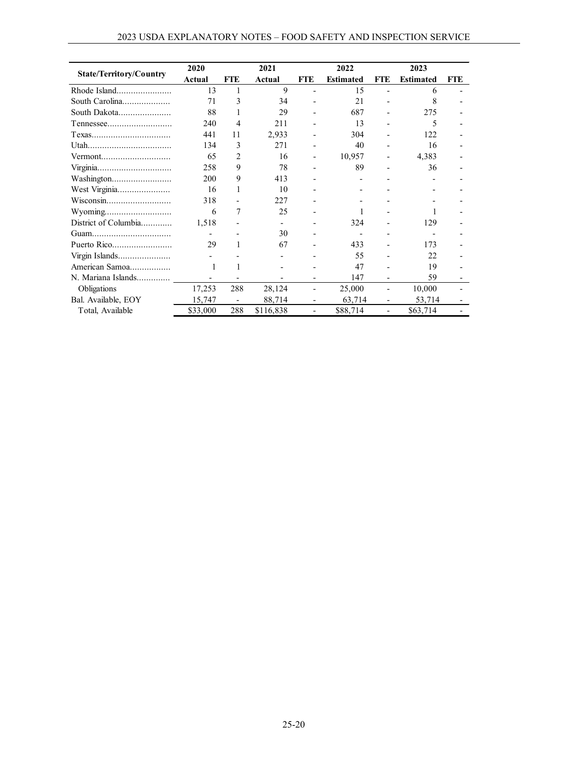|                                | 2020                     |            | 2021      |                          | 2022             |                          | 2023             |            |
|--------------------------------|--------------------------|------------|-----------|--------------------------|------------------|--------------------------|------------------|------------|
| <b>State/Territory/Country</b> | Actual                   | <b>FTE</b> | Actual    | <b>FTE</b>               | <b>Estimated</b> | <b>FTE</b>               | <b>Estimated</b> | <b>FTE</b> |
|                                | 13                       | 1          | 9         | $\overline{a}$           | 15               |                          | 6                |            |
| South Carolina                 | 71                       | 3          | 34        |                          | 21               |                          | 8                |            |
| South Dakota                   | 88                       |            | 29        |                          | 687              |                          | 275              |            |
| $T$ ennessee                   | 240                      | 4          | 211       |                          | 13               |                          | 5                |            |
|                                | 441                      | 11         | 2,933     |                          | 304              |                          | 122              |            |
| Utah                           | 134                      | 3          | 271       |                          | 40               |                          | 16               |            |
|                                | 65                       | 2          | 16        | $\overline{\phantom{0}}$ | 10,957           |                          | 4,383            |            |
|                                | 258                      | 9          | 78        |                          | 89               |                          | 36               |            |
|                                | 200                      | 9          | 413       |                          |                  |                          |                  |            |
| West Virginia                  | 16                       |            | 10        |                          |                  |                          |                  |            |
| Wisconsin                      | 318                      |            | 227       |                          |                  |                          |                  |            |
| Wyoming                        | 6                        | 7          | 25        |                          |                  |                          |                  |            |
| District of Columbia           | 1,518                    |            |           |                          | 324              |                          | 129              |            |
|                                |                          |            | 30        |                          |                  |                          |                  |            |
| Puerto Rico                    | 29                       |            | 67        |                          | 433              |                          | 173              |            |
| Virgin Islands                 |                          |            |           |                          | 55               |                          | 22.              |            |
| American Samoa                 |                          |            |           |                          | 47               |                          | 19               |            |
| N. Mariana Islands             | $\overline{\phantom{0}}$ |            |           |                          | 147              |                          | 59               |            |
| Obligations                    | 17,253                   | 288        | 28,124    |                          | 25,000           | $\overline{\phantom{0}}$ | 10,000           |            |
| Bal. Available, EOY            | 15,747                   |            | 88,714    |                          | 63,714           |                          | 53,714           |            |
| Total, Available               | \$33,000                 | 288        | \$116,838 |                          | \$88,714         |                          | \$63,714         |            |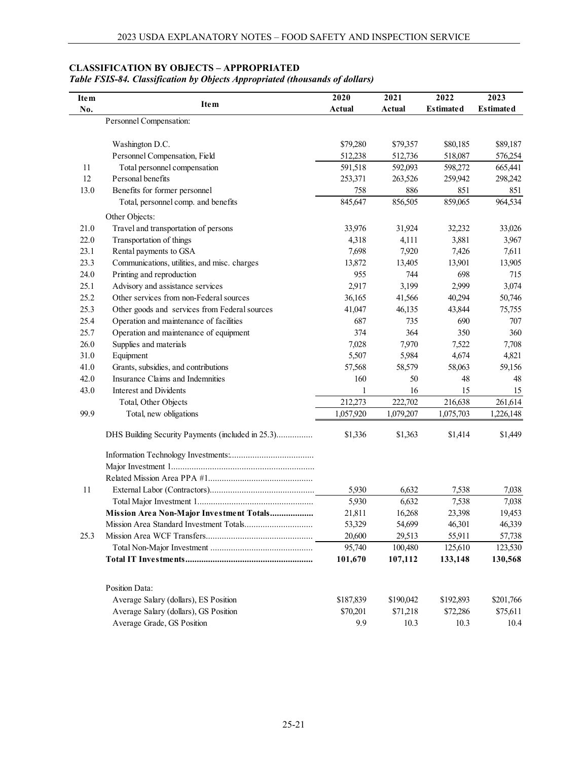## **CLASSIFICATION BY OBJECTS – APPROPRIATED**

## *Table FSIS-84. Classification by Objects Appropriated (thousands of dollars)*

| Item |                                                                                | 2020      | 2021      | 2022             | 2023             |
|------|--------------------------------------------------------------------------------|-----------|-----------|------------------|------------------|
| No.  | Item                                                                           | Actual    | Actual    | <b>Estimated</b> | <b>Estimated</b> |
|      | Personnel Compensation:                                                        |           |           |                  |                  |
|      | Washington D.C.                                                                | \$79,280  | \$79,357  | \$80,185         | \$89,187         |
|      | Personnel Compensation, Field                                                  | 512,238   | 512,736   | 518,087          | 576,254          |
| 11   | Total personnel compensation                                                   | 591,518   | 592,093   | 598,272          | 665,441          |
| 12   | Personal benefits                                                              | 253,371   | 263,526   | 259,942          | 298,242          |
| 13.0 | Benefits for former personnel                                                  | 758       | 886       | 851              | 851              |
|      | Total, personnel comp. and benefits                                            | 845,647   | 856,505   | 859,065          | 964,534          |
|      | Other Objects:                                                                 |           |           |                  |                  |
| 21.0 | Travel and transportation of persons                                           | 33,976    | 31,924    | 32,232           | 33,026           |
| 22.0 | Transportation of things                                                       | 4,318     | 4,111     | 3,881            | 3,967            |
| 23.1 | Rental payments to GSA                                                         | 7,698     | 7,920     | 7,426            | 7,611            |
| 23.3 | Communications, utilities, and misc. charges                                   | 13,872    | 13,405    | 13,901           | 13,905           |
| 24.0 | Printing and reproduction                                                      | 955       | 744       | 698              | 715              |
| 25.1 | Advisory and assistance services                                               | 2,917     | 3,199     | 2,999            | 3,074            |
| 25.2 | Other services from non-Federal sources                                        | 36,165    | 41,566    | 40,294           | 50,746           |
| 25.3 | Other goods and services from Federal sources                                  | 41,047    | 46,135    | 43,844           | 75,755           |
| 25.4 | Operation and maintenance of facilities                                        | 687       | 735       | 690              | 707              |
| 25.7 | Operation and maintenance of equipment                                         | 374       | 364       | 350              | 360              |
| 26.0 | Supplies and materials                                                         | 7,028     | 7,970     | 7,522            | 7,708            |
| 31.0 | Equipment                                                                      | 5,507     | 5,984     | 4,674            | 4,821            |
| 41.0 | Grants, subsidies, and contributions                                           | 57,568    | 58,579    | 58,063           | 59,156           |
| 42.0 | Insurance Claims and Indemnities                                               | 160       | 50        | 48               | 48               |
| 43.0 | Interest and Dividents                                                         | 1         | 16        | 15               | 15               |
|      | Total, Other Objects                                                           | 212,273   | 222,702   | 216,638          | 261,614          |
| 99.9 | Total, new obligations                                                         | 1,057,920 | 1,079,207 | 1,075,703        | 1,226,148        |
|      | DHS Building Security Payments (included in 25.3)                              | \$1,336   | \$1,363   | \$1,414          | \$1,449          |
|      |                                                                                |           |           |                  |                  |
|      |                                                                                |           |           |                  |                  |
|      |                                                                                |           |           |                  |                  |
| 11   |                                                                                | 5,930     | 6,632     | 7,538            | 7,038            |
|      |                                                                                | 5,930     | 6,632     | 7,538            | 7,038            |
|      | Mission Area Non-Major Investment Totals                                       | 21,811    | 16,268    | 23,398           | 19,453           |
|      |                                                                                | 53,329    | 54,699    | 46,301           | 46,339           |
| 25.3 |                                                                                | 20,600    | 29,513    | 55,911           | 57,738           |
|      |                                                                                | 95,740    | 100,480   | 125,610          | 123,530          |
|      |                                                                                | 101,670   | 107,112   | 133,148          | 130,568          |
|      | Position Data:                                                                 |           |           |                  |                  |
|      |                                                                                |           |           |                  |                  |
|      | Average Salary (dollars), ES Position<br>Average Salary (dollars), GS Position | \$187,839 | \$190,042 | \$192,893        | \$201,766        |
|      |                                                                                | \$70,201  | \$71,218  | \$72,286         | \$75,611         |
|      | Average Grade, GS Position                                                     | 9.9       | 10.3      | 10.3             | 10.4             |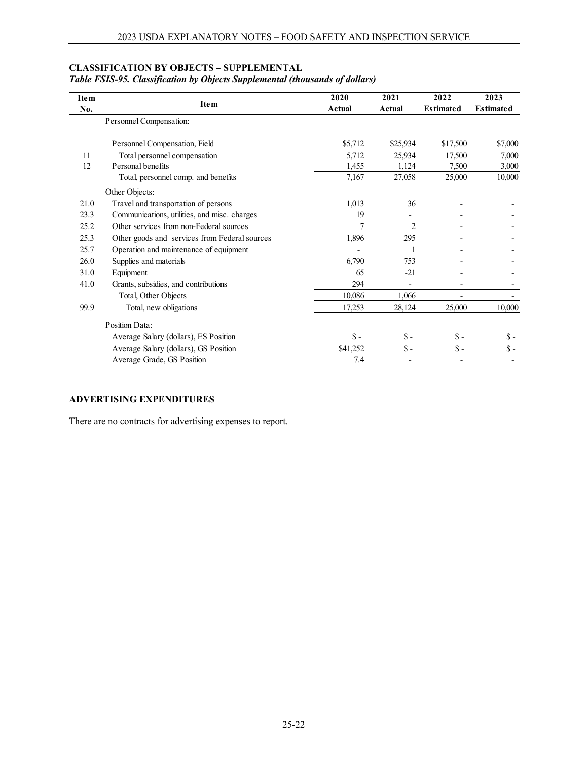## **CLASSIFICATION BY OBJECTS – SUPPLEMENTAL**

|  | Table FSIS-95. Classification by Objects Supplemental (thousands of dollars) |  |  |  |  |  |
|--|------------------------------------------------------------------------------|--|--|--|--|--|
|--|------------------------------------------------------------------------------|--|--|--|--|--|

| <b>Item</b> |                                               | 2020     | 2021            | 2022             | 2023             |
|-------------|-----------------------------------------------|----------|-----------------|------------------|------------------|
| No.         | <b>Item</b>                                   | Actual   | Actual          | <b>Estimated</b> | <b>Estimated</b> |
|             | Personnel Compensation:                       |          |                 |                  |                  |
|             | Personnel Compensation, Field                 | \$5,712  | \$25,934        | \$17,500         | \$7,000          |
| 11          | Total personnel compensation                  | 5,712    | 25,934          | 17,500           | 7,000            |
| 12          | Personal benefits                             | 1,455    | 1,124           | 7,500            | 3,000            |
|             | Total, personnel comp. and benefits           | 7,167    | 27,058          | 25,000           | 10,000           |
|             | Other Objects:                                |          |                 |                  |                  |
| 21.0        | Travel and transportation of persons          | 1,013    | 36              |                  |                  |
| 23.3        | Communications, utilities, and misc. charges  | 19       |                 |                  |                  |
| 25.2        | Other services from non-Federal sources       | 7        | 2               |                  |                  |
| 25.3        | Other goods and services from Federal sources | 1,896    | 295             |                  |                  |
| 25.7        | Operation and maintenance of equipment        |          |                 |                  |                  |
| 26.0        | Supplies and materials                        | 6,790    | 753             |                  |                  |
| 31.0        | Equipment                                     | 65       | $-21$           |                  |                  |
| 41.0        | Grants, subsidies, and contributions          | 294      |                 |                  |                  |
|             | Total, Other Objects                          | 10,086   | 1,066           |                  |                  |
| 99.9        | Total, new obligations                        | 17,253   | 28,124          | 25,000           | 10,000           |
|             | Position Data:                                |          |                 |                  |                  |
|             | Average Salary (dollars), ES Position         | $S -$    | $\mathsf{\$}$ - | $\mathsf{\$}$ -  | $S -$            |
|             | Average Salary (dollars), GS Position         | \$41,252 | $\mathsf{\$}$ - | $S -$            | \$ -             |
|             | Average Grade, GS Position                    | 7.4      |                 |                  |                  |

## **ADVERTISING EXPENDITURES**

There are no contracts for advertising expenses to report.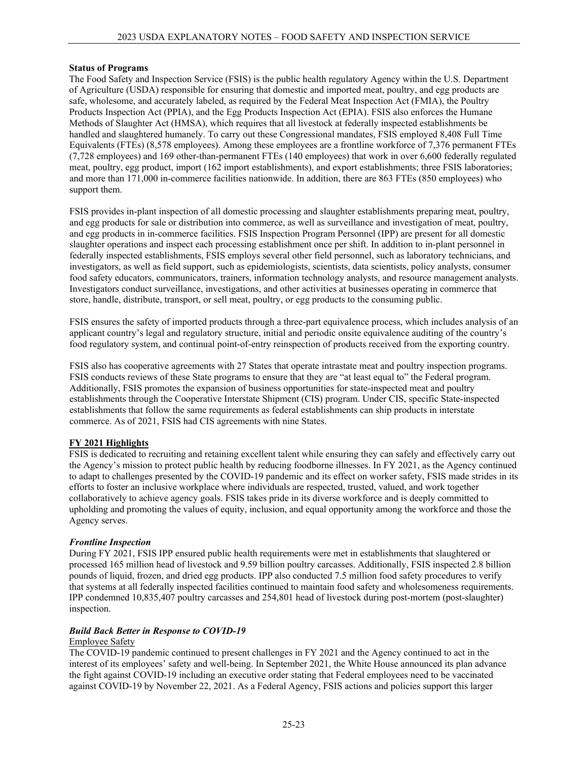#### **Status of Programs**

The Food Safety and Inspection Service (FSIS) is the public health regulatory Agency within the U.S. Department of Agriculture (USDA) responsible for ensuring that domestic and imported meat, poultry, and egg products are safe, wholesome, and accurately labeled, as required by the Federal Meat Inspection Act (FMIA), the Poultry Products Inspection Act (PPIA), and the Egg Products Inspection Act (EPIA). FSIS also enforces the Humane Methods of Slaughter Act (HMSA), which requires that all livestock at federally inspected establishments be handled and slaughtered humanely. To carry out these Congressional mandates, FSIS employed 8,408 Full Time Equivalents (FTEs) (8,578 employees). Among these employees are a frontline workforce of 7,376 permanent FTEs (7,728 employees) and 169 other-than-permanent FTEs (140 employees) that work in over 6,600 federally regulated meat, poultry, egg product, import (162 import establishments), and export establishments; three FSIS laboratories; and more than 171,000 in-commerce facilities nationwide. In addition, there are 863 FTEs (850 employees) who support them.

FSIS provides in-plant inspection of all domestic processing and slaughter establishments preparing meat, poultry, and egg products for sale or distribution into commerce, as well as surveillance and investigation of meat, poultry, and egg products in in-commerce facilities. FSIS Inspection Program Personnel (IPP) are present for all domestic slaughter operations and inspect each processing establishment once per shift. In addition to in-plant personnel in federally inspected establishments, FSIS employs several other field personnel, such as laboratory technicians, and investigators, as well as field support, such as epidemiologists, scientists, data scientists, policy analysts, consumer food safety educators, communicators, trainers, information technology analysts, and resource management analysts. Investigators conduct surveillance, investigations, and other activities at businesses operating in commerce that store, handle, distribute, transport, or sell meat, poultry, or egg products to the consuming public.

FSIS ensures the safety of imported products through a three-part equivalence process, which includes analysis of an applicant country's legal and regulatory structure, initial and periodic onsite equivalence auditing of the country's food regulatory system, and continual point-of-entry reinspection of products received from the exporting country.

FSIS also has cooperative agreements with 27 States that operate intrastate meat and poultry inspection programs. FSIS conducts reviews of these State programs to ensure that they are "at least equal to" the Federal program. Additionally, FSIS promotes the expansion of business opportunities for state-inspected meat and poultry establishments through the Cooperative Interstate Shipment (CIS) program. Under CIS, specific State-inspected establishments that follow the same requirements as federal establishments can ship products in interstate commerce. As of 2021, FSIS had CIS agreements with nine States.

## **FY 2021 Highlights**

FSIS is dedicated to recruiting and retaining excellent talent while ensuring they can safely and effectively carry out the Agency's mission to protect public health by reducing foodborne illnesses. In FY 2021, as the Agency continued to adapt to challenges presented by the COVID-19 pandemic and its effect on worker safety, FSIS made strides in its efforts to foster an inclusive workplace where individuals are respected, trusted, valued, and work together collaboratively to achieve agency goals. FSIS takes pride in its diverse workforce and is deeply committed to upholding and promoting the values of equity, inclusion, and equal opportunity among the workforce and those the Agency serves.

## *Frontline Inspection*

During FY 2021, FSIS IPP ensured public health requirements were met in establishments that slaughtered or processed 165 million head of livestock and 9.59 billion poultry carcasses. Additionally, FSIS inspected 2.8 billion pounds of liquid, frozen, and dried egg products. IPP also conducted 7.5 million food safety procedures to verify that systems at all federally inspected facilities continued to maintain food safety and wholesomeness requirements. IPP condemned 10,835,407 poultry carcasses and 254,801 head of livestock during post-mortem (post-slaughter) inspection.

# *Build Back Better in Response to COVID-19*

## Employee Safety

The COVID-19 pandemic continued to present challenges in FY 2021 and the Agency continued to act in the interest of its employees' safety and well-being. In September 2021, the White House announced its plan advance the fight against COVID-19 including an executive order stating that Federal employees need to be vaccinated against COVID-19 by November 22, 2021. As a Federal Agency, FSIS actions and policies support this larger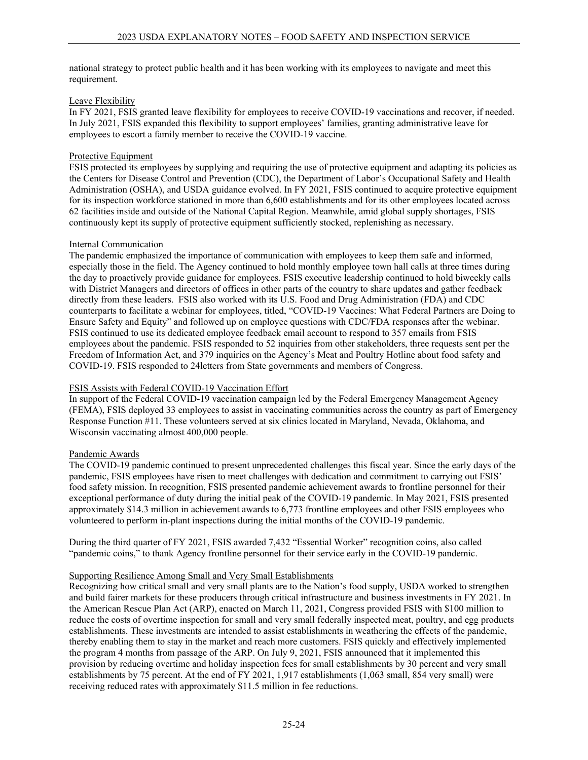national strategy to protect public health and it has been working with its employees to navigate and meet this requirement.

## Leave Flexibility

In FY 2021, FSIS granted leave flexibility for employees to receive COVID-19 vaccinations and recover, if needed. In July 2021, FSIS expanded this flexibility to support employees' families, granting administrative leave for employees to escort a family member to receive the COVID-19 vaccine.

#### Protective Equipment

FSIS protected its employees by supplying and requiring the use of protective equipment and adapting its policies as the Centers for Disease Control and Prevention (CDC), the Department of Labor's Occupational Safety and Health Administration (OSHA), and USDA guidance evolved. In FY 2021, FSIS continued to acquire protective equipment for its inspection workforce stationed in more than 6,600 establishments and for its other employees located across 62 facilities inside and outside of the National Capital Region. Meanwhile, amid global supply shortages, FSIS continuously kept its supply of protective equipment sufficiently stocked, replenishing as necessary.

#### Internal Communication

The pandemic emphasized the importance of communication with employees to keep them safe and informed, especially those in the field. The Agency continued to hold monthly employee town hall calls at three times during the day to proactively provide guidance for employees. FSIS executive leadership continued to hold biweekly calls with District Managers and directors of offices in other parts of the country to share updates and gather feedback directly from these leaders. FSIS also worked with its U.S. Food and Drug Administration (FDA) and CDC counterparts to facilitate a webinar for employees, titled, "COVID-19 Vaccines: What Federal Partners are Doing to Ensure Safety and Equity" and followed up on employee questions with CDC/FDA responses after the webinar. FSIS continued to use its dedicated employee feedback email account to respond to 357 emails from FSIS employees about the pandemic. FSIS responded to 52 inquiries from other stakeholders, three requests sent per the Freedom of Information Act, and 379 inquiries on the Agency's Meat and Poultry Hotline about food safety and COVID-19. FSIS responded to 24letters from State governments and members of Congress.

## FSIS Assists with Federal COVID-19 Vaccination Effort

In support of the Federal COVID-19 vaccination campaign led by the Federal Emergency Management Agency (FEMA), FSIS deployed 33 employees to assist in vaccinating communities across the country as part of Emergency Response Function #11. These volunteers served at six clinics located in Maryland, Nevada, Oklahoma, and Wisconsin vaccinating almost 400,000 people.

## Pandemic Awards

The COVID-19 pandemic continued to present unprecedented challenges this fiscal year. Since the early days of the pandemic, FSIS employees have risen to meet challenges with dedication and commitment to carrying out FSIS' food safety mission. In recognition, FSIS presented pandemic achievement awards to frontline personnel for their exceptional performance of duty during the initial peak of the COVID-19 pandemic. In May 2021, FSIS presented approximately \$14.3 million in achievement awards to 6,773 frontline employees and other FSIS employees who volunteered to perform in-plant inspections during the initial months of the COVID-19 pandemic.

During the third quarter of FY 2021, FSIS awarded 7,432 "Essential Worker" recognition coins, also called "pandemic coins," to thank Agency frontline personnel for their service early in the COVID-19 pandemic.

## Supporting Resilience Among Small and Very Small Establishments

Recognizing how critical small and very small plants are to the Nation's food supply, USDA worked to strengthen and build fairer markets for these producers through critical infrastructure and business investments in FY 2021. In the American Rescue Plan Act (ARP), enacted on March 11, 2021, Congress provided FSIS with \$100 million to reduce the costs of overtime inspection for small and very small federally inspected meat, poultry, and egg products establishments. These investments are intended to assist establishments in weathering the effects of the pandemic, thereby enabling them to stay in the market and reach more customers. FSIS quickly and effectively implemented the program 4 months from passage of the ARP. On July 9, 2021, FSIS announced that it implemented this provision by reducing overtime and holiday inspection fees for small establishments by 30 percent and very small establishments by 75 percent. At the end of FY 2021, 1,917 establishments (1,063 small, 854 very small) were receiving reduced rates with approximately \$11.5 million in fee reductions.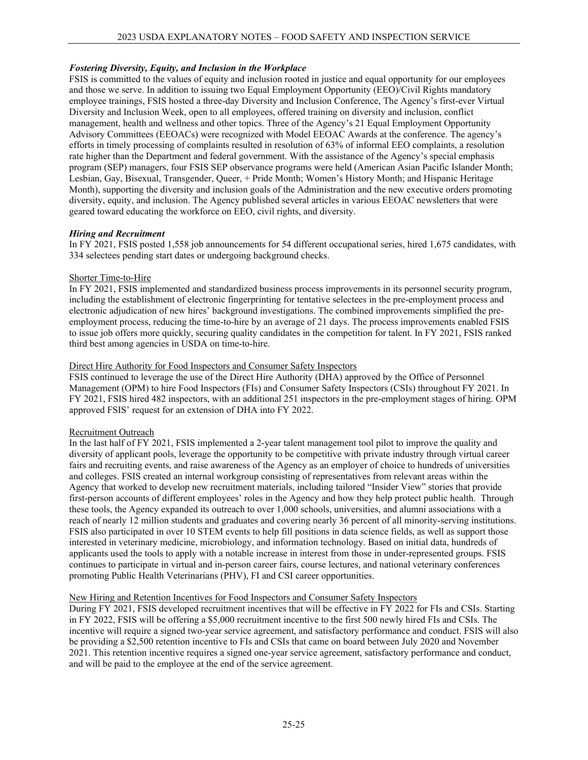## *Fostering Diversity, Equity, and Inclusion in the Workplace*

FSIS is committed to the values of equity and inclusion rooted in justice and equal opportunity for our employees and those we serve. In addition to issuing two Equal Employment Opportunity (EEO)/Civil Rights mandatory employee trainings, FSIS hosted a three-day Diversity and Inclusion Conference, The Agency's first-ever Virtual Diversity and Inclusion Week, open to all employees, offered training on diversity and inclusion, conflict management, health and wellness and other topics. Three of the Agency's 21 Equal Employment Opportunity Advisory Committees (EEOACs) were recognized with Model EEOAC Awards at the conference. The agency's efforts in timely processing of complaints resulted in resolution of 63% of informal EEO complaints, a resolution rate higher than the Department and federal government. With the assistance of the Agency's special emphasis program (SEP) managers, four FSIS SEP observance programs were held (American Asian Pacific Islander Month; Lesbian, Gay, Bisexual, Transgender, Queer, + Pride Month; Women's History Month; and Hispanic Heritage Month), supporting the diversity and inclusion goals of the Administration and the new executive orders promoting diversity, equity, and inclusion. The Agency published several articles in various EEOAC newsletters that were geared toward educating the workforce on EEO, civil rights, and diversity.

## *Hiring and Recruitment*

In FY 2021, FSIS posted 1,558 job announcements for 54 different occupational series, hired 1,675 candidates, with 334 selectees pending start dates or undergoing background checks.

## Shorter Time-to-Hire

In FY 2021, FSIS implemented and standardized business process improvements in its personnel security program, including the establishment of electronic fingerprinting for tentative selectees in the pre-employment process and electronic adjudication of new hires' background investigations. The combined improvements simplified the preemployment process, reducing the time-to-hire by an average of 21 days. The process improvements enabled FSIS to issue job offers more quickly, securing quality candidates in the competition for talent. In FY 2021, FSIS ranked third best among agencies in USDA on time-to-hire.

## Direct Hire Authority for Food Inspectors and Consumer Safety Inspectors

FSIS continued to leverage the use of the Direct Hire Authority (DHA) approved by the Office of Personnel Management (OPM) to hire Food Inspectors (FIs) and Consumer Safety Inspectors (CSIs) throughout FY 2021. In FY 2021, FSIS hired 482 inspectors, with an additional 251 inspectors in the pre-employment stages of hiring. OPM approved FSIS' request for an extension of DHA into FY 2022.

## Recruitment Outreach

In the last half of FY 2021, FSIS implemented a 2-year talent management tool pilot to improve the quality and diversity of applicant pools, leverage the opportunity to be competitive with private industry through virtual career fairs and recruiting events, and raise awareness of the Agency as an employer of choice to hundreds of universities and colleges. FSIS created an internal workgroup consisting of representatives from relevant areas within the Agency that worked to develop new recruitment materials, including tailored "Insider View" stories that provide first-person accounts of different employees' roles in the Agency and how they help protect public health. Through these tools, the Agency expanded its outreach to over 1,000 schools, universities, and alumni associations with a reach of nearly 12 million students and graduates and covering nearly 36 percent of all minority-serving institutions. FSIS also participated in over 10 STEM events to help fill positions in data science fields, as well as support those interested in veterinary medicine, microbiology, and information technology. Based on initial data, hundreds of applicants used the tools to apply with a notable increase in interest from those in under-represented groups. FSIS continues to participate in virtual and in-person career fairs, course lectures, and national veterinary conferences promoting Public Health Veterinarians (PHV), FI and CSI career opportunities.

## New Hiring and Retention Incentives for Food Inspectors and Consumer Safety Inspectors

During FY 2021, FSIS developed recruitment incentives that will be effective in FY 2022 for FIs and CSIs. Starting in FY 2022, FSIS will be offering a \$5,000 recruitment incentive to the first 500 newly hired FIs and CSIs. The incentive will require a signed two-year service agreement, and satisfactory performance and conduct. FSIS will also be providing a \$2,500 retention incentive to FIs and CSIs that came on board between July 2020 and November 2021. This retention incentive requires a signed one-year service agreement, satisfactory performance and conduct, and will be paid to the employee at the end of the service agreement.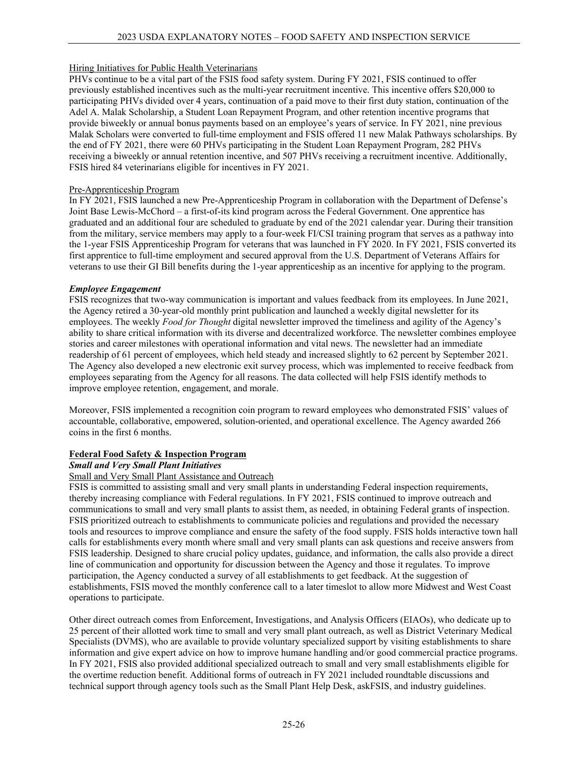## Hiring Initiatives for Public Health Veterinarians

PHVs continue to be a vital part of the FSIS food safety system. During FY 2021, FSIS continued to offer previously established incentives such as the multi-year recruitment incentive. This incentive offers \$20,000 to participating PHVs divided over 4 years, continuation of a paid move to their first duty station, continuation of the Adel A. Malak Scholarship, a Student Loan Repayment Program, and other retention incentive programs that provide biweekly or annual bonus payments based on an employee's years of service. In FY 2021, nine previous Malak Scholars were converted to full-time employment and FSIS offered 11 new Malak Pathways scholarships. By the end of FY 2021, there were 60 PHVs participating in the Student Loan Repayment Program, 282 PHVs receiving a biweekly or annual retention incentive, and 507 PHVs receiving a recruitment incentive. Additionally, FSIS hired 84 veterinarians eligible for incentives in FY 2021.

## Pre-Apprenticeship Program

In FY 2021, FSIS launched a new Pre-Apprenticeship Program in collaboration with the Department of Defense's Joint Base Lewis-McChord – a first-of-its kind program across the Federal Government. One apprentice has graduated and an additional four are scheduled to graduate by end of the 2021 calendar year. During their transition from the military, service members may apply to a four-week FI/CSI training program that serves as a pathway into the 1-year FSIS Apprenticeship Program for veterans that was launched in FY 2020. In FY 2021, FSIS converted its first apprentice to full-time employment and secured approval from the U.S. Department of Veterans Affairs for veterans to use their GI Bill benefits during the 1-year apprenticeship as an incentive for applying to the program.

## *Employee Engagement*

FSIS recognizes that two-way communication is important and values feedback from its employees. In June 2021, the Agency retired a 30-year-old monthly print publication and launched a weekly digital newsletter for its employees. The weekly *Food for Thought* digital newsletter improved the timeliness and agility of the Agency's ability to share critical information with its diverse and decentralized workforce. The newsletter combines employee stories and career milestones with operational information and vital news. The newsletter had an immediate readership of 61 percent of employees, which held steady and increased slightly to 62 percent by September 2021. The Agency also developed a new electronic exit survey process, which was implemented to receive feedback from employees separating from the Agency for all reasons. The data collected will help FSIS identify methods to improve employee retention, engagement, and morale.

Moreover, FSIS implemented a recognition coin program to reward employees who demonstrated FSIS' values of accountable, collaborative, empowered, solution-oriented, and operational excellence. The Agency awarded 266 coins in the first 6 months.

# **Federal Food Safety & Inspection Program**

## *Small and Very Small Plant Initiatives*

## Small and Very Small Plant Assistance and Outreach

FSIS is committed to assisting small and very small plants in understanding Federal inspection requirements, thereby increasing compliance with Federal regulations. In FY 2021, FSIS continued to improve outreach and communications to small and very small plants to assist them, as needed, in obtaining Federal grants of inspection. FSIS prioritized outreach to establishments to communicate policies and regulations and provided the necessary tools and resources to improve compliance and ensure the safety of the food supply. FSIS holds interactive town hall calls for establishments every month where small and very small plants can ask questions and receive answers from FSIS leadership. Designed to share crucial policy updates, guidance, and information, the calls also provide a direct line of communication and opportunity for discussion between the Agency and those it regulates. To improve participation, the Agency conducted a survey of all establishments to get feedback. At the suggestion of establishments, FSIS moved the monthly conference call to a later timeslot to allow more Midwest and West Coast operations to participate.

Other direct outreach comes from Enforcement, Investigations, and Analysis Officers (EIAOs), who dedicate up to 25 percent of their allotted work time to small and very small plant outreach, as well as District Veterinary Medical Specialists (DVMS), who are available to provide voluntary specialized support by visiting establishments to share information and give expert advice on how to improve humane handling and/or good commercial practice programs. In FY 2021, FSIS also provided additional specialized outreach to small and very small establishments eligible for the overtime reduction benefit. Additional forms of outreach in FY 2021 included roundtable discussions and technical support through agency tools such as the Small Plant Help Desk, askFSIS, and industry guidelines.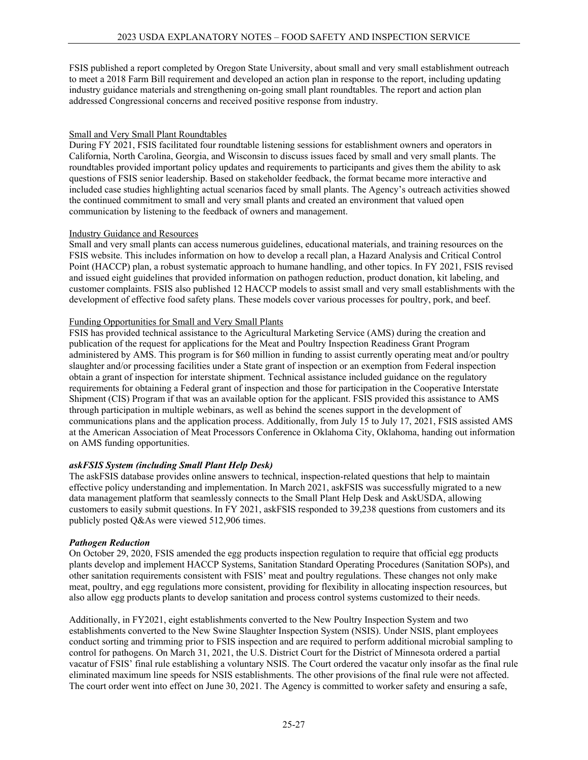FSIS published a report completed by Oregon State University, about small and very small establishment outreach to meet a 2018 Farm Bill requirement and developed an action plan in response to the report, including updating industry guidance materials and strengthening on-going small plant roundtables. The report and action plan addressed Congressional concerns and received positive response from industry.

## Small and Very Small Plant Roundtables

During FY 2021, FSIS facilitated four roundtable listening sessions for establishment owners and operators in California, North Carolina, Georgia, and Wisconsin to discuss issues faced by small and very small plants. The roundtables provided important policy updates and requirements to participants and gives them the ability to ask questions of FSIS senior leadership. Based on stakeholder feedback, the format became more interactive and included case studies highlighting actual scenarios faced by small plants. The Agency's outreach activities showed the continued commitment to small and very small plants and created an environment that valued open communication by listening to the feedback of owners and management.

## Industry Guidance and Resources

Small and very small plants can access numerous guidelines, educational materials, and training resources on the FSIS website. This includes information on how to develop a recall plan, a Hazard Analysis and Critical Control Point (HACCP) plan, a robust systematic approach to humane handling, and other topics. In FY 2021, FSIS revised and issued eight guidelines that provided information on pathogen reduction, product donation, kit labeling, and customer complaints. FSIS also published 12 HACCP models to assist small and very small establishments with the development of effective food safety plans. These models cover various processes for poultry, pork, and beef.

## Funding Opportunities for Small and Very Small Plants

FSIS has provided technical assistance to the Agricultural Marketing Service (AMS) during the creation and publication of the request for applications for the Meat and Poultry Inspection Readiness Grant Program administered by AMS. This program is for \$60 million in funding to assist currently operating meat and/or poultry slaughter and/or processing facilities under a State grant of inspection or an exemption from Federal inspection obtain a grant of inspection for interstate shipment. Technical assistance included guidance on the regulatory requirements for obtaining a Federal grant of inspection and those for participation in the Cooperative Interstate Shipment (CIS) Program if that was an available option for the applicant. FSIS provided this assistance to AMS through participation in multiple webinars, as well as behind the scenes support in the development of communications plans and the application process. Additionally, from July 15 to July 17, 2021, FSIS assisted AMS at the American Association of Meat Processors Conference in Oklahoma City, Oklahoma, handing out information on AMS funding opportunities.

# *askFSIS System (including Small Plant Help Desk)*

The askFSIS database provides online answers to technical, inspection-related questions that help to maintain effective policy understanding and implementation. In March 2021, askFSIS was successfully migrated to a new data management platform that seamlessly connects to the Small Plant Help Desk and AskUSDA, allowing customers to easily submit questions. In FY 2021, askFSIS responded to 39,238 questions from customers and its publicly posted Q&As were viewed 512,906 times.

## *Pathogen Reduction*

On October 29, 2020, FSIS amended the egg products inspection regulation to require that official egg products plants develop and implement HACCP Systems, Sanitation Standard Operating Procedures (Sanitation SOPs), and other sanitation requirements consistent with FSIS' meat and poultry regulations. These changes not only make meat, poultry, and egg regulations more consistent, providing for flexibility in allocating inspection resources, but also allow egg products plants to develop sanitation and process control systems customized to their needs.

Additionally, in FY2021, eight establishments converted to the New Poultry Inspection System and two establishments converted to the New Swine Slaughter Inspection System (NSIS). Under NSIS, plant employees conduct sorting and trimming prior to FSIS inspection and are required to perform additional microbial sampling to control for pathogens. On March 31, 2021, the U.S. District Court for the District of Minnesota ordered a partial vacatur of FSIS' final rule establishing a voluntary NSIS. The Court ordered the vacatur only insofar as the final rule eliminated maximum line speeds for NSIS establishments. The other provisions of the final rule were not affected. The court order went into effect on June 30, 2021. The Agency is committed to worker safety and ensuring a safe,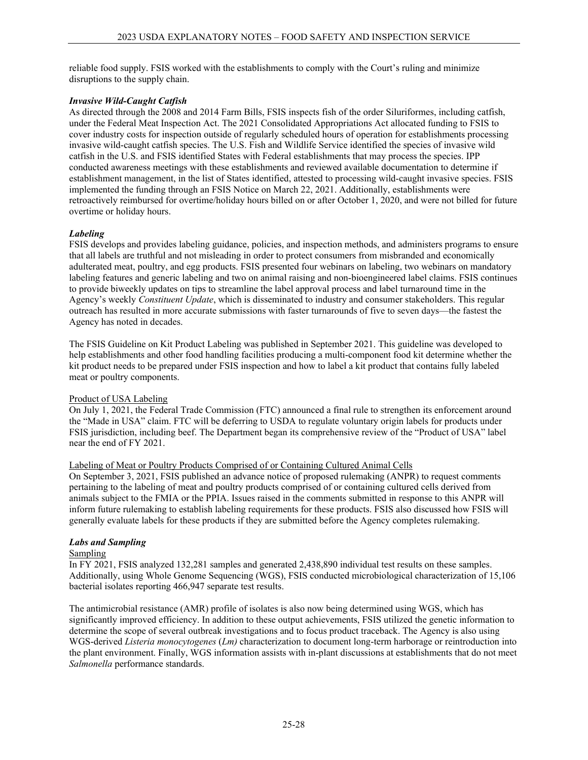reliable food supply. FSIS worked with the establishments to comply with the Court's ruling and minimize disruptions to the supply chain.

## *Invasive Wild-Caught Catfish*

As directed through the 2008 and 2014 Farm Bills, FSIS inspects fish of the order Siluriformes, including catfish, under the Federal Meat Inspection Act. The 2021 Consolidated Appropriations Act allocated funding to FSIS to cover industry costs for inspection outside of regularly scheduled hours of operation for establishments processing invasive wild-caught catfish species. The U.S. Fish and Wildlife Service identified the species of invasive wild catfish in the U.S. and FSIS identified States with Federal establishments that may process the species. IPP conducted awareness meetings with these establishments and reviewed available documentation to determine if establishment management, in the list of States identified, attested to processing wild-caught invasive species. FSIS implemented the funding through an FSIS Notice on March 22, 2021. Additionally, establishments were retroactively reimbursed for overtime/holiday hours billed on or after October 1, 2020, and were not billed for future overtime or holiday hours.

## *Labeling*

FSIS develops and provides labeling guidance, policies, and inspection methods, and administers programs to ensure that all labels are truthful and not misleading in order to protect consumers from misbranded and economically adulterated meat, poultry, and egg products. FSIS presented four webinars on labeling, two webinars on mandatory labeling features and generic labeling and two on animal raising and non-bioengineered label claims. FSIS continues to provide biweekly updates on tips to streamline the label approval process and label turnaround time in the Agency's weekly *Constituent Update*, which is disseminated to industry and consumer stakeholders. This regular outreach has resulted in more accurate submissions with faster turnarounds of five to seven days—the fastest the Agency has noted in decades.

The FSIS Guideline on Kit Product Labeling was published in September 2021. This guideline was developed to help establishments and other food handling facilities producing a multi-component food kit determine whether the kit product needs to be prepared under FSIS inspection and how to label a kit product that contains fully labeled meat or poultry components.

## Product of USA Labeling

On July 1, 2021, the Federal Trade Commission (FTC) announced a final rule to strengthen its enforcement around the "Made in USA" claim. FTC will be deferring to USDA to regulate voluntary origin labels for products under FSIS jurisdiction, including beef. The Department began its comprehensive review of the "Product of USA" label near the end of FY 2021.

## Labeling of Meat or Poultry Products Comprised of or Containing Cultured Animal Cells

On September 3, 2021, FSIS published an advance notice of proposed rulemaking (ANPR) to request comments pertaining to the labeling of meat and poultry products comprised of or containing cultured cells derived from animals subject to the FMIA or the PPIA. Issues raised in the comments submitted in response to this ANPR will inform future rulemaking to establish labeling requirements for these products. FSIS also discussed how FSIS will generally evaluate labels for these products if they are submitted before the Agency completes rulemaking.

## *Labs and Sampling*

## Sampling

In FY 2021, FSIS analyzed 132,281 samples and generated 2,438,890 individual test results on these samples. Additionally, using Whole Genome Sequencing (WGS), FSIS conducted microbiological characterization of 15,106 bacterial isolates reporting 466,947 separate test results.

The antimicrobial resistance (AMR) profile of isolates is also now being determined using WGS, which has significantly improved efficiency. In addition to these output achievements, FSIS utilized the genetic information to determine the scope of several outbreak investigations and to focus product traceback. The Agency is also using WGS-derived *Listeria monocytogenes* (*Lm)* characterization to document long-term harborage or reintroduction into the plant environment. Finally, WGS information assists with in-plant discussions at establishments that do not meet *Salmonella* performance standards.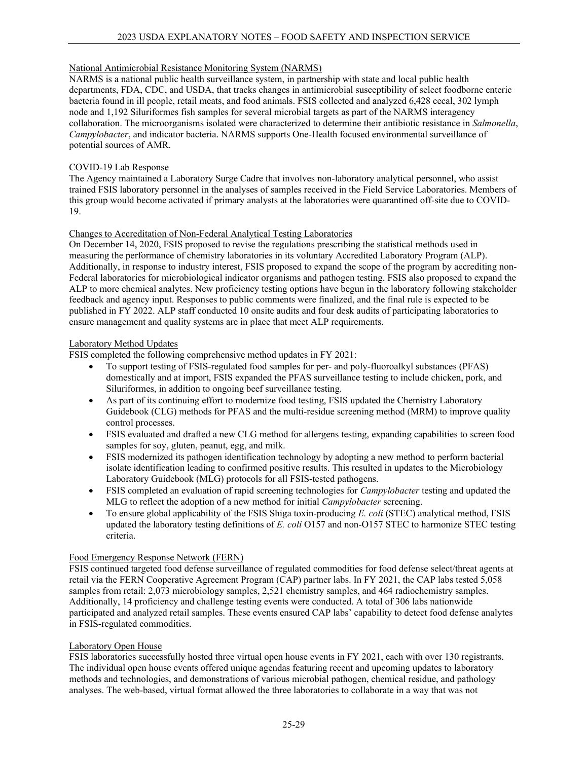## National Antimicrobial Resistance Monitoring System (NARMS)

NARMS is a national public health surveillance system, in partnership with state and local public health departments, FDA, CDC, and USDA, that tracks changes in antimicrobial susceptibility of select foodborne enteric bacteria found in ill people, retail meats, and food animals. FSIS collected and analyzed 6,428 cecal, 302 lymph node and 1,192 Siluriformes fish samples for several microbial targets as part of the NARMS interagency collaboration. The microorganisms isolated were characterized to determine their antibiotic resistance in *Salmonella*, *Campylobacter*, and indicator bacteria. NARMS supports One-Health focused environmental surveillance of potential sources of AMR.

## COVID-19 Lab Response

The Agency maintained a Laboratory Surge Cadre that involves non-laboratory analytical personnel, who assist trained FSIS laboratory personnel in the analyses of samples received in the Field Service Laboratories. Members of this group would become activated if primary analysts at the laboratories were quarantined off-site due to COVID-19.

## Changes to Accreditation of Non-Federal Analytical Testing Laboratories

On December 14, 2020, FSIS proposed to revise the regulations prescribing the statistical methods used in measuring the performance of chemistry laboratories in its voluntary Accredited Laboratory Program (ALP). Additionally, in response to industry interest, FSIS proposed to expand the scope of the program by accrediting non-Federal laboratories for microbiological indicator organisms and pathogen testing. FSIS also proposed to expand the ALP to more chemical analytes. New proficiency testing options have begun in the laboratory following stakeholder feedback and agency input. Responses to public comments were finalized, and the final rule is expected to be published in FY 2022. ALP staff conducted 10 onsite audits and four desk audits of participating laboratories to ensure management and quality systems are in place that meet ALP requirements.

## Laboratory Method Updates

FSIS completed the following comprehensive method updates in FY 2021:

- To support testing of FSIS-regulated food samples for per- and poly-fluoroalkyl substances (PFAS) domestically and at import, FSIS expanded the PFAS surveillance testing to include chicken, pork, and Siluriformes, in addition to ongoing beef surveillance testing.
- As part of its continuing effort to modernize food testing, FSIS updated the Chemistry Laboratory Guidebook (CLG) methods for PFAS and the multi-residue screening method (MRM) to improve quality control processes.
- FSIS evaluated and drafted a new CLG method for allergens testing, expanding capabilities to screen food samples for soy, gluten, peanut, egg, and milk.
- FSIS modernized its pathogen identification technology by adopting a new method to perform bacterial isolate identification leading to confirmed positive results. This resulted in updates to the Microbiology Laboratory Guidebook (MLG) protocols for all FSIS-tested pathogens.
- FSIS completed an evaluation of rapid screening technologies for *Campylobacter* testing and updated the MLG to reflect the adoption of a new method for initial *Campylobacter* screening.
- To ensure global applicability of the FSIS Shiga toxin-producing *E. coli* (STEC) analytical method, FSIS updated the laboratory testing definitions of *E. coli* O157 and non-O157 STEC to harmonize STEC testing criteria.

## Food Emergency Response Network (FERN)

FSIS continued targeted food defense surveillance of regulated commodities for food defense select/threat agents at retail via the FERN Cooperative Agreement Program (CAP) partner labs. In FY 2021, the CAP labs tested 5,058 samples from retail: 2,073 microbiology samples, 2,521 chemistry samples, and 464 radiochemistry samples. Additionally, 14 proficiency and challenge testing events were conducted. A total of 306 labs nationwide participated and analyzed retail samples. These events ensured CAP labs' capability to detect food defense analytes in FSIS-regulated commodities.

## Laboratory Open House

FSIS laboratories successfully hosted three virtual open house events in FY 2021, each with over 130 registrants. The individual open house events offered unique agendas featuring recent and upcoming updates to laboratory methods and technologies, and demonstrations of various microbial pathogen, chemical residue, and pathology analyses. The web-based, virtual format allowed the three laboratories to collaborate in a way that was not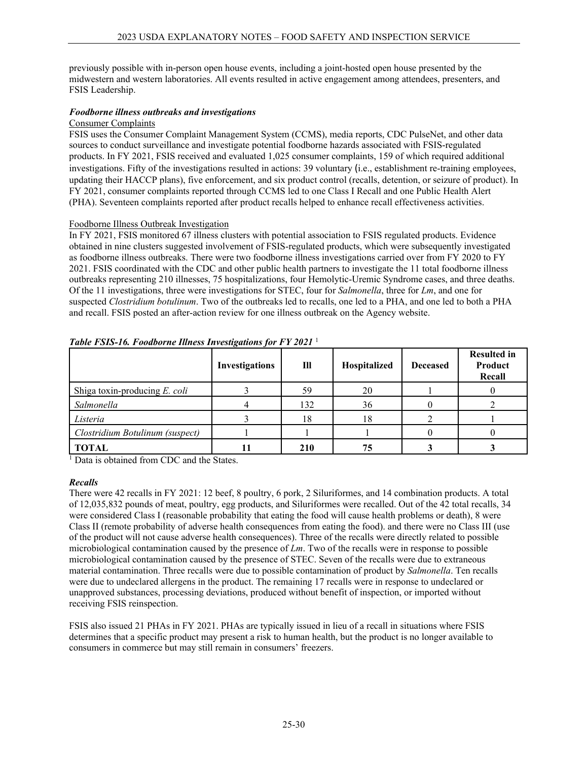previously possible with in-person open house events, including a joint-hosted open house presented by the midwestern and western laboratories. All events resulted in active engagement among attendees, presenters, and FSIS Leadership.

## *Foodborne illness outbreaks and investigations*

## Consumer Complaints

FSIS uses the Consumer Complaint Management System (CCMS), media reports, CDC PulseNet, and other data sources to conduct surveillance and investigate potential foodborne hazards associated with FSIS-regulated products. In FY 2021, FSIS received and evaluated 1,025 consumer complaints, 159 of which required additional investigations. Fifty of the investigations resulted in actions: 39 voluntary (i.e., establishment re-training employees, updating their HACCP plans), five enforcement, and six product control (recalls, detention, or seizure of product). In FY 2021, consumer complaints reported through CCMS led to one Class I Recall and one Public Health Alert (PHA). Seventeen complaints reported after product recalls helped to enhance recall effectiveness activities.

## Foodborne Illness Outbreak Investigation

In FY 2021, FSIS monitored 67 illness clusters with potential association to FSIS regulated products. Evidence obtained in nine clusters suggested involvement of FSIS-regulated products, which were subsequently investigated as foodborne illness outbreaks. There were two foodborne illness investigations carried over from FY 2020 to FY 2021. FSIS coordinated with the CDC and other public health partners to investigate the 11 total foodborne illness outbreaks representing 210 illnesses, 75 hospitalizations, four Hemolytic-Uremic Syndrome cases, and three deaths. Of the 11 investigations, three were investigations for STEC, four for *Salmonella*, three for *Lm*, and one for suspected *Clostridium botulinum*. Two of the outbreaks led to recalls, one led to a PHA, and one led to both a PHA and recall. FSIS posted an after-action review for one illness outbreak on the Agency website.

|                                  | $\circ$<br>Investigations | Ill | Hospitalized | <b>Deceased</b> | <b>Resulted in</b><br>Product<br>Recall |
|----------------------------------|---------------------------|-----|--------------|-----------------|-----------------------------------------|
| Shiga toxin-producing $E$ . coli |                           | 59  | 20           |                 |                                         |
| Salmonella                       |                           | 132 | 36           |                 |                                         |
| Listeria                         |                           | 18  | 18           |                 |                                         |
| Clostridium Botulinum (suspect)  |                           |     |              |                 |                                         |
| <b>TOTAL</b>                     |                           | 210 | 75           |                 |                                         |

*Table FSIS-16. Foodborne Illness Investigations for FY 2021* <sup>1</sup>

<sup>1</sup> Data is obtained from CDC and the States.

## *Recalls*

There were 42 recalls in FY 2021: 12 beef, 8 poultry, 6 pork, 2 Siluriformes, and 14 combination products. A total of 12,035,832 pounds of meat, poultry, egg products, and Siluriformes were recalled. Out of the 42 total recalls, 34 were considered Class I (reasonable probability that eating the food will cause health problems or death), 8 were Class II (remote probability of adverse health consequences from eating the food). and there were no Class III (use of the product will not cause adverse health consequences). Three of the recalls were directly related to possible microbiological contamination caused by the presence of *Lm*. Two of the recalls were in response to possible microbiological contamination caused by the presence of STEC. Seven of the recalls were due to extraneous material contamination. Three recalls were due to possible contamination of product by *Salmonella*. Ten recalls were due to undeclared allergens in the product. The remaining 17 recalls were in response to undeclared or unapproved substances, processing deviations, produced without benefit of inspection, or imported without receiving FSIS reinspection.

FSIS also issued 21 PHAs in FY 2021. PHAs are typically issued in lieu of a recall in situations where FSIS determines that a specific product may present a risk to human health, but the product is no longer available to consumers in commerce but may still remain in consumers' freezers.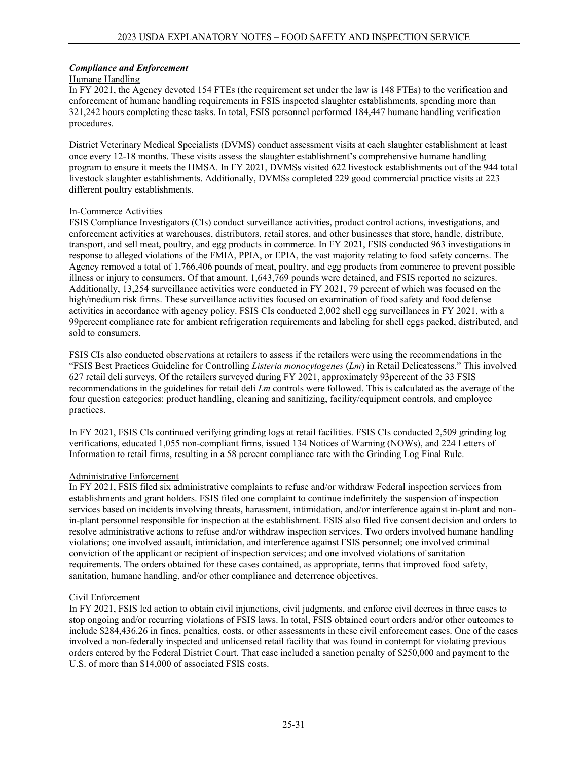## *Compliance and Enforcement*

#### Humane Handling

In FY 2021, the Agency devoted 154 FTEs (the requirement set under the law is 148 FTEs) to the verification and enforcement of humane handling requirements in FSIS inspected slaughter establishments, spending more than 321,242 hours completing these tasks. In total, FSIS personnel performed 184,447 humane handling verification procedures.

District Veterinary Medical Specialists (DVMS) conduct assessment visits at each slaughter establishment at least once every 12-18 months. These visits assess the slaughter establishment's comprehensive humane handling program to ensure it meets the HMSA. In FY 2021, DVMSs visited 622 livestock establishments out of the 944 total livestock slaughter establishments. Additionally, DVMSs completed 229 good commercial practice visits at 223 different poultry establishments.

## In-Commerce Activities

FSIS Compliance Investigators (CIs) conduct surveillance activities, product control actions, investigations, and enforcement activities at warehouses, distributors, retail stores, and other businesses that store, handle, distribute, transport, and sell meat, poultry, and egg products in commerce. In FY 2021, FSIS conducted 963 investigations in response to alleged violations of the FMIA, PPIA, or EPIA, the vast majority relating to food safety concerns. The Agency removed a total of 1,766,406 pounds of meat, poultry, and egg products from commerce to prevent possible illness or injury to consumers. Of that amount, 1,643,769 pounds were detained, and FSIS reported no seizures. Additionally, 13,254 surveillance activities were conducted in FY 2021, 79 percent of which was focused on the high/medium risk firms. These surveillance activities focused on examination of food safety and food defense activities in accordance with agency policy. FSIS CIs conducted 2,002 shell egg surveillances in FY 2021, with a 99percent compliance rate for ambient refrigeration requirements and labeling for shell eggs packed, distributed, and sold to consumers.

FSIS CIs also conducted observations at retailers to assess if the retailers were using the recommendations in the "FSIS Best Practices Guideline for Controlling *Listeria monocytogenes* (*Lm*) in Retail Delicatessens." This involved 627 retail deli surveys. Of the retailers surveyed during FY 2021, approximately 93percent of the 33 FSIS recommendations in the guidelines for retail deli *Lm* controls were followed. This is calculated as the average of the four question categories: product handling, cleaning and sanitizing, facility/equipment controls, and employee practices.

In FY 2021, FSIS CIs continued verifying grinding logs at retail facilities. FSIS CIs conducted 2,509 grinding log verifications, educated 1,055 non-compliant firms, issued 134 Notices of Warning (NOWs), and 224 Letters of Information to retail firms, resulting in a 58 percent compliance rate with the Grinding Log Final Rule.

## Administrative Enforcement

In FY 2021, FSIS filed six administrative complaints to refuse and/or withdraw Federal inspection services from establishments and grant holders. FSIS filed one complaint to continue indefinitely the suspension of inspection services based on incidents involving threats, harassment, intimidation, and/or interference against in-plant and nonin-plant personnel responsible for inspection at the establishment. FSIS also filed five consent decision and orders to resolve administrative actions to refuse and/or withdraw inspection services. Two orders involved humane handling violations; one involved assault, intimidation, and interference against FSIS personnel; one involved criminal conviction of the applicant or recipient of inspection services; and one involved violations of sanitation requirements. The orders obtained for these cases contained, as appropriate, terms that improved food safety, sanitation, humane handling, and/or other compliance and deterrence objectives.

## Civil Enforcement

In FY 2021, FSIS led action to obtain civil injunctions, civil judgments, and enforce civil decrees in three cases to stop ongoing and/or recurring violations of FSIS laws. In total, FSIS obtained court orders and/or other outcomes to include \$284,436.26 in fines, penalties, costs, or other assessments in these civil enforcement cases. One of the cases involved a non-federally inspected and unlicensed retail facility that was found in contempt for violating previous orders entered by the Federal District Court. That case included a sanction penalty of \$250,000 and payment to the U.S. of more than \$14,000 of associated FSIS costs.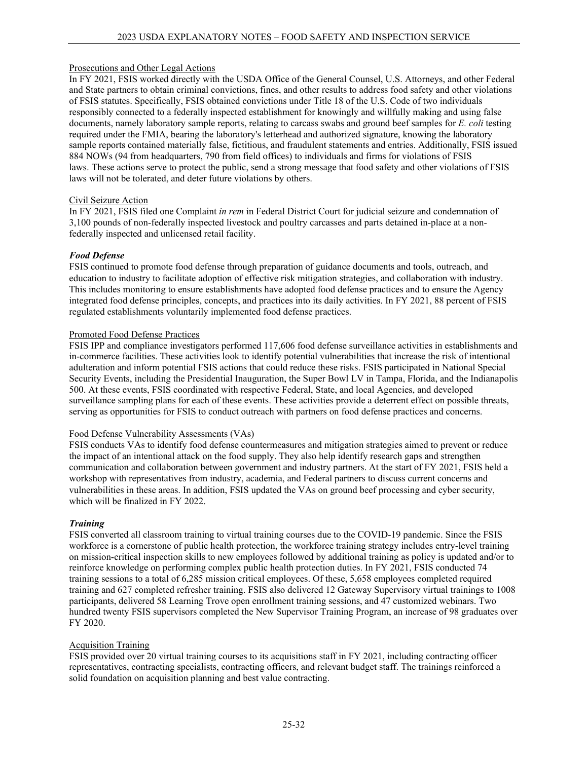## Prosecutions and Other Legal Actions

In FY 2021, FSIS worked directly with the USDA Office of the General Counsel, U.S. Attorneys, and other Federal and State partners to obtain criminal convictions, fines, and other results to address food safety and other violations of FSIS statutes. Specifically, FSIS obtained convictions under Title 18 of the U.S. Code of two individuals responsibly connected to a federally inspected establishment for knowingly and willfully making and using false documents, namely laboratory sample reports, relating to carcass swabs and ground beef samples for *E. coli* testing required under the FMIA, bearing the laboratory's letterhead and authorized signature, knowing the laboratory sample reports contained materially false, fictitious, and fraudulent statements and entries. Additionally, FSIS issued 884 NOWs (94 from headquarters, 790 from field offices) to individuals and firms for violations of FSIS laws. These actions serve to protect the public, send a strong message that food safety and other violations of FSIS laws will not be tolerated, and deter future violations by others.

## Civil Seizure Action

In FY 2021, FSIS filed one Complaint *in rem* in Federal District Court for judicial seizure and condemnation of 3,100 pounds of non-federally inspected livestock and poultry carcasses and parts detained in-place at a nonfederally inspected and unlicensed retail facility.

## *Food Defense*

FSIS continued to promote food defense through preparation of guidance documents and tools, outreach, and education to industry to facilitate adoption of effective risk mitigation strategies, and collaboration with industry. This includes monitoring to ensure establishments have adopted food defense practices and to ensure the Agency integrated food defense principles, concepts, and practices into its daily activities. In FY 2021, 88 percent of FSIS regulated establishments voluntarily implemented food defense practices.

## Promoted Food Defense Practices

FSIS IPP and compliance investigators performed 117,606 food defense surveillance activities in establishments and in-commerce facilities. These activities look to identify potential vulnerabilities that increase the risk of intentional adulteration and inform potential FSIS actions that could reduce these risks. FSIS participated in National Special Security Events, including the Presidential Inauguration, the Super Bowl LV in Tampa, Florida, and the Indianapolis 500. At these events, FSIS coordinated with respective Federal, State, and local Agencies, and developed surveillance sampling plans for each of these events. These activities provide a deterrent effect on possible threats, serving as opportunities for FSIS to conduct outreach with partners on food defense practices and concerns.

## Food Defense Vulnerability Assessments (VAs)

FSIS conducts VAs to identify food defense countermeasures and mitigation strategies aimed to prevent or reduce the impact of an intentional attack on the food supply. They also help identify research gaps and strengthen communication and collaboration between government and industry partners. At the start of FY 2021, FSIS held a workshop with representatives from industry, academia, and Federal partners to discuss current concerns and vulnerabilities in these areas. In addition, FSIS updated the VAs on ground beef processing and cyber security, which will be finalized in FY 2022.

## *Training*

FSIS converted all classroom training to virtual training courses due to the COVID-19 pandemic. Since the FSIS workforce is a cornerstone of public health protection, the workforce training strategy includes entry-level training on mission-critical inspection skills to new employees followed by additional training as policy is updated and/or to reinforce knowledge on performing complex public health protection duties. In FY 2021, FSIS conducted 74 training sessions to a total of 6,285 mission critical employees. Of these, 5,658 employees completed required training and 627 completed refresher training. FSIS also delivered 12 Gateway Supervisory virtual trainings to 1008 participants, delivered 58 Learning Trove open enrollment training sessions, and 47 customized webinars. Two hundred twenty FSIS supervisors completed the New Supervisor Training Program, an increase of 98 graduates over FY 2020.

## Acquisition Training

FSIS provided over 20 virtual training courses to its acquisitions staff in FY 2021, including contracting officer representatives, contracting specialists, contracting officers, and relevant budget staff. The trainings reinforced a solid foundation on acquisition planning and best value contracting.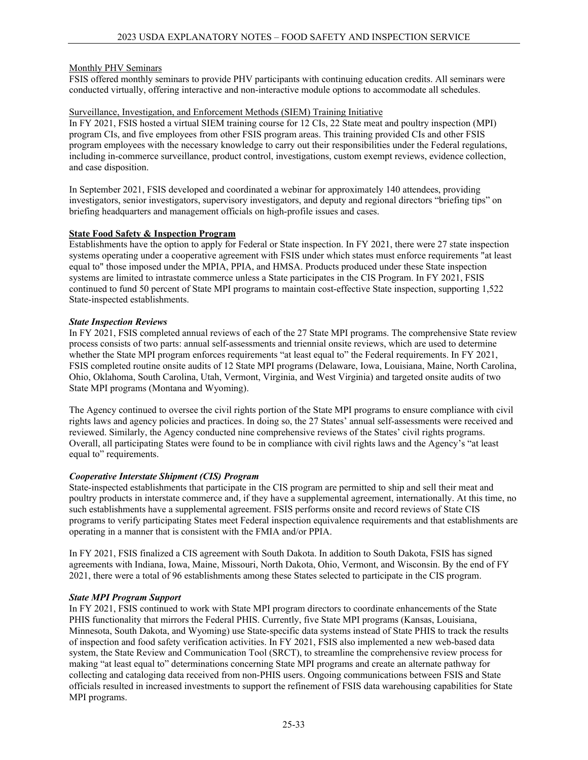## Monthly PHV Seminars

FSIS offered monthly seminars to provide PHV participants with continuing education credits. All seminars were conducted virtually, offering interactive and non-interactive module options to accommodate all schedules.

## Surveillance, Investigation, and Enforcement Methods (SIEM) Training Initiative

In FY 2021, FSIS hosted a virtual SIEM training course for 12 CIs, 22 State meat and poultry inspection (MPI) program CIs, and five employees from other FSIS program areas. This training provided CIs and other FSIS program employees with the necessary knowledge to carry out their responsibilities under the Federal regulations, including in-commerce surveillance, product control, investigations, custom exempt reviews, evidence collection, and case disposition.

In September 2021, FSIS developed and coordinated a webinar for approximately 140 attendees, providing investigators, senior investigators, supervisory investigators, and deputy and regional directors "briefing tips" on briefing headquarters and management officials on high-profile issues and cases.

## **State Food Safety & Inspection Program**

Establishments have the option to apply for Federal or State inspection. In FY 2021, there were 27 state inspection systems operating under a cooperative agreement with FSIS under which states must enforce requirements "at least equal to" those imposed under the MPIA, PPIA, and HMSA. Products produced under these State inspection systems are limited to intrastate commerce unless a State participates in the CIS Program. In FY 2021, FSIS continued to fund 50 percent of State MPI programs to maintain cost-effective State inspection, supporting 1,522 State-inspected establishments.

## *State Inspection Reviews*

In FY 2021, FSIS completed annual reviews of each of the 27 State MPI programs. The comprehensive State review process consists of two parts: annual self-assessments and triennial onsite reviews, which are used to determine whether the State MPI program enforces requirements "at least equal to" the Federal requirements. In FY 2021, FSIS completed routine onsite audits of 12 State MPI programs (Delaware, Iowa, Louisiana, Maine, North Carolina, Ohio, Oklahoma, South Carolina, Utah, Vermont, Virginia, and West Virginia) and targeted onsite audits of two State MPI programs (Montana and Wyoming).

The Agency continued to oversee the civil rights portion of the State MPI programs to ensure compliance with civil rights laws and agency policies and practices. In doing so, the 27 States' annual self-assessments were received and reviewed. Similarly, the Agency conducted nine comprehensive reviews of the States' civil rights programs. Overall, all participating States were found to be in compliance with civil rights laws and the Agency's "at least equal to" requirements.

## *Cooperative Interstate Shipment (CIS) Program*

State-inspected establishments that participate in the CIS program are permitted to ship and sell their meat and poultry products in interstate commerce and, if they have a supplemental agreement, internationally. At this time, no such establishments have a supplemental agreement. FSIS performs onsite and record reviews of State CIS programs to verify participating States meet Federal inspection equivalence requirements and that establishments are operating in a manner that is consistent with the FMIA and/or PPIA.

In FY 2021, FSIS finalized a CIS agreement with South Dakota. In addition to South Dakota, FSIS has signed agreements with Indiana, Iowa, Maine, Missouri, North Dakota, Ohio, Vermont, and Wisconsin. By the end of FY 2021, there were a total of 96 establishments among these States selected to participate in the CIS program.

## *State MPI Program Support*

In FY 2021, FSIS continued to work with State MPI program directors to coordinate enhancements of the State PHIS functionality that mirrors the Federal PHIS. Currently, five State MPI programs (Kansas, Louisiana, Minnesota, South Dakota, and Wyoming) use State-specific data systems instead of State PHIS to track the results of inspection and food safety verification activities. In FY 2021, FSIS also implemented a new web-based data system, the State Review and Communication Tool (SRCT), to streamline the comprehensive review process for making "at least equal to" determinations concerning State MPI programs and create an alternate pathway for collecting and cataloging data received from non-PHIS users. Ongoing communications between FSIS and State officials resulted in increased investments to support the refinement of FSIS data warehousing capabilities for State MPI programs.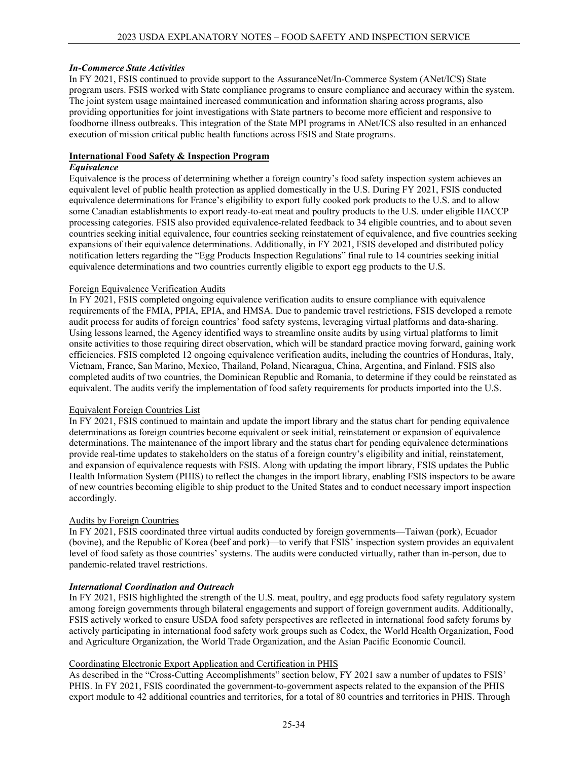## *In-Commerce State Activities*

In FY 2021, FSIS continued to provide support to the AssuranceNet/In-Commerce System (ANet/ICS) State program users. FSIS worked with State compliance programs to ensure compliance and accuracy within the system. The joint system usage maintained increased communication and information sharing across programs, also providing opportunities for joint investigations with State partners to become more efficient and responsive to foodborne illness outbreaks. This integration of the State MPI programs in ANet/ICS also resulted in an enhanced execution of mission critical public health functions across FSIS and State programs.

## **International Food Safety & Inspection Program**

#### *Equivalence*

Equivalence is the process of determining whether a foreign country's food safety inspection system achieves an equivalent level of public health protection as applied domestically in the U.S. During FY 2021, FSIS conducted equivalence determinations for France's eligibility to export fully cooked pork products to the U.S. and to allow some Canadian establishments to export ready-to-eat meat and poultry products to the U.S. under eligible HACCP processing categories. FSIS also provided equivalence-related feedback to 34 eligible countries, and to about seven countries seeking initial equivalence, four countries seeking reinstatement of equivalence, and five countries seeking expansions of their equivalence determinations. Additionally, in FY 2021, FSIS developed and distributed policy notification letters regarding the "Egg Products Inspection Regulations" final rule to 14 countries seeking initial equivalence determinations and two countries currently eligible to export egg products to the U.S.

## Foreign Equivalence Verification Audits

In FY 2021, FSIS completed ongoing equivalence verification audits to ensure compliance with equivalence requirements of the FMIA, PPIA, EPIA, and HMSA. Due to pandemic travel restrictions, FSIS developed a remote audit process for audits of foreign countries' food safety systems, leveraging virtual platforms and data-sharing. Using lessons learned, the Agency identified ways to streamline onsite audits by using virtual platforms to limit onsite activities to those requiring direct observation, which will be standard practice moving forward, gaining work efficiencies. FSIS completed 12 ongoing equivalence verification audits, including the countries of Honduras, Italy, Vietnam, France, San Marino, Mexico, Thailand, Poland, Nicaragua, China, Argentina, and Finland. FSIS also completed audits of two countries, the Dominican Republic and Romania, to determine if they could be reinstated as equivalent. The audits verify the implementation of food safety requirements for products imported into the U.S.

## Equivalent Foreign Countries List

In FY 2021, FSIS continued to maintain and update the import library and the status chart for pending equivalence determinations as foreign countries become equivalent or seek initial, reinstatement or expansion of equivalence determinations. The maintenance of the import library and the status chart for pending equivalence determinations provide real-time updates to stakeholders on the status of a foreign country's eligibility and initial, reinstatement, and expansion of equivalence requests with FSIS. Along with updating the import library, FSIS updates the Public Health Information System (PHIS) to reflect the changes in the import library, enabling FSIS inspectors to be aware of new countries becoming eligible to ship product to the United States and to conduct necessary import inspection accordingly.

## Audits by Foreign Countries

In FY 2021, FSIS coordinated three virtual audits conducted by foreign governments—Taiwan (pork), Ecuador (bovine), and the Republic of Korea (beef and pork)—to verify that FSIS' inspection system provides an equivalent level of food safety as those countries' systems. The audits were conducted virtually, rather than in-person, due to pandemic-related travel restrictions.

## *International Coordination and Outreach*

In FY 2021, FSIS highlighted the strength of the U.S. meat, poultry, and egg products food safety regulatory system among foreign governments through bilateral engagements and support of foreign government audits. Additionally, FSIS actively worked to ensure USDA food safety perspectives are reflected in international food safety forums by actively participating in international food safety work groups such as Codex, the World Health Organization, Food and Agriculture Organization, the World Trade Organization, and the Asian Pacific Economic Council.

## Coordinating Electronic Export Application and Certification in PHIS

As described in the "Cross-Cutting Accomplishments" section below, FY 2021 saw a number of updates to FSIS' PHIS. In FY 2021, FSIS coordinated the government-to-government aspects related to the expansion of the PHIS export module to 42 additional countries and territories, for a total of 80 countries and territories in PHIS. Through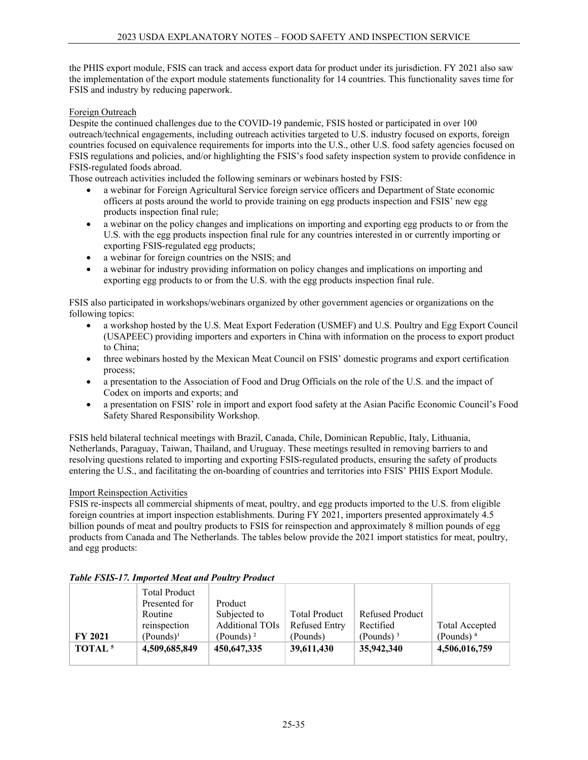the PHIS export module, FSIS can track and access export data for product under its jurisdiction. FY 2021 also saw the implementation of the export module statements functionality for 14 countries. This functionality saves time for FSIS and industry by reducing paperwork.

## Foreign Outreach

Despite the continued challenges due to the COVID-19 pandemic, FSIS hosted or participated in over 100 outreach/technical engagements, including outreach activities targeted to U.S. industry focused on exports, foreign countries focused on equivalence requirements for imports into the U.S., other U.S. food safety agencies focused on FSIS regulations and policies, and/or highlighting the FSIS's food safety inspection system to provide confidence in FSIS-regulated foods abroad.

Those outreach activities included the following seminars or webinars hosted by FSIS:

- a webinar for Foreign Agricultural Service foreign service officers and Department of State economic officers at posts around the world to provide training on egg products inspection and FSIS' new egg products inspection final rule;
- a webinar on the policy changes and implications on importing and exporting egg products to or from the U.S. with the egg products inspection final rule for any countries interested in or currently importing or exporting FSIS-regulated egg products;
- a webinar for foreign countries on the NSIS; and
- a webinar for industry providing information on policy changes and implications on importing and exporting egg products to or from the U.S. with the egg products inspection final rule.

FSIS also participated in workshops/webinars organized by other government agencies or organizations on the following topics:

- a workshop hosted by the U.S. Meat Export Federation (USMEF) and U.S. Poultry and Egg Export Council (USAPEEC) providing importers and exporters in China with information on the process to export product to China;
- three webinars hosted by the Mexican Meat Council on FSIS' domestic programs and export certification process;
- a presentation to the Association of Food and Drug Officials on the role of the U.S. and the impact of Codex on imports and exports; and
- a presentation on FSIS' role in import and export food safety at the Asian Pacific Economic Council's Food Safety Shared Responsibility Workshop.

FSIS held bilateral technical meetings with Brazil, Canada, Chile, Dominican Republic, Italy, Lithuania, Netherlands, Paraguay, Taiwan, Thailand, and Uruguay. These meetings resulted in removing barriers to and resolving questions related to importing and exporting FSIS-regulated products, ensuring the safety of products entering the U.S., and facilitating the on-boarding of countries and territories into FSIS' PHIS Export Module.

## Import Reinspection Activities

FSIS re-inspects all commercial shipments of meat, poultry, and egg products imported to the U.S. from eligible foreign countries at import inspection establishments. During FY 2021, importers presented approximately 4.5 billion pounds of meat and poultry products to FSIS for reinspection and approximately 8 million pounds of egg products from Canada and The Netherlands. The tables below provide the 2021 import statistics for meat, poultry, and egg products:

|                    | <b>Total Product</b><br>Presented for | Product                |                      |                        |                |
|--------------------|---------------------------------------|------------------------|----------------------|------------------------|----------------|
|                    | Routine                               | Subjected to           | <b>Total Product</b> | <b>Refused Product</b> |                |
|                    | reinspection                          | <b>Additional TOIs</b> | <b>Refused Entry</b> | Rectified              | Total Accepted |
| <b>FY 2021</b>     | (Pounds) <sup>1</sup>                 | (Pounds) $2$           | (Pounds)             | (Pounds) $3$           | (Pounds) $4$   |
| TOTAL <sup>5</sup> | 4,509,685,849                         | 450,647,335            | 39,611,430           | 35,942,340             | 4,506,016,759  |
|                    |                                       |                        |                      |                        |                |

## *Table FSIS-17. Imported Meat and Poultry Product*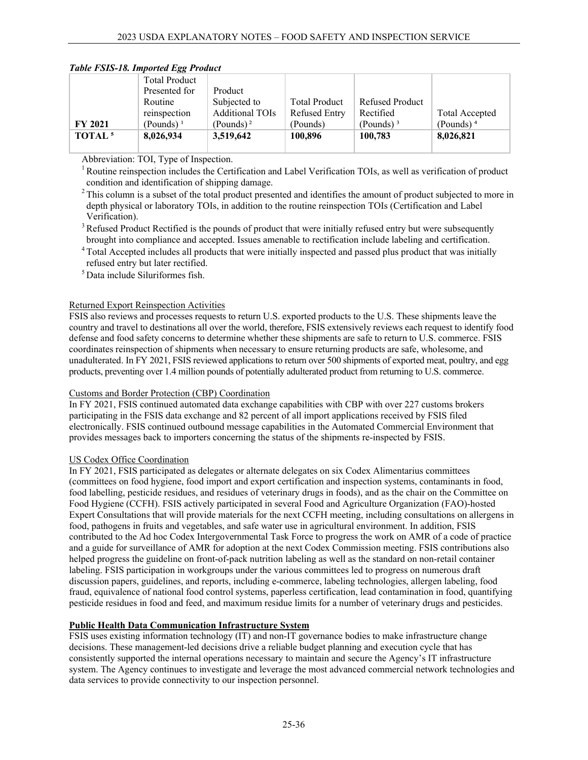|                    | <b>Total Product</b> |                        |                      |                        |                       |
|--------------------|----------------------|------------------------|----------------------|------------------------|-----------------------|
|                    | Presented for        | Product                |                      |                        |                       |
|                    | Routine              | Subjected to           | <b>Total Product</b> | <b>Refused Product</b> |                       |
|                    | reinspection         | <b>Additional TOIs</b> | <b>Refused Entry</b> | Rectified              | <b>Total Accepted</b> |
| <b>FY 2021</b>     | (Pounds) $1$         | (Pounds) <sup>2</sup>  | (Pounds)             | (Pounds) $3$           | (Pounds) $4$          |
| TOTAL <sup>5</sup> | 8,026,934            | 3,519,642              | 100,896              | 100,783                | 8,026,821             |
|                    |                      |                        |                      |                        |                       |

## *Table FSIS-18. Imported Egg Product*

Abbreviation: TOI, Type of Inspection.

<sup>1</sup> Routine reinspection includes the Certification and Label Verification TOIs, as well as verification of product condition and identification of shipping damage.

 $2$  This column is a subset of the total product presented and identifies the amount of product subjected to more in depth physical or laboratory TOIs, in addition to the routine reinspection TOIs (Certification and Label Verification).

 $3$  Refused Product Rectified is the pounds of product that were initially refused entry but were subsequently brought into compliance and accepted. Issues amenable to rectification include labeling and certification.

<sup>4</sup> Total Accepted includes all products that were initially inspected and passed plus product that was initially refused entry but later rectified.

 $<sup>5</sup>$  Data include Siluriformes fish.</sup>

## Returned Export Reinspection Activities

FSIS also reviews and processes requests to return U.S. exported products to the U.S. These shipments leave the country and travel to destinations all over the world, therefore, FSIS extensively reviews each request to identify food defense and food safety concerns to determine whether these shipments are safe to return to U.S. commerce. FSIS coordinates reinspection of shipments when necessary to ensure returning products are safe, wholesome, and unadulterated. In FY 2021, FSIS reviewed applications to return over 500 shipments of exported meat, poultry, and egg products, preventing over 1.4 million pounds of potentially adulterated product from returning to U.S. commerce.

## Customs and Border Protection (CBP) Coordination

In FY 2021, FSIS continued automated data exchange capabilities with CBP with over 227 customs brokers participating in the FSIS data exchange and 82 percent of all import applications received by FSIS filed electronically. FSIS continued outbound message capabilities in the Automated Commercial Environment that provides messages back to importers concerning the status of the shipments re-inspected by FSIS.

# US Codex Office Coordination

In FY 2021, FSIS participated as delegates or alternate delegates on six Codex Alimentarius committees (committees on food hygiene, food import and export certification and inspection systems, contaminants in food, food labelling, pesticide residues, and residues of veterinary drugs in foods), and as the chair on the Committee on Food Hygiene (CCFH). FSIS actively participated in several Food and Agriculture Organization (FAO)-hosted Expert Consultations that will provide materials for the next CCFH meeting, including consultations on allergens in food, pathogens in fruits and vegetables, and safe water use in agricultural environment. In addition, FSIS contributed to the Ad hoc Codex Intergovernmental Task Force to progress the work on AMR of a code of practice and a guide for surveillance of AMR for adoption at the next Codex Commission meeting. FSIS contributions also helped progress the guideline on front-of-pack nutrition labeling as well as the standard on non-retail container labeling. FSIS participation in workgroups under the various committees led to progress on numerous draft discussion papers, guidelines, and reports, including e-commerce, labeling technologies, allergen labeling, food fraud, equivalence of national food control systems, paperless certification, lead contamination in food, quantifying pesticide residues in food and feed, and maximum residue limits for a number of veterinary drugs and pesticides.

# **Public Health Data Communication Infrastructure System**

FSIS uses existing information technology (IT) and non-IT governance bodies to make infrastructure change decisions. These management-led decisions drive a reliable budget planning and execution cycle that has consistently supported the internal operations necessary to maintain and secure the Agency's IT infrastructure system. The Agency continues to investigate and leverage the most advanced commercial network technologies and data services to provide connectivity to our inspection personnel.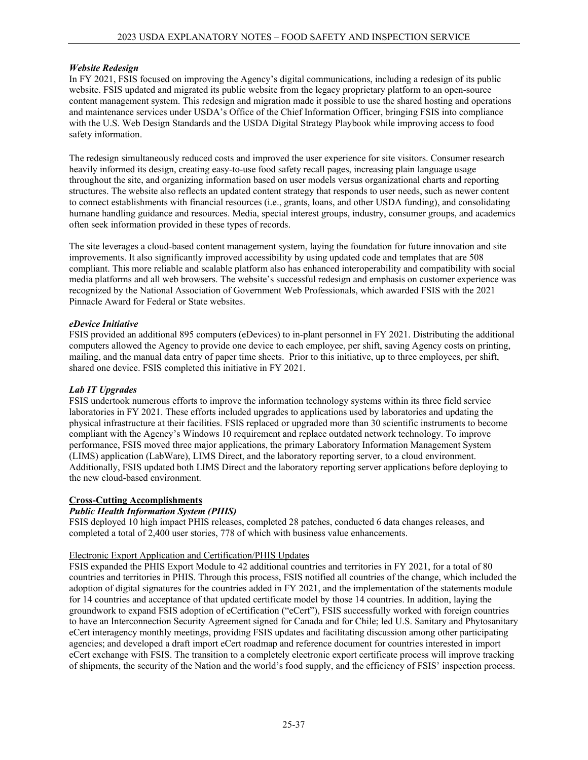## *Website Redesign*

In FY 2021, FSIS focused on improving the Agency's digital communications, including a redesign of its public website. FSIS updated and migrated its public website from the legacy proprietary platform to an open-source content management system. This redesign and migration made it possible to use the shared hosting and operations and maintenance services under USDA's Office of the Chief Information Officer, bringing FSIS into compliance with the U.S. Web Design Standards and the USDA Digital Strategy Playbook while improving access to food safety information.

The redesign simultaneously reduced costs and improved the user experience for site visitors. Consumer research heavily informed its design, creating easy-to-use food safety recall pages, increasing plain language usage throughout the site, and organizing information based on user models versus organizational charts and reporting structures. The website also reflects an updated content strategy that responds to user needs, such as newer content to connect establishments with financial resources (i.e., grants, loans, and other USDA funding), and consolidating humane handling guidance and resources. Media, special interest groups, industry, consumer groups, and academics often seek information provided in these types of records.

The site leverages a cloud-based content management system, laying the foundation for future innovation and site improvements. It also significantly improved accessibility by using updated code and templates that are 508 compliant. This more reliable and scalable platform also has enhanced interoperability and compatibility with social media platforms and all web browsers. The website's successful redesign and emphasis on customer experience was recognized by the National Association of Government Web Professionals, which awarded FSIS with the 2021 Pinnacle Award for Federal or State websites.

## *eDevice Initiative*

FSIS provided an additional 895 computers (eDevices) to in-plant personnel in FY 2021. Distributing the additional computers allowed the Agency to provide one device to each employee, per shift, saving Agency costs on printing, mailing, and the manual data entry of paper time sheets. Prior to this initiative, up to three employees, per shift, shared one device. FSIS completed this initiative in FY 2021.

## *Lab IT Upgrades*

FSIS undertook numerous efforts to improve the information technology systems within its three field service laboratories in FY 2021. These efforts included upgrades to applications used by laboratories and updating the physical infrastructure at their facilities. FSIS replaced or upgraded more than 30 scientific instruments to become compliant with the Agency's Windows 10 requirement and replace outdated network technology. To improve performance, FSIS moved three major applications, the primary Laboratory Information Management System (LIMS) application (LabWare), LIMS Direct, and the laboratory reporting server, to a cloud environment. Additionally, FSIS updated both LIMS Direct and the laboratory reporting server applications before deploying to the new cloud-based environment.

## **Cross-Cutting Accomplishments**

# *Public Health Information System (PHIS)*

FSIS deployed 10 high impact PHIS releases, completed 28 patches, conducted 6 data changes releases, and completed a total of 2,400 user stories, 778 of which with business value enhancements.

## Electronic Export Application and Certification/PHIS Updates

FSIS expanded the PHIS Export Module to 42 additional countries and territories in FY 2021, for a total of 80 countries and territories in PHIS. Through this process, FSIS notified all countries of the change, which included the adoption of digital signatures for the countries added in FY 2021, and the implementation of the statements module for 14 countries and acceptance of that updated certificate model by those 14 countries. In addition, laying the groundwork to expand FSIS adoption of eCertification ("eCert"), FSIS successfully worked with foreign countries to have an Interconnection Security Agreement signed for Canada and for Chile; led U.S. Sanitary and Phytosanitary eCert interagency monthly meetings, providing FSIS updates and facilitating discussion among other participating agencies; and developed a draft import eCert roadmap and reference document for countries interested in import eCert exchange with FSIS. The transition to a completely electronic export certificate process will improve tracking of shipments, the security of the Nation and the world's food supply, and the efficiency of FSIS' inspection process.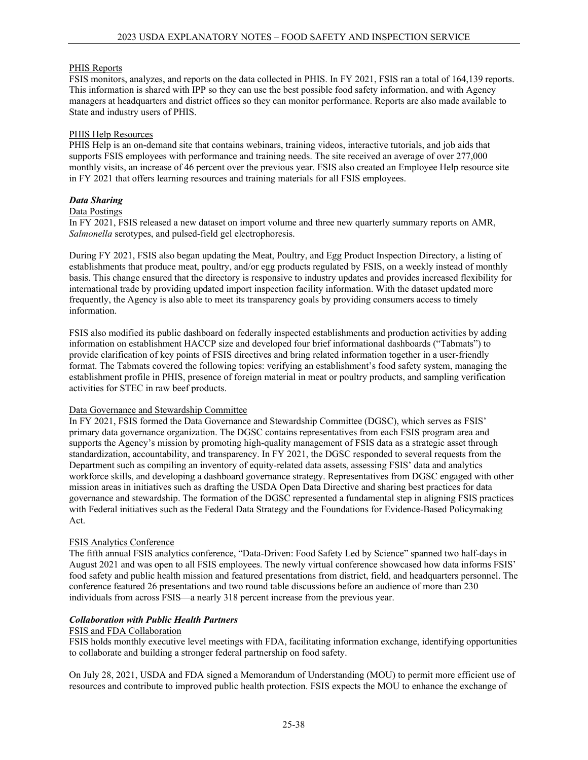## PHIS Reports

FSIS monitors, analyzes, and reports on the data collected in PHIS. In FY 2021, FSIS ran a total of 164,139 reports. This information is shared with IPP so they can use the best possible food safety information, and with Agency managers at headquarters and district offices so they can monitor performance. Reports are also made available to State and industry users of PHIS.

#### PHIS Help Resources

PHIS Help is an on-demand site that contains webinars, training videos, interactive tutorials, and job aids that supports FSIS employees with performance and training needs. The site received an average of over 277,000 monthly visits, an increase of 46 percent over the previous year. FSIS also created an Employee Help resource site in FY 2021 that offers learning resources and training materials for all FSIS employees.

## *Data Sharing*

#### Data Postings

In FY 2021, FSIS released a new dataset on import volume and three new quarterly summary reports on AMR, *Salmonella* serotypes, and pulsed-field gel electrophoresis.

During FY 2021, FSIS also began updating the Meat, Poultry, and Egg Product Inspection Directory, a listing of establishments that produce meat, poultry, and/or egg products regulated by FSIS, on a weekly instead of monthly basis. This change ensured that the directory is responsive to industry updates and provides increased flexibility for international trade by providing updated import inspection facility information. With the dataset updated more frequently, the Agency is also able to meet its transparency goals by providing consumers access to timely information.

FSIS also modified its public dashboard on federally inspected establishments and production activities by adding information on establishment HACCP size and developed four brief informational dashboards ("Tabmats") to provide clarification of key points of FSIS directives and bring related information together in a user-friendly format. The Tabmats covered the following topics: verifying an establishment's food safety system, managing the establishment profile in PHIS, presence of foreign material in meat or poultry products, and sampling verification activities for STEC in raw beef products.

#### Data Governance and Stewardship Committee

In FY 2021, FSIS formed the Data Governance and Stewardship Committee (DGSC), which serves as FSIS' primary data governance organization. The DGSC contains representatives from each FSIS program area and supports the Agency's mission by promoting high-quality management of FSIS data as a strategic asset through standardization, accountability, and transparency. In FY 2021, the DGSC responded to several requests from the Department such as compiling an inventory of equity-related data assets, assessing FSIS' data and analytics workforce skills, and developing a dashboard governance strategy. Representatives from DGSC engaged with other mission areas in initiatives such as drafting the USDA Open Data Directive and sharing best practices for data governance and stewardship. The formation of the DGSC represented a fundamental step in aligning FSIS practices with Federal initiatives such as the Federal Data Strategy and the Foundations for Evidence-Based Policymaking Act.

## FSIS Analytics Conference

The fifth annual FSIS analytics conference, "Data-Driven: Food Safety Led by Science" spanned two half-days in August 2021 and was open to all FSIS employees. The newly virtual conference showcased how data informs FSIS' food safety and public health mission and featured presentations from district, field, and headquarters personnel. The conference featured 26 presentations and two round table discussions before an audience of more than 230 individuals from across FSIS—a nearly 318 percent increase from the previous year.

#### *Collaboration with Public Health Partners*

#### FSIS and FDA Collaboration

FSIS holds monthly executive level meetings with FDA, facilitating information exchange, identifying opportunities to collaborate and building a stronger federal partnership on food safety.

On July 28, 2021, USDA and FDA signed a Memorandum of Understanding (MOU) to permit more efficient use of resources and contribute to improved public health protection. FSIS expects the MOU to enhance the exchange of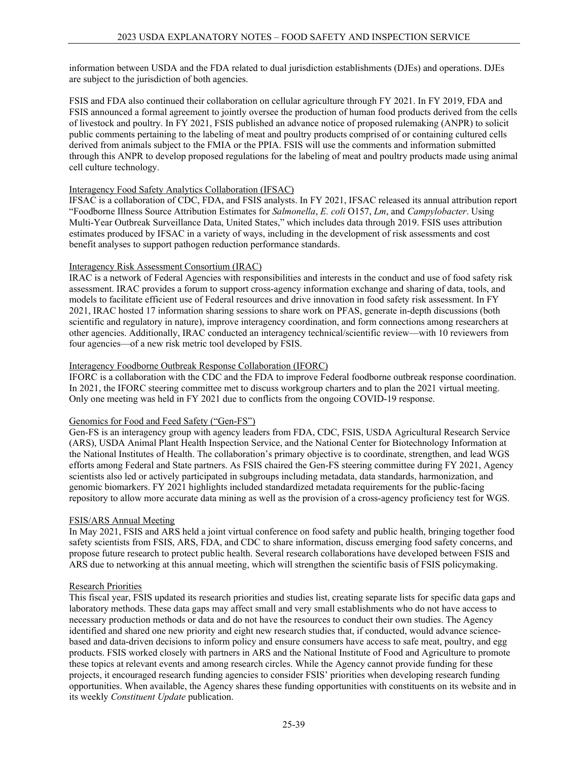information between USDA and the FDA related to dual jurisdiction establishments (DJEs) and operations. DJEs are subject to the jurisdiction of both agencies.

FSIS and FDA also continued their collaboration on cellular agriculture through FY 2021. In FY 2019, FDA and FSIS announced a formal agreement to jointly oversee the production of human food products derived from the cells of livestock and poultry. In FY 2021, FSIS published an advance notice of proposed rulemaking (ANPR) to solicit public comments pertaining to the labeling of meat and poultry products comprised of or containing cultured cells derived from animals subject to the FMIA or the PPIA. FSIS will use the comments and information submitted through this ANPR to develop proposed regulations for the labeling of meat and poultry products made using animal cell culture technology.

## Interagency Food Safety Analytics Collaboration (IFSAC)

IFSAC is a collaboration of CDC, FDA, and FSIS analysts. In FY 2021, IFSAC released its annual attribution report "Foodborne Illness Source Attribution Estimates for *Salmonella*, *E. coli* O157, *Lm*, and *Campylobacter*. Using Multi-Year Outbreak Surveillance Data, United States," which includes data through 2019. FSIS uses attribution estimates produced by IFSAC in a variety of ways, including in the development of risk assessments and cost benefit analyses to support pathogen reduction performance standards.

## Interagency Risk Assessment Consortium (IRAC)

IRAC is a network of Federal Agencies with responsibilities and interests in the conduct and use of food safety risk assessment. IRAC provides a forum to support cross-agency information exchange and sharing of data, tools, and models to facilitate efficient use of Federal resources and drive innovation in food safety risk assessment. In FY 2021, IRAC hosted 17 information sharing sessions to share work on PFAS, generate in-depth discussions (both scientific and regulatory in nature), improve interagency coordination, and form connections among researchers at other agencies. Additionally, IRAC conducted an interagency technical/scientific review—with 10 reviewers from four agencies—of a new risk metric tool developed by FSIS.

## Interagency Foodborne Outbreak Response Collaboration (IFORC)

IFORC is a collaboration with the CDC and the FDA to improve Federal foodborne outbreak response coordination. In 2021, the IFORC steering committee met to discuss workgroup charters and to plan the 2021 virtual meeting. Only one meeting was held in FY 2021 due to conflicts from the ongoing COVID-19 response.

## Genomics for Food and Feed Safety ("Gen-FS")

Gen-FS is an interagency group with agency leaders from FDA, CDC, FSIS, USDA Agricultural Research Service (ARS), USDA Animal Plant Health Inspection Service, and the National Center for Biotechnology Information at the National Institutes of Health. The collaboration's primary objective is to coordinate, strengthen, and lead WGS efforts among Federal and State partners. As FSIS chaired the Gen-FS steering committee during FY 2021, Agency scientists also led or actively participated in subgroups including metadata, data standards, harmonization, and genomic biomarkers. FY 2021 highlights included standardized metadata requirements for the public-facing repository to allow more accurate data mining as well as the provision of a cross-agency proficiency test for WGS.

## FSIS/ARS Annual Meeting

In May 2021, FSIS and ARS held a joint virtual conference on food safety and public health, bringing together food safety scientists from FSIS, ARS, FDA, and CDC to share information, discuss emerging food safety concerns, and propose future research to protect public health. Several research collaborations have developed between FSIS and ARS due to networking at this annual meeting, which will strengthen the scientific basis of FSIS policymaking.

## Research Priorities

This fiscal year, FSIS updated its research priorities and studies list, creating separate lists for specific data gaps and laboratory methods. These data gaps may affect small and very small establishments who do not have access to necessary production methods or data and do not have the resources to conduct their own studies. The Agency identified and shared one new priority and eight new research studies that, if conducted, would advance sciencebased and data-driven decisions to inform policy and ensure consumers have access to safe meat, poultry, and egg products. FSIS worked closely with partners in ARS and the National Institute of Food and Agriculture to promote these topics at relevant events and among research circles. While the Agency cannot provide funding for these projects, it encouraged research funding agencies to consider FSIS' priorities when developing research funding opportunities. When available, the Agency shares these funding opportunities with constituents on its website and in its weekly *Constituent Update* publication.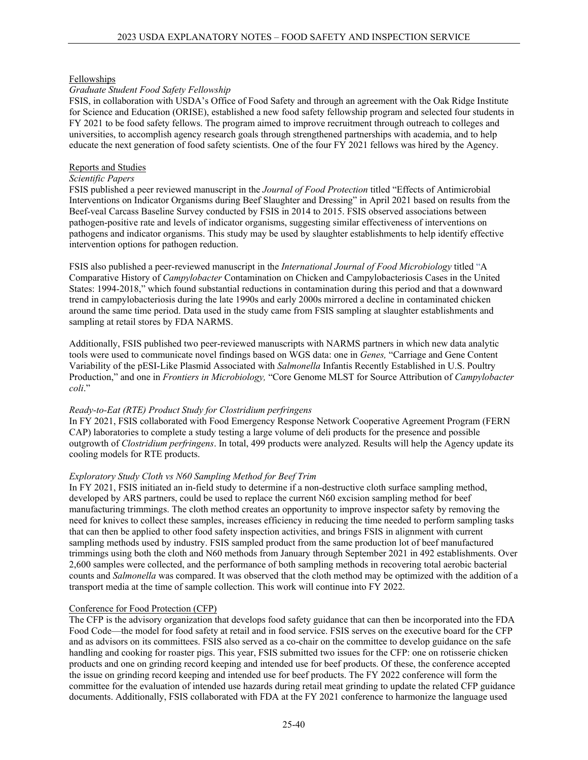#### Fellowships

#### *Graduate Student Food Safety Fellowship*

FSIS, in collaboration with USDA's Office of Food Safety and through an agreement with the Oak Ridge Institute for Science and Education (ORISE), established a new food safety fellowship program and selected four students in FY 2021 to be food safety fellows. The program aimed to improve recruitment through outreach to colleges and universities, to accomplish agency research goals through strengthened partnerships with academia, and to help educate the next generation of food safety scientists. One of the four FY 2021 fellows was hired by the Agency.

#### Reports and Studies

## *Scientific Papers*

FSIS published a peer reviewed manuscript in the *Journal of Food Protection* titled "Effects of Antimicrobial Interventions on Indicator Organisms during Beef Slaughter and Dressing" in April 2021 based on results from the Beef-veal Carcass Baseline Survey conducted by FSIS in 2014 to 2015. FSIS observed associations between pathogen-positive rate and levels of indicator organisms, suggesting similar effectiveness of interventions on pathogens and indicator organisms. This study may be used by slaughter establishments to help identify effective intervention options for pathogen reduction.

FSIS also published a peer-reviewed manuscript in the *International Journal of Food Microbiology* titled "A Comparative History of *Campylobacter* Contamination on Chicken and Campylobacteriosis Cases in the United States: 1994-2018," which found substantial reductions in contamination during this period and that a downward trend in campylobacteriosis during the late 1990s and early 2000s mirrored a decline in contaminated chicken around the same time period. Data used in the study came from FSIS sampling at slaughter establishments and sampling at retail stores by FDA NARMS.

Additionally, FSIS published two peer-reviewed manuscripts with NARMS partners in which new data analytic tools were used to communicate novel findings based on WGS data: one in *Genes,* "Carriage and Gene Content Variability of the pESI-Like Plasmid Associated with *Salmonella* Infantis Recently Established in U.S. Poultry Production," and one in *Frontiers in Microbiology,* "Core Genome MLST for Source Attribution of *Campylobacter coli*."

#### *Ready-to-Eat (RTE) Product Study for Clostridium perfringens*

In FY 2021, FSIS collaborated with Food Emergency Response Network Cooperative Agreement Program (FERN CAP) laboratories to complete a study testing a large volume of deli products for the presence and possible outgrowth of *Clostridium perfringens*. In total, 499 products were analyzed. Results will help the Agency update its cooling models for RTE products.

#### *Exploratory Study Cloth vs N60 Sampling Method for Beef Trim*

In FY 2021, FSIS initiated an in-field study to determine if a non-destructive cloth surface sampling method, developed by ARS partners, could be used to replace the current N60 excision sampling method for beef manufacturing trimmings. The cloth method creates an opportunity to improve inspector safety by removing the need for knives to collect these samples, increases efficiency in reducing the time needed to perform sampling tasks that can then be applied to other food safety inspection activities, and brings FSIS in alignment with current sampling methods used by industry. FSIS sampled product from the same production lot of beef manufactured trimmings using both the cloth and N60 methods from January through September 2021 in 492 establishments. Over 2,600 samples were collected, and the performance of both sampling methods in recovering total aerobic bacterial counts and *Salmonella* was compared. It was observed that the cloth method may be optimized with the addition of a transport media at the time of sample collection. This work will continue into FY 2022.

#### Conference for Food Protection (CFP)

The CFP is the advisory organization that develops food safety guidance that can then be incorporated into the FDA Food Code—the model for food safety at retail and in food service. FSIS serves on the executive board for the CFP and as advisors on its committees. FSIS also served as a co-chair on the committee to develop guidance on the safe handling and cooking for roaster pigs. This year, FSIS submitted two issues for the CFP: one on rotisserie chicken products and one on grinding record keeping and intended use for beef products. Of these, the conference accepted the issue on grinding record keeping and intended use for beef products. The FY 2022 conference will form the committee for the evaluation of intended use hazards during retail meat grinding to update the related CFP guidance documents. Additionally, FSIS collaborated with FDA at the FY 2021 conference to harmonize the language used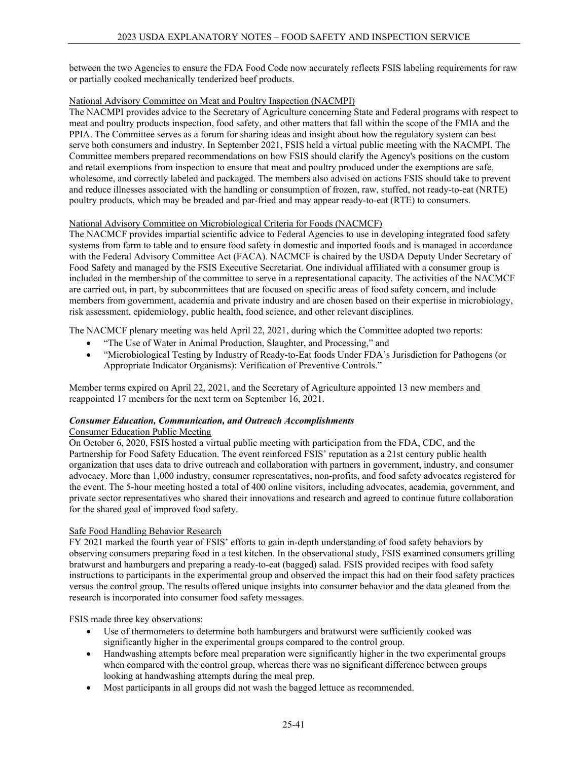between the two Agencies to ensure the FDA Food Code now accurately reflects FSIS labeling requirements for raw or partially cooked mechanically tenderized beef products.

#### National Advisory Committee on Meat and Poultry Inspection (NACMPI)

The NACMPI provides advice to the Secretary of Agriculture concerning State and Federal programs with respect to meat and poultry products inspection, food safety, and other matters that fall within the scope of the FMIA and the PPIA. The Committee serves as a forum for sharing ideas and insight about how the regulatory system can best serve both consumers and industry. In September 2021, FSIS held a virtual public meeting with the NACMPI. The Committee members prepared recommendations on how FSIS should clarify the Agency's positions on the custom and retail exemptions from inspection to ensure that meat and poultry produced under the exemptions are safe, wholesome, and correctly labeled and packaged. The members also advised on actions FSIS should take to prevent and reduce illnesses associated with the handling or consumption of frozen, raw, stuffed, not ready-to-eat (NRTE) poultry products, which may be breaded and par-fried and may appear ready-to-eat (RTE) to consumers.

#### National Advisory Committee on Microbiological Criteria for Foods (NACMCF)

The NACMCF provides impartial scientific advice to Federal Agencies to use in developing integrated food safety systems from farm to table and to ensure food safety in domestic and imported foods and is managed in accordance with the Federal Advisory Committee Act (FACA). NACMCF is chaired by the USDA Deputy Under Secretary of Food Safety and managed by the FSIS Executive Secretariat. One individual affiliated with a consumer group is included in the membership of the committee to serve in a representational capacity. The activities of the NACMCF are carried out, in part, by subcommittees that are focused on specific areas of food safety concern, and include members from government, academia and private industry and are chosen based on their expertise in microbiology, risk assessment, epidemiology, public health, food science, and other relevant disciplines.

The NACMCF plenary meeting was held April 22, 2021, during which the Committee adopted two reports:

- "The Use of Water in Animal Production, Slaughter, and Processing," and
- "Microbiological Testing by Industry of Ready-to-Eat foods Under FDA's Jurisdiction for Pathogens (or Appropriate Indicator Organisms): Verification of Preventive Controls."

Member terms expired on April 22, 2021, and the Secretary of Agriculture appointed 13 new members and reappointed 17 members for the next term on September 16, 2021.

## *Consumer Education, Communication, and Outreach Accomplishments*

## Consumer Education Public Meeting

On October 6, 2020, FSIS hosted a virtual public meeting with participation from the FDA, CDC, and the Partnership for Food Safety Education. The event reinforced FSIS' reputation as a 21st century public health organization that uses data to drive outreach and collaboration with partners in government, industry, and consumer advocacy. More than 1,000 industry, consumer representatives, non-profits, and food safety advocates registered for the event. The 5-hour meeting hosted a total of 400 online visitors, including advocates, academia, government, and private sector representatives who shared their innovations and research and agreed to continue future collaboration for the shared goal of improved food safety.

#### Safe Food Handling Behavior Research

FY 2021 marked the fourth year of FSIS' efforts to gain in-depth understanding of food safety behaviors by observing consumers preparing food in a test kitchen. In the observational study, FSIS examined consumers grilling bratwurst and hamburgers and preparing a ready-to-eat (bagged) salad. FSIS provided recipes with food safety instructions to participants in the experimental group and observed the impact this had on their food safety practices versus the control group. The results offered unique insights into consumer behavior and the data gleaned from the research is incorporated into consumer food safety messages.

FSIS made three key observations:

- Use of thermometers to determine both hamburgers and bratwurst were sufficiently cooked was significantly higher in the experimental groups compared to the control group.
- Handwashing attempts before meal preparation were significantly higher in the two experimental groups when compared with the control group, whereas there was no significant difference between groups looking at handwashing attempts during the meal prep.
- Most participants in all groups did not wash the bagged lettuce as recommended.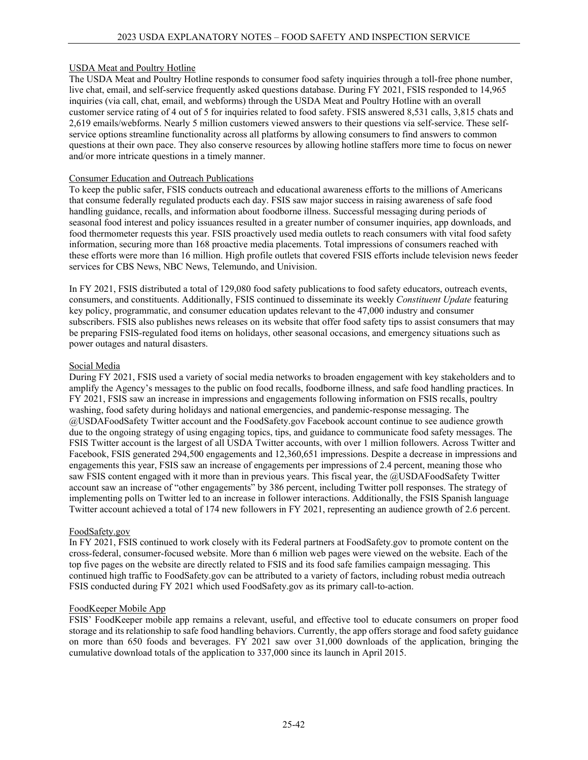## USDA Meat and Poultry Hotline

The USDA Meat and Poultry Hotline responds to consumer food safety inquiries through a toll-free phone number, live chat, email, and self-service frequently asked questions database. During FY 2021, FSIS responded to 14,965 inquiries (via call, chat, email, and webforms) through the USDA Meat and Poultry Hotline with an overall customer service rating of 4 out of 5 for inquiries related to food safety. FSIS answered 8,531 calls, 3,815 chats and 2,619 emails/webforms. Nearly 5 million customers viewed answers to their questions via self-service. These selfservice options streamline functionality across all platforms by allowing consumers to find answers to common questions at their own pace. They also conserve resources by allowing hotline staffers more time to focus on newer and/or more intricate questions in a timely manner.

## Consumer Education and Outreach Publications

To keep the public safer, FSIS conducts outreach and educational awareness efforts to the millions of Americans that consume federally regulated products each day. FSIS saw major success in raising awareness of safe food handling guidance, recalls, and information about foodborne illness. Successful messaging during periods of seasonal food interest and policy issuances resulted in a greater number of consumer inquiries, app downloads, and food thermometer requests this year. FSIS proactively used media outlets to reach consumers with vital food safety information, securing more than 168 proactive media placements. Total impressions of consumers reached with these efforts were more than 16 million. High profile outlets that covered FSIS efforts include television news feeder services for CBS News, NBC News, Telemundo, and Univision.

In FY 2021, FSIS distributed a total of 129,080 food safety publications to food safety educators, outreach events, consumers, and constituents. Additionally, FSIS continued to disseminate its weekly *Constituent Update* featuring key policy, programmatic, and consumer education updates relevant to the 47,000 industry and consumer subscribers. FSIS also publishes news releases on its website that offer food safety tips to assist consumers that may be preparing FSIS-regulated food items on holidays, other seasonal occasions, and emergency situations such as power outages and natural disasters.

## Social Media

During FY 2021, FSIS used a variety of social media networks to broaden engagement with key stakeholders and to amplify the Agency's messages to the public on food recalls, foodborne illness, and safe food handling practices. In FY 2021, FSIS saw an increase in impressions and engagements following information on FSIS recalls, poultry washing, food safety during holidays and national emergencies, and pandemic-response messaging. The @USDAFoodSafety Twitter account and the FoodSafety.gov Facebook account continue to see audience growth due to the ongoing strategy of using engaging topics, tips, and guidance to communicate food safety messages. The FSIS Twitter account is the largest of all USDA Twitter accounts, with over 1 million followers. Across Twitter and Facebook, FSIS generated 294,500 engagements and 12,360,651 impressions. Despite a decrease in impressions and engagements this year, FSIS saw an increase of engagements per impressions of 2.4 percent, meaning those who saw FSIS content engaged with it more than in previous years. This fiscal year, the @USDAFoodSafety Twitter account saw an increase of "other engagements" by 386 percent, including Twitter poll responses. The strategy of implementing polls on Twitter led to an increase in follower interactions. Additionally, the FSIS Spanish language Twitter account achieved a total of 174 new followers in FY 2021, representing an audience growth of 2.6 percent.

## FoodSafety.gov

In FY 2021, FSIS continued to work closely with its Federal partners at FoodSafety.gov to promote content on the cross-federal, consumer-focused website. More than 6 million web pages were viewed on the website. Each of the top five pages on the website are directly related to FSIS and its food safe families campaign messaging. This continued high traffic to FoodSafety.gov can be attributed to a variety of factors, including robust media outreach FSIS conducted during FY 2021 which used FoodSafety.gov as its primary call-to-action.

## FoodKeeper Mobile App

FSIS' FoodKeeper mobile app remains a relevant, useful, and effective tool to educate consumers on proper food storage and its relationship to safe food handling behaviors. Currently, the app offers storage and food safety guidance on more than 650 foods and beverages. FY 2021 saw over 31,000 downloads of the application, bringing the cumulative download totals of the application to 337,000 since its launch in April 2015.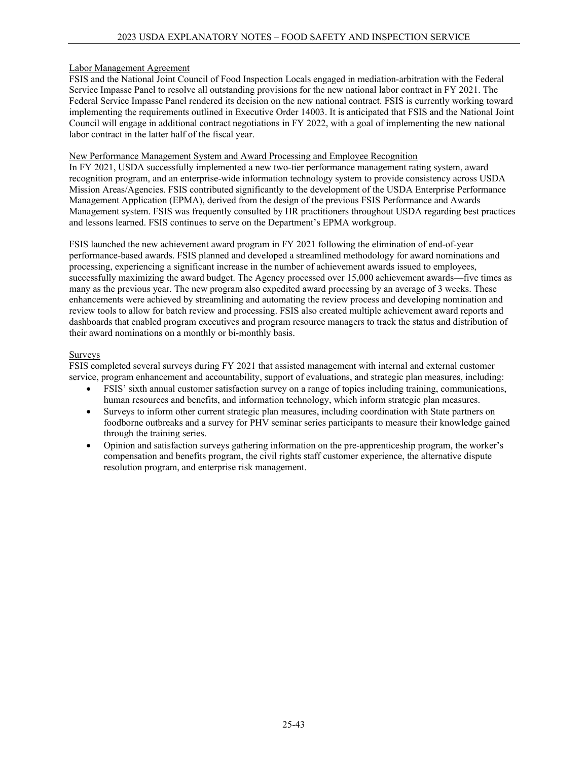## Labor Management Agreement

FSIS and the National Joint Council of Food Inspection Locals engaged in mediation-arbitration with the Federal Service Impasse Panel to resolve all outstanding provisions for the new national labor contract in FY 2021. The Federal Service Impasse Panel rendered its decision on the new national contract. FSIS is currently working toward implementing the requirements outlined in Executive Order 14003. It is anticipated that FSIS and the National Joint Council will engage in additional contract negotiations in FY 2022, with a goal of implementing the new national labor contract in the latter half of the fiscal year.

## New Performance Management System and Award Processing and Employee Recognition

In FY 2021, USDA successfully implemented a new two-tier performance management rating system, award recognition program, and an enterprise-wide information technology system to provide consistency across USDA Mission Areas/Agencies. FSIS contributed significantly to the development of the USDA Enterprise Performance Management Application (EPMA), derived from the design of the previous FSIS Performance and Awards Management system. FSIS was frequently consulted by HR practitioners throughout USDA regarding best practices and lessons learned. FSIS continues to serve on the Department's EPMA workgroup.

FSIS launched the new achievement award program in FY 2021 following the elimination of end-of-year performance-based awards. FSIS planned and developed a streamlined methodology for award nominations and processing, experiencing a significant increase in the number of achievement awards issued to employees, successfully maximizing the award budget. The Agency processed over 15,000 achievement awards—five times as many as the previous year. The new program also expedited award processing by an average of 3 weeks. These enhancements were achieved by streamlining and automating the review process and developing nomination and review tools to allow for batch review and processing. FSIS also created multiple achievement award reports and dashboards that enabled program executives and program resource managers to track the status and distribution of their award nominations on a monthly or bi-monthly basis.

## Surveys

FSIS completed several surveys during FY 2021 that assisted management with internal and external customer service, program enhancement and accountability, support of evaluations, and strategic plan measures, including:

- FSIS' sixth annual customer satisfaction survey on a range of topics including training, communications, human resources and benefits, and information technology, which inform strategic plan measures.
- Surveys to inform other current strategic plan measures, including coordination with State partners on foodborne outbreaks and a survey for PHV seminar series participants to measure their knowledge gained through the training series.
- Opinion and satisfaction surveys gathering information on the pre-apprenticeship program, the worker's compensation and benefits program, the civil rights staff customer experience, the alternative dispute resolution program, and enterprise risk management.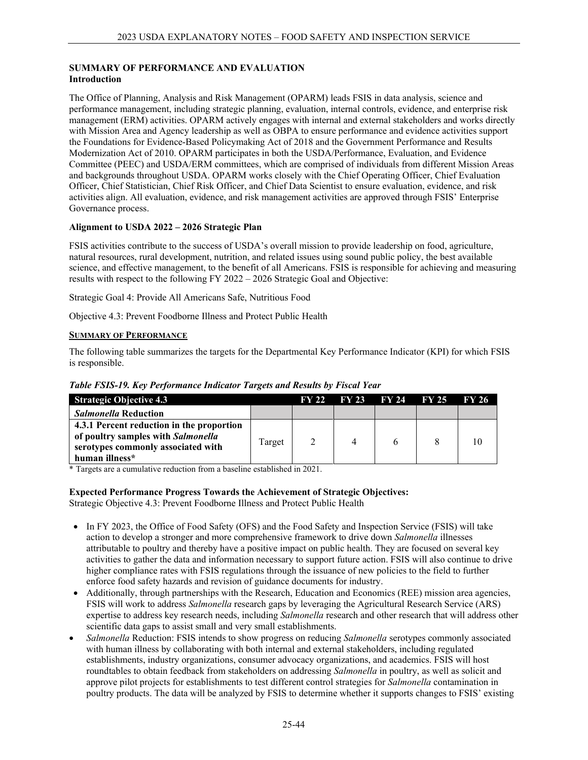## **SUMMARY OF PERFORMANCE AND EVALUATION Introduction**

The Office of Planning, Analysis and Risk Management (OPARM) leads FSIS in data analysis, science and performance management, including strategic planning, evaluation, internal controls, evidence, and enterprise risk management (ERM) activities. OPARM actively engages with internal and external stakeholders and works directly with Mission Area and Agency leadership as well as OBPA to ensure performance and evidence activities support the Foundations for Evidence-Based Policymaking Act of 2018 and the Government Performance and Results Modernization Act of 2010. OPARM participates in both the USDA/Performance, Evaluation, and Evidence Committee (PEEC) and USDA/ERM committees, which are comprised of individuals from different Mission Areas and backgrounds throughout USDA. OPARM works closely with the Chief Operating Officer, Chief Evaluation Officer, Chief Statistician, Chief Risk Officer, and Chief Data Scientist to ensure evaluation, evidence, and risk activities align. All evaluation, evidence, and risk management activities are approved through FSIS' Enterprise Governance process.

# **Alignment to USDA 2022 – 2026 Strategic Plan**

FSIS activities contribute to the success of USDA's overall mission to provide leadership on food, agriculture, natural resources, rural development, nutrition, and related issues using sound public policy, the best available science, and effective management, to the benefit of all Americans. FSIS is responsible for achieving and measuring results with respect to the following FY 2022 – 2026 Strategic Goal and Objective:

Strategic Goal 4: Provide All Americans Safe, Nutritious Food

Objective 4.3: Prevent Foodborne Illness and Protect Public Health

## **SUMMARY OF PERFORMANCE**

The following table summarizes the targets for the Departmental Key Performance Indicator (KPI) for which FSIS is responsible.

| <b>Strategic Objective 4.3</b>                                                                                                          |        | <b>FY 22</b> | $\text{FY } 23$ $\text{FY } 24$ $\text{FY } 25$ |  | FY 26 |
|-----------------------------------------------------------------------------------------------------------------------------------------|--------|--------------|-------------------------------------------------|--|-------|
| <i>Salmonella</i> Reduction                                                                                                             |        |              |                                                 |  |       |
| 4.3.1 Percent reduction in the proportion<br>of poultry samples with Salmonella<br>serotypes commonly associated with<br>human illness* | Target |              | 4                                               |  | 10    |

## *Table FSIS-19. Key Performance Indicator Targets and Results by Fiscal Year*

\* Targets are a cumulative reduction from a baseline established in 2021.

# **Expected Performance Progress Towards the Achievement of Strategic Objectives:**

Strategic Objective 4.3: Prevent Foodborne Illness and Protect Public Health

- In FY 2023, the Office of Food Safety (OFS) and the Food Safety and Inspection Service (FSIS) will take action to develop a stronger and more comprehensive framework to drive down *Salmonella* illnesses attributable to poultry and thereby have a positive impact on public health. They are focused on several key activities to gather the data and information necessary to support future action. FSIS will also continue to drive higher compliance rates with FSIS regulations through the issuance of new policies to the field to further enforce food safety hazards and revision of guidance documents for industry.
- Additionally, through partnerships with the Research, Education and Economics (REE) mission area agencies, FSIS will work to address *Salmonella* research gaps by leveraging the Agricultural Research Service (ARS) expertise to address key research needs, including *Salmonella* research and other research that will address other scientific data gaps to assist small and very small establishments.
- *Salmonella* Reduction: FSIS intends to show progress on reducing *Salmonella* serotypes commonly associated with human illness by collaborating with both internal and external stakeholders, including regulated establishments, industry organizations, consumer advocacy organizations, and academics. FSIS will host roundtables to obtain feedback from stakeholders on addressing *Salmonella* in poultry, as well as solicit and approve pilot projects for establishments to test different control strategies for *Salmonella* contamination in poultry products. The data will be analyzed by FSIS to determine whether it supports changes to FSIS' existing